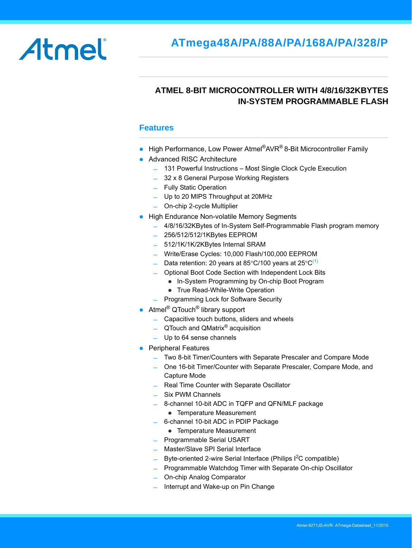# Atmel

# **ATMEL 8-BIT MICROCONTROLLER WITH 4/8/16/32KBYTES IN-SYSTEM PROGRAMMABLE FLASH**

#### **Features**

- $\bullet$  High Performance, Low Power Atmel®AVR® 8-Bit Microcontroller Family
- Advanced RISC Architecture
	- ̶ 131 Powerful Instructions Most Single Clock Cycle Execution
	- ̶ 32 x 8 General Purpose Working Registers
	- ̶ Fully Static Operation
	- ̶ Up to 20 MIPS Throughput at 20MHz
	- ̶ On-chip 2-cycle Multiplier
- High Endurance Non-volatile Memory Segments
	- <sup>-</sup> 4/8/16/32KBytes of In-System Self-Programmable Flash program memory
	- ̶ 256/512/512/1KBytes EEPROM
	- ̶ 512/1K/1K/2KBytes Internal SRAM
	- ̶ Write/Erase Cycles: 10,000 Flash/100,000 EEPROM
	- $-$  Data retention: 20 years at 85 °C/100 years at 25 °C<sup>[\(1\)](#page-7-0)</sup>
	- ̶ Optional Boot Code Section with Independent Lock Bits
		- In-System Programming by On-chip Boot Program
		- True Read-While-Write Operation
	- ̶ Programming Lock for Software Security
- Atmel<sup>®</sup> QTouch<sup>®</sup> library support
	- ̶ Capacitive touch buttons, sliders and wheels
	- $-$  QTouch and QMatrix<sup>®</sup> acquisition
	- ̶ Up to 64 sense channels
- **•** Peripheral Features
	- ̶ Two 8-bit Timer/Counters with Separate Prescaler and Compare Mode
	- ̶ One 16-bit Timer/Counter with Separate Prescaler, Compare Mode, and Capture Mode
	- ̶ Real Time Counter with Separate Oscillator
	- ̶ Six PWM Channels
	- ̶ 8-channel 10-bit ADC in TQFP and QFN/MLF package
		- Temperature Measurement
	- ̶ 6-channel 10-bit ADC in PDIP Package
		- Temperature Measurement
	- ̶ Programmable Serial USART
	- ̶ Master/Slave SPI Serial Interface
	- Byte-oriented 2-wire Serial Interface (Philips  $I^2C$  compatible)
	- ̶ Programmable Watchdog Timer with Separate On-chip Oscillator
	- ̶ On-chip Analog Comparator
	- Interrupt and Wake-up on Pin Change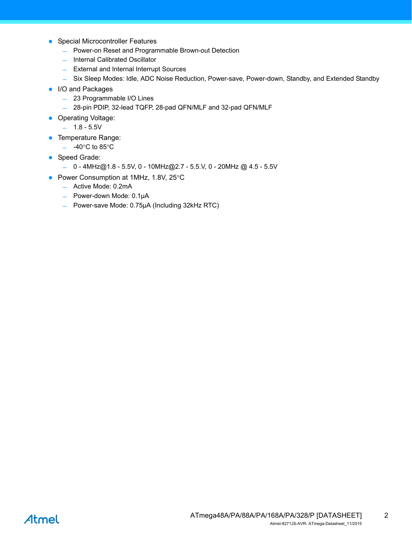- Special Microcontroller Features
	- ̶ Power-on Reset and Programmable Brown-out Detection
	- ̶ Internal Calibrated Oscillator
	- ̶ External and Internal Interrupt Sources
	- ̶ Six Sleep Modes: Idle, ADC Noise Reduction, Power-save, Power-down, Standby, and Extended Standby
- I/O and Packages
	- ̶ 23 Programmable I/O Lines
	- ̶ 28-pin PDIP, 32-lead TQFP, 28-pad QFN/MLF and 32-pad QFN/MLF
- Operating Voltage:
	- $1.8 5.5V$
- **•** Temperature Range:
	- $-$  -40 $^{\circ}$ C to 85 $^{\circ}$ C
- Speed Grade:
	- ̶ 0 4MHz@1.8 5.5V, 0 10MHz@2.7 5.5.V, 0 20MHz @ 4.5 5.5V
- Power Consumption at 1MHz, 1.8V, 25°C
	- ̶ Active Mode: 0.2mA
	- ̶ Power-down Mode: 0.1µA
	- ̶ Power-save Mode: 0.75µA (Including 32kHz RTC)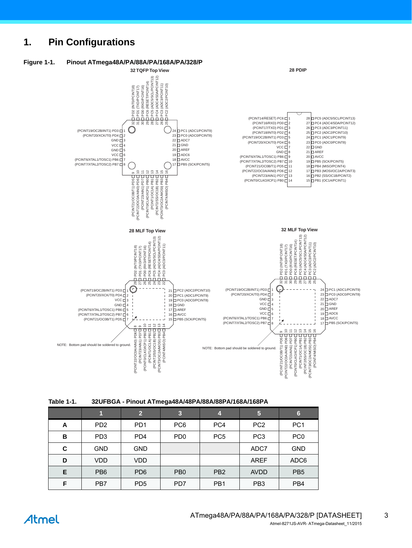# **1. Pin Configurations**

<span id="page-2-0"></span>

<span id="page-2-1"></span>

| <b>Table 1-1.</b> | 32UFBGA - Pinout ATmega48A/48PA/88A/88PA/168A/168PA |
|-------------------|-----------------------------------------------------|
|-------------------|-----------------------------------------------------|

|   | 1               | $\mathbf{2}$    | $\overline{\mathbf{3}}$     | 4               | 5               | $6\phantom{1}6$ |
|---|-----------------|-----------------|-----------------------------|-----------------|-----------------|-----------------|
| A | PD <sub>2</sub> | PD <sub>1</sub> | PC <sub>6</sub>             | PC4             | PC <sub>2</sub> | PC <sub>1</sub> |
| в | PD <sub>3</sub> | PD <sub>4</sub> | P <sub>D</sub> <sub>0</sub> | PC <sub>5</sub> | PC <sub>3</sub> | PC <sub>0</sub> |
| C | <b>GND</b>      | <b>GND</b>      |                             |                 | ADC7            | <b>GND</b>      |
| D | VDD             | VDD.            |                             |                 | <b>AREF</b>     | ADC6            |
| Е | PB <sub>6</sub> | PD <sub>6</sub> | P <sub>B</sub> 0            | PB <sub>2</sub> | <b>AVDD</b>     | PB <sub>5</sub> |
| F | PB7             | PD <sub>5</sub> | PD7                         | PB <sub>1</sub> | PB <sub>3</sub> | PB <sub>4</sub> |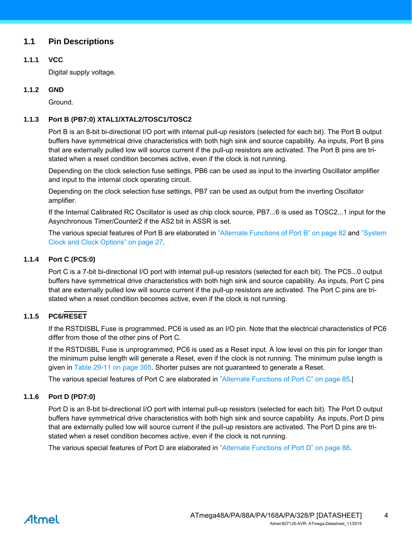# **1.1 Pin Descriptions**

#### **1.1.1 VCC**

Digital supply voltage.

#### **1.1.2 GND**

Ground.

#### **1.1.3 Port B (PB7:0) XTAL1/XTAL2/TOSC1/TOSC2**

Port B is an 8-bit bi-directional I/O port with internal pull-up resistors (selected for each bit). The Port B output buffers have symmetrical drive characteristics with both high sink and source capability. As inputs, Port B pins that are externally pulled low will source current if the pull-up resistors are activated. The Port B pins are tristated when a reset condition becomes active, even if the clock is not running.

Depending on the clock selection fuse settings, PB6 can be used as input to the inverting Oscillator amplifier and input to the internal clock operating circuit.

Depending on the clock selection fuse settings, PB7 can be used as output from the inverting Oscillator amplifier.

If the Internal Calibrated RC Oscillator is used as chip clock source, PB7...6 is used as TOSC2...1 input for the Asynchronous Timer/Counter2 if the AS2 bit in ASSR is set.

The various special features of Port B are elaborated in "Alternate Functions of Port B" on page 82 and "System Clock and Clock Options" on page 27.

#### **1.1.4 Port C (PC5:0)**

Port C is a 7-bit bi-directional I/O port with internal pull-up resistors (selected for each bit). The PC5...0 output buffers have symmetrical drive characteristics with both high sink and source capability. As inputs, Port C pins that are externally pulled low will source current if the pull-up resistors are activated. The Port C pins are tristated when a reset condition becomes active, even if the clock is not running.

#### **1.1.5 PC6/RESET**

If the RSTDISBL Fuse is programmed, PC6 is used as an I/O pin. Note that the electrical characteristics of PC6 differ from those of the other pins of Port C.

If the RSTDISBL Fuse is unprogrammed, PC6 is used as a Reset input. A low level on this pin for longer than the minimum pulse length will generate a Reset, even if the clock is not running. The minimum pulse length is given in Table 29-11 on page 305. Shorter pulses are not guaranteed to generate a Reset.

The various special features of Port C are elaborated in "Alternate Functions of Port C" on page 85.|

#### **1.1.6 Port D (PD7:0)**

Port D is an 8-bit bi-directional I/O port with internal pull-up resistors (selected for each bit). The Port D output buffers have symmetrical drive characteristics with both high sink and source capability. As inputs, Port D pins that are externally pulled low will source current if the pull-up resistors are activated. The Port D pins are tristated when a reset condition becomes active, even if the clock is not running.

The various special features of Port D are elaborated in "Alternate Functions of Port D" on page 88.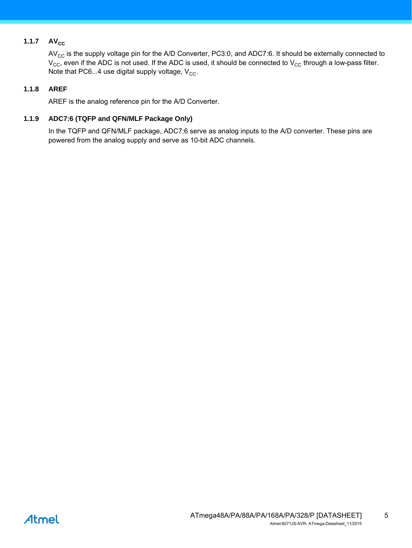# 1.1.7  $AV_{CC}$

 $AV_{CC}$  is the supply voltage pin for the A/D Converter, PC3:0, and ADC7:6. It should be externally connected to  $V_{CC}$ , even if the ADC is not used. If the ADC is used, it should be connected to  $V_{CC}$  through a low-pass filter. Note that PC6...4 use digital supply voltage,  $V_{CC}$ .

#### **1.1.8 AREF**

AREF is the analog reference pin for the A/D Converter.

#### **1.1.9 ADC7:6 (TQFP and QFN/MLF Package Only)**

In the TQFP and QFN/MLF package, ADC7:6 serve as analog inputs to the A/D converter. These pins are powered from the analog supply and serve as 10-bit ADC channels.

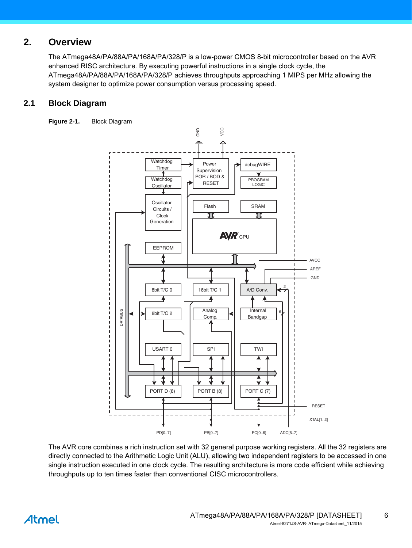# **2. Overview**

The ATmega48A/PA/88A/PA/168A/PA/328/P is a low-power CMOS 8-bit microcontroller based on the AVR enhanced RISC architecture. By executing powerful instructions in a single clock cycle, the ATmega48A/PA/88A/PA/168A/PA/328/P achieves throughputs approaching 1 MIPS per MHz allowing the system designer to optimize power consumption versus processing speed.

# **2.1 Block Diagram**

**Figure 2-1.** Block Diagram



The AVR core combines a rich instruction set with 32 general purpose working registers. All the 32 registers are directly connected to the Arithmetic Logic Unit (ALU), allowing two independent registers to be accessed in one single instruction executed in one clock cycle. The resulting architecture is more code efficient while achieving throughputs up to ten times faster than conventional CISC microcontrollers.

# Atmel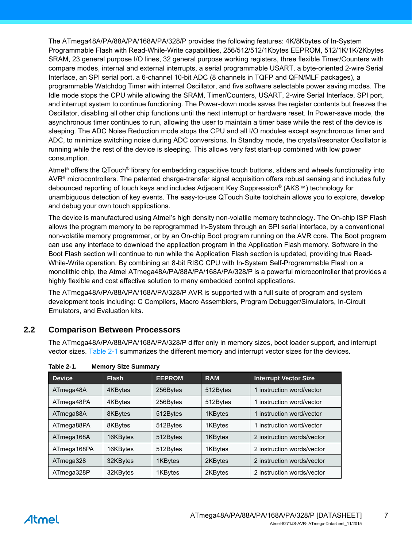The ATmega48A/PA/88A/PA/168A/PA/328/P provides the following features: 4K/8Kbytes of In-System Programmable Flash with Read-While-Write capabilities, 256/512/512/1Kbytes EEPROM, 512/1K/1K/2Kbytes SRAM, 23 general purpose I/O lines, 32 general purpose working registers, three flexible Timer/Counters with compare modes, internal and external interrupts, a serial programmable USART, a byte-oriented 2-wire Serial Interface, an SPI serial port, a 6-channel 10-bit ADC (8 channels in TQFP and QFN/MLF packages), a programmable Watchdog Timer with internal Oscillator, and five software selectable power saving modes. The Idle mode stops the CPU while allowing the SRAM, Timer/Counters, USART, 2-wire Serial Interface, SPI port, and interrupt system to continue functioning. The Power-down mode saves the register contents but freezes the Oscillator, disabling all other chip functions until the next interrupt or hardware reset. In Power-save mode, the asynchronous timer continues to run, allowing the user to maintain a timer base while the rest of the device is sleeping. The ADC Noise Reduction mode stops the CPU and all I/O modules except asynchronous timer and ADC, to minimize switching noise during ADC conversions. In Standby mode, the crystal/resonator Oscillator is running while the rest of the device is sleeping. This allows very fast start-up combined with low power consumption.

Atmel® offers the QTouch® library for embedding capacitive touch buttons, sliders and wheels functionality into AVR® microcontrollers. The patented charge-transfer signal acquisition offers robust sensing and includes fully debounced reporting of touch keys and includes Adjacent Key Suppression® (AKS™) technology for unambiguous detection of key events. The easy-to-use QTouch Suite toolchain allows you to explore, develop and debug your own touch applications.

The device is manufactured using Atmel's high density non-volatile memory technology. The On-chip ISP Flash allows the program memory to be reprogrammed In-System through an SPI serial interface, by a conventional non-volatile memory programmer, or by an On-chip Boot program running on the AVR core. The Boot program can use any interface to download the application program in the Application Flash memory. Software in the Boot Flash section will continue to run while the Application Flash section is updated, providing true Read-While-Write operation. By combining an 8-bit RISC CPU with In-System Self-Programmable Flash on a monolithic chip, the Atmel ATmega48A/PA/88A/PA/168A/PA/328/P is a powerful microcontroller that provides a highly flexible and cost effective solution to many embedded control applications.

The ATmega48A/PA/88A/PA/168A/PA/328/P AVR is supported with a full suite of program and system development tools including: C Compilers, Macro Assemblers, Program Debugger/Simulators, In-Circuit Emulators, and Evaluation kits.

# **2.2 Comparison Between Processors**

The ATmega48A/PA/88A/PA/168A/PA/328/P differ only in memory sizes, boot loader support, and interrupt vector sizes. [Table 2-1](#page-6-0) summarizes the different memory and interrupt vector sizes for the devices.

| <b>Device</b> | <b>Flash</b> | <b>EEPROM</b> | <b>RAM</b> | <b>Interrupt Vector Size</b> |
|---------------|--------------|---------------|------------|------------------------------|
| ATmega48A     | 4KBytes      | 256Bytes      | 512Bytes   | 1 instruction word/vector    |
| ATmega48PA    | 4KBytes      | 256Bytes      | 512Bytes   | 1 instruction word/vector    |
| ATmega88A     | 8KBytes      | 512Bytes      | 1KBytes    | 1 instruction word/vector    |
| ATmega88PA    | 8KBytes      | 512Bytes      | 1KBytes    | 1 instruction word/vector    |
| ATmega168A    | 16KBytes     | 512Bytes      | 1KBytes    | 2 instruction words/vector   |
| ATmega168PA   | 16KBytes     | 512Bytes      | 1KBytes    | 2 instruction words/vector   |
| ATmega328     | 32KBytes     | 1KBytes       | 2KBytes    | 2 instruction words/vector   |
| ATmega328P    | 32KBytes     | 1KBytes       | 2KBytes    | 2 instruction words/vector   |

<span id="page-6-0"></span>**Table 2-1. Memory Size Summary**

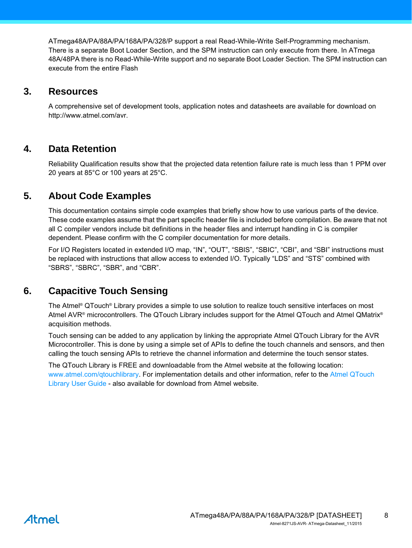ATmega48A/PA/88A/PA/168A/PA/328/P support a real Read-While-Write Self-Programming mechanism. There is a separate Boot Loader Section, and the SPM instruction can only execute from there. In ATmega 48A/48PA there is no Read-While-Write support and no separate Boot Loader Section. The SPM instruction can execute from the entire Flash

# **3. Resources**

<span id="page-7-0"></span>A comprehensive set of development tools, application notes and datasheets are available for download on http://www.atmel.com/avr.

# **4. Data Retention**

Reliability Qualification results show that the projected data retention failure rate is much less than 1 PPM over 20 years at 85°C or 100 years at 25°C.

# **5. About Code Examples**

This documentation contains simple code examples that briefly show how to use various parts of the device. These code examples assume that the part specific header file is included before compilation. Be aware that not all C compiler vendors include bit definitions in the header files and interrupt handling in C is compiler dependent. Please confirm with the C compiler documentation for more details.

For I/O Registers located in extended I/O map, "IN", "OUT", "SBIS", "SBIC", "CBI", and "SBI" instructions must be replaced with instructions that allow access to extended I/O. Typically "LDS" and "STS" combined with "SBRS", "SBRC", "SBR", and "CBR".

# **6. Capacitive Touch Sensing**

The Atmel® QTouch® Library provides a simple to use solution to realize touch sensitive interfaces on most Atmel AVR® microcontrollers. The QTouch Library includes support for the Atmel QTouch and Atmel QMatrix® acquisition methods.

Touch sensing can be added to any application by linking the appropriate Atmel QTouch Library for the AVR Microcontroller. This is done by using a simple set of APIs to define the touch channels and sensors, and then calling the touch sensing APIs to retrieve the channel information and determine the touch sensor states.

The QTouch Library is FREE and downloadable from the Atmel website at the following location: <www.atmel.com/qtouchlibrary>[. For implementation details and other information, refer to the](http://www.atmel.com/dyn/resources/prod_documents/doc8207.pdf) Atmel QTouch Library User Guide - also available for download from Atmel website.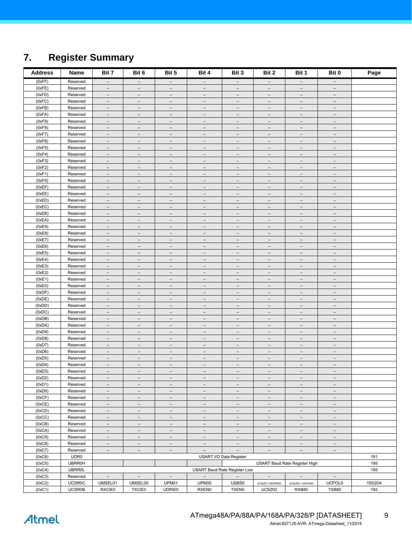# <span id="page-8-0"></span>**7. Register Summary**

| <b>Address</b>   | Name                  | Bit 7                                                | Bit 6                                                | Bit 5                                                | Bit 4                                         | Bit 3                                                | Bit 2                                                | Bit 1                                                | Bit 0                                                | Page       |
|------------------|-----------------------|------------------------------------------------------|------------------------------------------------------|------------------------------------------------------|-----------------------------------------------|------------------------------------------------------|------------------------------------------------------|------------------------------------------------------|------------------------------------------------------|------------|
| (0xFF)           | Reserved              | $\overline{\phantom{a}}$                             | $\overline{\phantom{a}}$                             | $\overline{\phantom{a}}$                             | $\overline{\phantom{a}}$                      | $\overline{\phantom{a}}$                             | $\overline{\phantom{a}}$                             | $\qquad \qquad -$                                    | -                                                    |            |
| (0xFE)           | Reserved              | $\overline{\phantom{m}}$                             | $\qquad \qquad -$                                    | $\qquad \qquad -$                                    | $\qquad \qquad -$                             | $\overline{\phantom{m}}$                             | $\qquad \qquad -$                                    | $\qquad \qquad -$                                    | $\qquad \qquad -$                                    |            |
| (0xFD)           | Reserved              | $\overline{\phantom{m}}$                             | $\overline{\phantom{m}}$                             | $\overline{\phantom{m}}$                             | $\overline{\phantom{m}}$                      | $\overline{\phantom{m}}$                             | $\overline{\phantom{m}}$                             | $\overline{\phantom{m}}$                             | $\overline{\phantom{m}}$                             |            |
| (0xFC)           | Reserved              | $\overline{\phantom{m}}$                             | $\overline{\phantom{0}}$                             | $\overline{\phantom{0}}$                             |                                               | $\overline{\phantom{a}}$                             | $\equiv$                                             | $\overline{\phantom{0}}$                             |                                                      |            |
| (0xFB)           | Reserved              | $\overline{\phantom{a}}$                             | $\overline{\phantom{a}}$                             | $\overline{\phantom{a}}$                             | $\overline{\phantom{0}}$                      | $\overline{\phantom{a}}$                             | $\overline{\phantom{a}}$                             | $\overline{\phantom{a}}$                             | $\overline{\phantom{0}}$                             |            |
| (0xFA)           | Reserved              | $\overline{\phantom{m}}$                             | $\overline{\phantom{a}}$                             | $\overline{\phantom{0}}$                             | $\qquad \qquad -$                             | $\overline{\phantom{a}}$                             | $\overline{\phantom{a}}$                             | $\overline{\phantom{a}}$                             | $\overline{\phantom{0}}$                             |            |
| (0xF9)           | Reserved              | $\overline{\phantom{a}}$                             | $\qquad \qquad -$                                    | $\qquad \qquad -$                                    | $\overline{\phantom{0}}$                      | $\overline{\phantom{a}}$                             | $\overline{\phantom{0}}$                             | $\qquad \qquad -$                                    | $\overline{\phantom{0}}$                             |            |
| (0xF8)<br>(0xF7) | Reserved<br>Reserved  | $\overline{\phantom{m}}$<br>$\qquad \qquad -$        | $\overline{\phantom{m}}$<br>$\overline{\phantom{a}}$ | $\overline{\phantom{a}}$<br>$\overline{\phantom{0}}$ | $\overline{\phantom{m}}$<br>$\qquad \qquad -$ | $\overline{\phantom{m}}$<br>$\overline{\phantom{m}}$ | $\overline{\phantom{m}}$<br>$\overline{\phantom{0}}$ | $\overline{\phantom{m}}$<br>$\qquad \qquad -$        | $\overline{\phantom{m}}$<br>$\qquad \qquad -$        |            |
| (0xF6)           | Reserved              | $\overline{\phantom{m}}$                             | $\overline{\phantom{a}}$                             | $\overline{\phantom{a}}$                             | $\qquad \qquad -$                             | $\overline{\phantom{m}}$                             | $\overline{\phantom{a}}$                             | $\overline{\phantom{a}}$                             | $\overline{\phantom{a}}$                             |            |
| (0xF5)           | Reserved              | $\overline{\phantom{0}}$                             | $\overline{\phantom{0}}$                             | $\overline{\phantom{0}}$                             | $\overline{\phantom{0}}$                      | $\overline{\phantom{0}}$                             | $\overline{\phantom{0}}$                             | $\overline{\phantom{0}}$                             | $\overline{\phantom{0}}$                             |            |
| (0xF4)           | Reserved              | $\overline{\phantom{a}}$                             | $\equiv$                                             | $\overline{\phantom{a}}$                             | $\overline{\phantom{0}}$                      | $\overline{\phantom{a}}$                             | $\equiv$                                             | $\overline{\phantom{0}}$                             | $\overline{\phantom{0}}$                             |            |
| (0xF3)           | Reserved              | $\overline{\phantom{a}}$                             | $\qquad \qquad -$                                    | $\qquad \qquad -$                                    | $\qquad \qquad -$                             | $\overline{\phantom{a}}$                             | $\qquad \qquad -$                                    | $\overline{\phantom{a}}$                             | $\qquad \qquad -$                                    |            |
| (0xF2)           | Reserved              | $\overline{\phantom{m}}$                             | $\overline{\phantom{m}}$                             | $\overline{\phantom{0}}$                             | $\qquad \qquad -$                             | $\overline{\phantom{m}}$                             | $\qquad \qquad -$                                    | $\qquad \qquad -$                                    | $\qquad \qquad -$                                    |            |
| (0xF1)           | Reserved              | $\overline{\phantom{m}}$                             | $\overline{\phantom{m}}$                             | $\overline{\phantom{m}}$                             | $\overline{\phantom{m}}$                      | $\overline{\phantom{m}}$                             | $\overline{\phantom{m}}$                             | $\overline{\phantom{m}}$                             | $\overline{\phantom{a}}$                             |            |
| (0xF0)           | Reserved              | $\qquad \qquad -$                                    | $\overline{\phantom{0}}$                             | $\overline{\phantom{0}}$                             | $\overline{\phantom{0}}$                      | $\overline{\phantom{m}}$                             | $\overline{\phantom{0}}$                             | $\qquad \qquad -$                                    | $\overline{\phantom{0}}$                             |            |
| (0xEF)           | Reserved              | $\overline{\phantom{a}}$                             | $\overline{\phantom{a}}$                             | $\overline{\phantom{a}}$                             | $\overline{\phantom{0}}$                      | $\overline{\phantom{a}}$                             | $\overline{\phantom{a}}$                             | $\overline{\phantom{a}}$                             | $\overline{\phantom{0}}$                             |            |
| (0xEE)           | Reserved              | $\overline{\phantom{m}}$                             | $\overline{\phantom{a}}$                             | $\overline{\phantom{0}}$                             | $\overline{\phantom{0}}$                      | $\overline{\phantom{a}}$                             | $\overline{\phantom{a}}$                             | $\overline{\phantom{a}}$                             | $\overline{\phantom{0}}$                             |            |
| (0xED)           | Reserved              | $\overline{\phantom{a}}$                             | $\qquad \qquad -$                                    | $\qquad \qquad -$                                    | $\qquad \qquad -$                             | $\overline{\phantom{a}}$                             | $\overline{\phantom{0}}$                             | $\qquad \qquad -$                                    | $\qquad \qquad -$                                    |            |
| (0xEC)<br>(0xEB) | Reserved<br>Reserved  | $\overline{\phantom{m}}$<br>$\qquad \qquad -$        | $\overline{\phantom{m}}$<br>$\qquad \qquad -$        | $\overline{\phantom{a}}$<br>$\overline{\phantom{0}}$ | $\overline{\phantom{m}}$<br>$\qquad \qquad -$ | $\overline{\phantom{m}}$<br>$\overline{\phantom{m}}$ | $\overline{\phantom{a}}$<br>$\overline{\phantom{0}}$ | $\overline{\phantom{a}}$<br>$\qquad \qquad -$        | $\overline{\phantom{m}}$<br>$\qquad \qquad -$        |            |
| (0xEA)           | Reserved              | $\overline{\phantom{m}}$                             | $\overline{\phantom{a}}$                             | $\overline{\phantom{a}}$                             | $\overline{\phantom{a}}$                      | $\overline{\phantom{m}}$                             | $\overline{\phantom{a}}$                             | $\overline{\phantom{a}}$                             | $\overline{\phantom{a}}$                             |            |
| (0xE9)           | Reserved              | $\overline{\phantom{a}}$                             | $\overline{\phantom{0}}$                             | $\qquad \qquad -$                                    | $\overline{\phantom{0}}$                      | $\overline{\phantom{a}}$                             | $\overline{a}$                                       | $\overline{\phantom{a}}$                             | $\overline{\phantom{0}}$                             |            |
| (0xE8)           | Reserved              | $\equiv$                                             | $\equiv$                                             | $\overline{\phantom{0}}$                             | $\overline{\phantom{0}}$                      | $\equiv$                                             | $\equiv$                                             | $\overline{\phantom{0}}$                             | $\overline{\phantom{0}}$                             |            |
| (0xE7)           | Reserved              | $\overline{\phantom{a}}$                             | $\overline{\phantom{a}}$                             | $\qquad \qquad -$                                    | $\qquad \qquad -$                             | $\overline{\phantom{a}}$                             | $\qquad \qquad -$                                    | $\overline{\phantom{a}}$                             | $\qquad \qquad -$                                    |            |
| (0xE6)           | Reserved              | $\overline{\phantom{m}}$                             | $\overline{\phantom{m}}$                             | $\overline{\phantom{0}}$                             | $\overline{\phantom{m}}$                      | $\overline{\phantom{m}}$                             | $\qquad \qquad -$                                    | $\qquad \qquad -$                                    | $\qquad \qquad -$                                    |            |
| (0xE5)           | Reserved              | $\overline{\phantom{m}}$                             | $\overline{\phantom{m}}$                             | $\overline{\phantom{m}}$                             | $\overline{\phantom{m}}$                      | $\overline{\phantom{m}}$                             | $\overline{\phantom{m}}$                             | $\overline{\phantom{m}}$                             | $\overline{\phantom{m}}$                             |            |
| (0xE4)           | Reserved              | $\overline{\phantom{m}}$                             | $\overline{\phantom{0}}$                             | $\overline{\phantom{0}}$                             |                                               | $\overline{\phantom{0}}$                             | $\equiv$                                             | $\overline{\phantom{0}}$                             |                                                      |            |
| (0xE3)           | Reserved              | $\overline{\phantom{a}}$                             | $\overline{\phantom{a}}$                             | $\overline{\phantom{a}}$                             | $\overline{\phantom{0}}$                      | $\overline{\phantom{a}}$                             | $\qquad \qquad -$                                    | $\overline{\phantom{a}}$                             | $\overline{\phantom{0}}$                             |            |
| (0xE2)           | Reserved              | $\overline{\phantom{m}}$                             | $\overline{\phantom{a}}$                             | $\overline{\phantom{a}}$                             | $\qquad \qquad -$                             | $\overline{\phantom{a}}$                             | $\overline{\phantom{a}}$                             | $\overline{\phantom{m}}$                             | $\overline{\phantom{0}}$                             |            |
| (0xE1)           | Reserved              | $\overline{\phantom{a}}$                             | $\qquad \qquad -$                                    | $\overline{\phantom{0}}$                             | $\overline{\phantom{0}}$                      | $\overline{\phantom{a}}$                             | $\overline{\phantom{0}}$                             | $\qquad \qquad -$                                    | $\overline{\phantom{0}}$                             |            |
| (0xE0)<br>(0xDF) | Reserved<br>Reserved  | $\overline{\phantom{m}}$<br>$\qquad \qquad -$        | $\overline{\phantom{m}}$<br>$\overline{\phantom{a}}$ | $\overline{\phantom{a}}$<br>$\overline{\phantom{0}}$ | $\overline{\phantom{m}}$<br>$\qquad \qquad -$ | $\overline{\phantom{m}}$<br>$\qquad \qquad -$        | $\overline{\phantom{m}}$<br>$\overline{\phantom{0}}$ | $\overline{\phantom{m}}$<br>$\qquad \qquad -$        | $\overline{\phantom{m}}$<br>$\qquad \qquad -$        |            |
| (0xDE)           | Reserved              | $\overline{\phantom{m}}$                             | $\overline{\phantom{a}}$                             | $\overline{\phantom{a}}$                             | $\qquad \qquad -$                             | $\overline{\phantom{m}}$                             | $\overline{\phantom{a}}$                             | $\overline{\phantom{a}}$                             | $\overline{\phantom{a}}$                             |            |
| (0xDD)           | Reserved              | $\overline{\phantom{a}}$                             | $\overline{\phantom{0}}$                             | $\qquad \qquad -$                                    | $\overline{\phantom{0}}$                      | $\overline{\phantom{a}}$                             | $\overline{\phantom{0}}$                             | $\overline{\phantom{a}}$                             | $\overline{\phantom{0}}$                             |            |
| (0xDC)           | Reserved              | $\overline{\phantom{a}}$                             | $\equiv$                                             | $\overline{\phantom{0}}$                             | $\overline{\phantom{0}}$                      | $\equiv$                                             | $\equiv$                                             | $\overline{\phantom{0}}$                             | $\overline{\phantom{0}}$                             |            |
| (0xDB)           | Reserved              | $\overline{\phantom{a}}$                             | $\qquad \qquad -$                                    | $\overline{\phantom{a}}$                             | $\qquad \qquad -$                             | $\overline{\phantom{a}}$                             | $\qquad \qquad -$                                    | $\overline{\phantom{a}}$                             | $\qquad \qquad -$                                    |            |
| (0xDA)           | Reserved              | $\overline{\phantom{m}}$                             | $\overline{\phantom{m}}$                             | $\overline{\phantom{0}}$                             | $\qquad \qquad -$                             | $\overline{\phantom{m}}$                             | $\overline{\phantom{m}}$                             | $\qquad \qquad -$                                    | $\qquad \qquad -$                                    |            |
| (0xD9)           | Reserved              | $\overline{\phantom{m}}$                             | $\overline{\phantom{m}}$                             | $\overline{\phantom{m}}$                             | $\overline{\phantom{m}}$                      | $\overline{\phantom{m}}$                             | $\overline{\phantom{m}}$                             | $\overline{\phantom{m}}$                             | $\overline{\phantom{m}}$                             |            |
| (0xD8)           | Reserved              | $\qquad \qquad -$                                    | $\overline{\phantom{0}}$                             | $\overline{\phantom{0}}$                             | $\overline{\phantom{0}}$                      | $\overline{\phantom{m}}$                             | $\overline{\phantom{0}}$                             | $\overline{\phantom{m}}$                             | $\overline{\phantom{0}}$                             |            |
| (0xD7)           | Reserved              | $\overline{\phantom{a}}$                             | $\overline{\phantom{a}}$                             | $\overline{\phantom{a}}$                             | $\overline{\phantom{0}}$                      | $\overline{\phantom{a}}$                             | $\overline{\phantom{a}}$                             | $\overline{\phantom{a}}$                             | $\overline{\phantom{0}}$                             |            |
| (0xD6)           | Reserved              | $\overline{\phantom{m}}$                             | $\overline{\phantom{a}}$                             | $\qquad \qquad -$                                    | $\qquad \qquad -$                             | $\overline{\phantom{m}}$                             | $\overline{\phantom{a}}$                             | $\overline{\phantom{0}}$                             | $\overline{\phantom{0}}$                             |            |
| (0xD5)           | Reserved              | $\overline{\phantom{a}}$                             | $\qquad \qquad -$                                    | $\overline{\phantom{0}}$                             |                                               | $\overline{\phantom{a}}$                             | $\overline{\phantom{0}}$                             | $\qquad \qquad -$                                    |                                                      |            |
| (0xD4)<br>(0xD3) | Reserved<br>Reserved  | $\overline{\phantom{m}}$<br>$\overline{\phantom{m}}$ | $\overline{\phantom{m}}$<br>$\overline{\phantom{a}}$ | $\overline{\phantom{a}}$                             | $\overline{\phantom{m}}$<br>$\qquad \qquad -$ | $\overline{\phantom{a}}$<br>$\overline{\phantom{m}}$ | $\overline{\phantom{a}}$<br>$\qquad \qquad -$        | $\overline{\phantom{m}}$<br>$\overline{\phantom{m}}$ | $\overline{\phantom{m}}$<br>$\overline{\phantom{m}}$ |            |
| (0xD2)           | Reserved              |                                                      |                                                      | $\qquad \qquad -$                                    |                                               |                                                      |                                                      |                                                      |                                                      |            |
| (0xD1)           | Reserved              | $\overline{\phantom{a}}$                             | $\overline{\phantom{a}}$                             | $\overline{\phantom{a}}$                             | $\qquad \qquad -$                             | $\overline{\phantom{a}}$                             | $\overline{\phantom{a}}$                             | $\overline{\phantom{a}}$                             | $\overline{\phantom{a}}$                             |            |
| (0xD0)           | Reserved              | $\overline{\phantom{a}}$                             | $\overline{\phantom{m}}$                             | $\qquad \qquad -$                                    | $\qquad \qquad -$                             | $\overline{\phantom{a}}$                             | $\overline{\phantom{a}}$                             | $\overline{\phantom{a}}$                             | $\qquad \qquad -$                                    |            |
| (0xCF)           | Reserved              | $\overline{\phantom{a}}$                             | $\overline{\phantom{a}}$                             | $\qquad \qquad -$                                    | $\qquad \qquad -$                             | $\overline{\phantom{a}}$                             | $\overline{\phantom{a}}$                             | $\overline{\phantom{a}}$                             | $\qquad \qquad -$                                    |            |
| (0xCE)           | Reserved              | $\overline{\phantom{a}}$                             | $\overline{\phantom{m}}$                             | $\overline{\phantom{a}}$                             | $\overline{\phantom{m}}$                      | $\overline{\phantom{a}}$                             | $\overline{\phantom{a}}$                             | $\overline{\phantom{0}}$                             | $\overline{\phantom{m}}$                             |            |
| (0xCD)           | Reserved              | $\overline{\phantom{a}}$                             | $\overline{\phantom{a}}$                             | $\overline{\phantom{m}}$                             | $\overline{\phantom{m}}$                      | $\overline{\phantom{m}}$                             | $\overline{\phantom{m}}$                             | $\qquad \qquad -$                                    | $\overline{\phantom{m}}$                             |            |
| (0xCC)           | Reserved              | $\overline{\phantom{a}}$                             | $\overline{\phantom{a}}$                             | $\qquad \qquad -$                                    | $\overline{\phantom{0}}$                      | $\overline{\phantom{a}}$                             | $\qquad \qquad -$                                    | $\overline{\phantom{a}}$                             | $\qquad \qquad -$                                    |            |
| (0xCB)           | Reserved              | $\equiv$                                             | $\equiv$                                             | $\overline{\phantom{a}}$                             | $\overline{a}$                                | $\overline{\phantom{a}}$                             | $\equiv$                                             | $\equiv$                                             | $\overline{\phantom{0}}$                             |            |
| (0xCA)           | Reserved              | $\overline{\phantom{a}}$                             | $\overline{\phantom{a}}$                             | $\overline{\phantom{a}}$                             | $\qquad \qquad -$                             | $\overline{\phantom{a}}$                             | $\overline{\phantom{a}}$                             | $\overline{\phantom{a}}$                             | $\overline{\phantom{m}}$                             |            |
| (0xC9)           | Reserved              | $\overline{\phantom{a}}$                             | $\overline{\phantom{a}}$                             | $\qquad \qquad -$                                    | $\overline{\phantom{a}}$                      | $\overline{\phantom{a}}$                             | $\overline{\phantom{a}}$                             | $\overline{\phantom{a}}$                             | $\overline{\phantom{0}}$                             |            |
| (0xC8)           | Reserved              | $\overline{\phantom{a}}$                             | $\overline{\phantom{a}}$                             | $\overline{\phantom{a}}$                             | $\overline{\phantom{m}}$                      | $-$                                                  | $\overline{\phantom{a}}$                             | $\overline{\phantom{a}}$                             | $-$                                                  |            |
| (0xC7)           | Reserved              | $\overline{\phantom{a}}$                             | $\overline{\phantom{a}}$                             | $\overline{\phantom{a}}$                             | $\overline{\phantom{m}}$                      | $\overline{\phantom{m}}$                             | $\overline{\phantom{m}}$                             | $\qquad \qquad -$                                    | $\overline{\phantom{m}}$                             |            |
| (0xC6)<br>(0xC5) | UDR0<br><b>UBRR0H</b> |                                                      |                                                      |                                                      |                                               | USART I/O Data Register                              |                                                      | USART Baud Rate Register High                        |                                                      | 191<br>195 |
| (0xC4)           | <b>UBRR0L</b>         |                                                      |                                                      |                                                      |                                               | USART Baud Rate Register Low                         |                                                      |                                                      |                                                      | 195        |
| (0xC3)           | Reserved              | $\overline{\phantom{a}}$                             | $\qquad \qquad -$                                    | $\overline{\phantom{a}}$                             |                                               |                                                      | $\overline{\phantom{a}}$                             | $\overline{\phantom{a}}$                             | $\overline{\phantom{a}}$                             |            |
| (0xC2)           | <b>UCSR0C</b>         | UMSEL01                                              | UMSEL00                                              | UPM01                                                | UPM00                                         | USBS0                                                | UCSZ01 /UDORD0                                       | UCSZ00 / UCPHA0                                      | <b>UCPOL0</b>                                        | 193/204    |
| (0xC1)           | <b>UCSR0B</b>         | <b>RXCIE0</b>                                        | <b>TXCIE0</b>                                        | <b>UDRIE0</b>                                        | RXEN0                                         | <b>TXEN0</b>                                         | UCSZ02                                               | RXB80                                                | <b>TXB80</b>                                         | 192        |

Atmel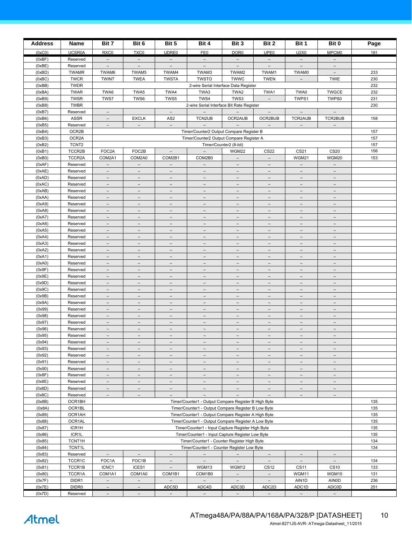| <b>Address</b>   | Name                       | Bit 7                                                | Bit 6                                                                                                 | Bit 5                                                | Bit 4                                                                                                       | Bit 3                                                | Bit 2                                                | Bit 1                                                | Bit 0                             | Page       |
|------------------|----------------------------|------------------------------------------------------|-------------------------------------------------------------------------------------------------------|------------------------------------------------------|-------------------------------------------------------------------------------------------------------------|------------------------------------------------------|------------------------------------------------------|------------------------------------------------------|-----------------------------------|------------|
| (0xC0)           | <b>UCSR0A</b>              | RXC0                                                 | TXC0                                                                                                  | <b>UDRE0</b>                                         | FE0                                                                                                         | DOR <sub>0</sub>                                     | UPE <sub>0</sub>                                     | U2X0                                                 | MPCM <sub>0</sub>                 | 191        |
| (0xBF)           | Reserved                   | $\overline{\phantom{a}}$                             | $\overline{\phantom{a}}$                                                                              | $\qquad \qquad -$                                    | $\overline{\phantom{a}}$                                                                                    | $\overline{\phantom{a}}$                             | $\overline{\phantom{a}}$                             | $\overline{\phantom{a}}$                             | $\qquad \qquad -$                 |            |
| (0xBE)           | Reserved                   | $\overline{\phantom{a}}$                             | $\overline{\phantom{a}}$                                                                              | $\qquad \qquad -$                                    | $\overline{\phantom{a}}$                                                                                    | $\overline{\phantom{a}}$                             | $\overline{\phantom{a}}$                             | $\qquad \qquad -$                                    |                                   |            |
| (0xBD)           | <b>TWAMR</b>               | TWAM6                                                | TWAM5                                                                                                 | TWAM4                                                | TWAM3                                                                                                       | TWAM2                                                | TWAM1                                                | TWAM0                                                | $\overline{\phantom{a}}$          | 233        |
| (0xBC)           | <b>TWCR</b>                | <b>TWINT</b>                                         | <b>TWEA</b>                                                                                           | <b>TWSTA</b>                                         | <b>TWSTO</b>                                                                                                | <b>TWWC</b>                                          | <b>TWEN</b>                                          | $\qquad \qquad -$                                    | <b>TWIE</b>                       | 230        |
| (0xBB)           | <b>TWDR</b>                |                                                      |                                                                                                       |                                                      | 2-wire Serial Interface Data Register                                                                       |                                                      |                                                      |                                                      |                                   | 232        |
| (0xBA)<br>(0xB9) | <b>TWAR</b><br><b>TWSR</b> | TWA6<br>TWS7                                         | TWA5<br>TWS6                                                                                          | TWA4<br>TWS5                                         | TWA3<br>TWS4                                                                                                | TWA2<br>TWS3                                         | TWA1<br>$\overline{\phantom{a}}$                     | TWA0<br>TWPS1                                        | <b>TWGCE</b><br>TWPS0             | 232<br>231 |
| (0xB8)           | <b>TWBR</b>                |                                                      |                                                                                                       |                                                      | 2-wire Serial Interface Bit Rate Register                                                                   |                                                      |                                                      |                                                      |                                   | 230        |
| (0xB7)           | Reserved                   | $\overline{\phantom{a}}$                             |                                                                                                       | $\overline{\phantom{m}}$                             | $\overline{\phantom{a}}$                                                                                    | $\overline{\phantom{a}}$                             | $\overline{\phantom{a}}$                             | $\overline{\phantom{a}}$                             | $\overline{\phantom{a}}$          |            |
| (0xB6)           | ASSR                       | $\overline{\phantom{m}}$                             | <b>EXCLK</b>                                                                                          | AS <sub>2</sub>                                      | TCN2UB                                                                                                      | OCR2AUB                                              | OCR2BUB                                              | TCR2AUB                                              | TCR2BUB                           | 158        |
| (0xB5)           | Reserved                   | $\qquad \qquad -$                                    | $\overline{\phantom{m}}$                                                                              | $\overline{\phantom{a}}$                             | $\overline{\phantom{a}}$                                                                                    | $\overline{\phantom{a}}$                             | $\overline{\phantom{m}}$                             | $\overline{\phantom{a}}$                             | $\overline{\phantom{m}}$          |            |
| (0xB4)           | OCR2B                      |                                                      |                                                                                                       |                                                      | Timer/Counter2 Output Compare Register B                                                                    |                                                      |                                                      |                                                      |                                   | 157        |
| (0xB3)           | OCR2A                      |                                                      |                                                                                                       |                                                      | Timer/Counter2 Output Compare Register A                                                                    |                                                      |                                                      |                                                      |                                   | 157        |
| (0xB2)           | TCNT <sub>2</sub>          |                                                      |                                                                                                       |                                                      |                                                                                                             | Timer/Counter2 (8-bit)                               |                                                      |                                                      |                                   | 157        |
| (0xB1)           | TCCR2B                     | FOC2A                                                | FOC2B                                                                                                 | $\overline{\phantom{0}}$                             | $\overline{\phantom{a}}$                                                                                    | WGM22                                                | <b>CS22</b>                                          | CS21                                                 | <b>CS20</b>                       | 156        |
| (0xB0)<br>(0xAF) | TCCR2A<br>Reserved         | COM2A1<br>$\overline{\phantom{a}}$                   | COM2A0<br>$\overline{\phantom{a}}$                                                                    | COM2B1<br>$\overline{\phantom{a}}$                   | COM2B0<br>$\overline{\phantom{a}}$                                                                          | $\overline{\phantom{m}}$<br>$\overline{\phantom{a}}$ | $\overline{\phantom{m}}$<br>$\overline{\phantom{a}}$ | WGM21<br>$\overline{\phantom{a}}$                    | WGM20<br>$\overline{\phantom{a}}$ | 153        |
| (0xAE)           | Reserved                   | $\overline{\phantom{a}}$                             | $\overline{\phantom{a}}$                                                                              | $\qquad \qquad -$                                    | $\overline{\phantom{m}}$                                                                                    | $\overline{\phantom{a}}$                             | $\equiv$                                             | $\overline{\phantom{a}}$                             | $\overline{\phantom{m}}$          |            |
| (0xAD)           | Reserved                   | $\overline{\phantom{a}}$                             | $\equiv$                                                                                              | $\overline{\phantom{0}}$                             | $\overline{\phantom{m}}$                                                                                    | $\overline{\phantom{a}}$                             | $\equiv$                                             | $\overline{\phantom{0}}$                             | $\overline{\phantom{m}}$          |            |
| (0xAC)           | Reserved                   | $\overline{\phantom{a}}$                             | $\overline{\phantom{a}}$                                                                              | $\qquad \qquad -$                                    | $\qquad \qquad -$                                                                                           | $\overline{\phantom{a}}$                             | $\overline{\phantom{a}}$                             | $\overline{\phantom{a}}$                             | $\qquad \qquad -$                 |            |
| (0xAB)           | Reserved                   | $\overline{\phantom{m}}$                             | $\qquad \qquad -$                                                                                     | $\overline{\phantom{0}}$                             | $\qquad \qquad -$                                                                                           | $\overline{\phantom{m}}$                             | $\qquad \qquad -$                                    | $\overline{\phantom{0}}$                             | $\qquad \qquad -$                 |            |
| (0xAA)           | Reserved                   | $\overline{\phantom{m}}$                             | $\overline{\phantom{m}}$                                                                              | $\overline{\phantom{a}}$                             | $\overline{\phantom{m}}$                                                                                    | $\qquad \qquad -$                                    | $\overline{\phantom{a}}$                             | $\qquad \qquad -$                                    | $\overline{\phantom{m}}$          |            |
| (0xA9)           | Reserved                   | $\qquad \qquad -$                                    | $\overline{\phantom{0}}$                                                                              | $\overline{\phantom{0}}$                             | $\overline{\phantom{0}}$                                                                                    | $\qquad \qquad -$                                    | $\overline{\phantom{0}}$                             | $\qquad \qquad -$                                    | $\overline{\phantom{0}}$          |            |
| (0xA8)           | Reserved                   | $\equiv$                                             | $\overline{\phantom{a}}$                                                                              | $\overline{\phantom{0}}$                             | $\qquad \qquad -$                                                                                           | $\overline{\phantom{a}}$                             | $\overline{\phantom{a}}$                             | $\qquad \qquad -$                                    | $\qquad \qquad -$                 |            |
| (0xA7)           | Reserved                   | $\overline{\phantom{a}}$                             | $\overline{\phantom{a}}$                                                                              | $\qquad \qquad -$                                    | $\qquad \qquad -$                                                                                           | $\overline{\phantom{a}}$                             | $\overline{\phantom{a}}$                             | $\overline{\phantom{a}}$                             | $\qquad \qquad -$                 |            |
| (0xA6)<br>(0xA5) | Reserved<br>Reserved       | $\overline{\phantom{a}}$<br>$\overline{\phantom{a}}$ | $\qquad \qquad -$<br>$\overline{\phantom{m}}$                                                         | $\overline{\phantom{a}}$                             | $\overline{\phantom{m}}$                                                                                    | $\overline{\phantom{a}}$<br>$\overline{\phantom{a}}$ | $\qquad \qquad -$<br>$\overline{\phantom{m}}$        | $\overline{\phantom{a}}$                             | $\overline{\phantom{m}}$          |            |
| (0xA4)           | Reserved                   | $\qquad \qquad -$                                    | $\overline{\phantom{a}}$                                                                              | $\overline{\phantom{0}}$                             | $\qquad \qquad -$                                                                                           | $\overline{\phantom{m}}$                             | $\overline{\phantom{a}}$                             | $\qquad \qquad -$                                    | $\qquad \qquad -$                 |            |
| (0xA3)           | Reserved                   | $\overline{\phantom{a}}$                             | $\overline{\phantom{a}}$                                                                              | $\overline{\phantom{a}}$                             | $\overline{\phantom{a}}$                                                                                    | $\overline{\phantom{a}}$                             | $\overline{\phantom{m}}$                             | $\overline{\phantom{a}}$                             | $\overline{\phantom{a}}$          |            |
| (0xA2)           | Reserved                   | $\overline{\phantom{a}}$                             | $\overline{\phantom{a}}$                                                                              | $\qquad \qquad -$                                    | $\overline{\phantom{m}}$                                                                                    | $\overline{\phantom{a}}$                             | $\overline{\phantom{a}}$                             | $\overline{\phantom{a}}$                             | $\overline{\phantom{m}}$          |            |
| (0xA1)           | Reserved                   | $\overline{\phantom{a}}$                             | $\equiv$                                                                                              | $\overline{\phantom{0}}$                             | $\overline{\phantom{m}}$                                                                                    | $\overline{\phantom{a}}$                             | $\equiv$                                             | $\overline{\phantom{0}}$                             | $\overline{\phantom{m}}$          |            |
| (0xA0)           | Reserved                   | $\overline{\phantom{a}}$                             | $\qquad \qquad -$                                                                                     | $\qquad \qquad -$                                    | $\qquad \qquad -$                                                                                           | $\overline{\phantom{a}}$                             | $\overline{\phantom{a}}$                             | $\qquad \qquad -$                                    | $\qquad \qquad -$                 |            |
| (0x9F)           | Reserved                   | $\qquad \qquad -$                                    | $\qquad \qquad -$                                                                                     | $\overline{\phantom{0}}$                             | $\qquad \qquad -$                                                                                           | $\overline{\phantom{m}}$                             | $\qquad \qquad -$                                    | $\qquad \qquad -$                                    | $\qquad \qquad -$                 |            |
| (0x9E)           | Reserved                   | $\qquad \qquad -$                                    | $\overline{\phantom{m}}$                                                                              | $\overline{\phantom{a}}$                             | $\overline{\phantom{m}}$                                                                                    | $\overline{\phantom{a}}$                             | $\overline{\phantom{a}}$                             | $\overline{\phantom{a}}$                             | $\overline{\phantom{m}}$          |            |
| (0x9D)<br>(0x9C) | Reserved                   | $\qquad \qquad -$<br>$\equiv$                        | $\overline{\phantom{0}}$<br>$\overline{\phantom{a}}$                                                  | $\overline{\phantom{0}}$<br>$\overline{\phantom{0}}$ | $\qquad \qquad -$<br>$\equiv$                                                                               | $\qquad \qquad -$<br>$\overline{\phantom{a}}$        | $\overline{\phantom{0}}$<br>$\overline{\phantom{a}}$ | $\overline{\phantom{0}}$<br>$\overline{\phantom{0}}$ | $\qquad \qquad -$<br>$\equiv$     |            |
| (0x9B)           | Reserved<br>Reserved       | $\overline{\phantom{a}}$                             | $\overline{\phantom{a}}$                                                                              | $\qquad \qquad -$                                    | $\overline{\phantom{m}}$                                                                                    | $\overline{\phantom{m}}$                             | $\overline{\phantom{a}}$                             | $\overline{\phantom{a}}$                             | $\qquad \qquad -$                 |            |
| (0x9A)           | Reserved                   | $\overline{\phantom{0}}$                             |                                                                                                       |                                                      |                                                                                                             |                                                      |                                                      |                                                      |                                   |            |
| (0x99)           | Reserved                   | $\overline{\phantom{a}}$                             | $\overline{\phantom{m}}$                                                                              | $\overline{\phantom{a}}$                             | $\overline{\phantom{m}}$                                                                                    | $\overline{\phantom{a}}$                             | $\overline{\phantom{m}}$                             | $\overline{\phantom{a}}$                             | $\overline{\phantom{m}}$          |            |
| (0x98)           | Reserved                   | $\overline{\phantom{a}}$                             | $\overline{\phantom{a}}$                                                                              | $\overline{\phantom{0}}$                             | $\qquad \qquad -$                                                                                           | $\overline{\phantom{m}}$                             | $\overline{\phantom{a}}$                             | $\qquad \qquad -$                                    | $\qquad \qquad -$                 |            |
| (0x97)           | Reserved                   | $\overline{\phantom{a}}$                             | $\overline{\phantom{a}}$                                                                              | $\overline{\phantom{a}}$                             | $\overline{\phantom{a}}$                                                                                    | $\overline{\phantom{a}}$                             | $\overline{\phantom{m}}$                             | $\overline{\phantom{a}}$                             | $\overline{\phantom{a}}$          |            |
| (0x96)           | Reserved                   | $\overline{\phantom{0}}$                             | $\overline{\phantom{a}}$                                                                              | $\overline{\phantom{0}}$                             | $\overline{\phantom{m}}$                                                                                    | $\overline{\phantom{a}}$                             | $\overline{\phantom{a}}$                             | $\overline{\phantom{0}}$                             | $\overline{\phantom{0}}$          |            |
| (0x95)           | Reserved                   | $\overline{\phantom{a}}$                             | $\equiv$                                                                                              | $\overline{\phantom{0}}$                             | $\overline{\phantom{m}}$                                                                                    | $\overline{\phantom{m}}$                             | $\equiv$                                             | $\qquad \qquad -$                                    | $\overline{\phantom{m}}$          |            |
| (0x94)<br>(0x93) | Reserved                   | $\qquad \qquad -$                                    | $\qquad \qquad -$                                                                                     | $\qquad \qquad -$                                    | $\qquad \qquad -$                                                                                           | $\qquad \qquad -$                                    | $\qquad \qquad -$                                    | $\qquad \qquad -$                                    | $\qquad \qquad -$                 |            |
| (0x92)           | Reserved<br>Reserved       | $-$<br>$-$                                           | $\overline{\phantom{0}}$<br>$-$                                                                       | $\overline{\phantom{0}}$<br>$-$                      | $-$                                                                                                         | $-$<br>$\qquad \qquad -$                             | $-$<br>$-$                                           | $-$<br>$\qquad \qquad -$                             | -<br>$-$                          |            |
| (0x91)           | Reserved                   | $\overline{\phantom{0}}$                             | $\overline{\phantom{0}}$                                                                              | $\qquad \qquad -$                                    | $\overline{a}$                                                                                              | $\overline{\phantom{0}}$                             | $\overline{\phantom{0}}$                             | $\overline{\phantom{m}}$                             | $\overline{a}$                    |            |
| (0x90)           | Reserved                   | $\equiv$                                             | $\overline{\phantom{a}}$                                                                              | $\bar{ }$                                            | $\overline{\phantom{a}}$                                                                                    | $\equiv$                                             | $\overline{\phantom{a}}$                             | $\bar{ }$                                            | $\overline{\phantom{a}}$          |            |
| (0x8F)           | Reserved                   | $\overline{\phantom{a}}$                             | $\overline{\phantom{m}}$                                                                              | $\overline{\phantom{a}}$                             | $\overline{\phantom{m}}$                                                                                    | $\overline{\phantom{a}}$                             | $\overline{\phantom{m}}$                             | $\overline{\phantom{a}}$                             | $\overline{\phantom{m}}$          |            |
| (0x8E)           | Reserved                   | $\overline{\phantom{a}}$                             | $\overline{\phantom{m}}$                                                                              | $\qquad \qquad -$                                    | $\overline{\phantom{m}}$                                                                                    | $\overline{\phantom{a}}$                             | $\overline{\phantom{m}}$                             | $\qquad \qquad -$                                    | $\overline{\phantom{m}}$          |            |
| (0x8D)           | Reserved                   | $\overline{\phantom{a}}$                             | $\overline{\phantom{a}}$                                                                              | $\overline{\phantom{a}}$                             | $-$                                                                                                         | $\overline{\phantom{a}}$                             | $\overline{\phantom{a}}$                             | $\overline{\phantom{a}}$                             | $\overline{\phantom{a}}$          |            |
| (0x8C)           | Reserved                   | $\qquad \qquad -$                                    | $\overline{\phantom{a}}$                                                                              | $\overline{\phantom{a}}$                             | $\qquad \qquad -$                                                                                           | $\qquad \qquad -$                                    | $\overline{\phantom{a}}$                             | $\overline{\phantom{a}}$                             | $\overline{\phantom{m}}$          |            |
| (0x8B)           | OCR1BH                     |                                                      |                                                                                                       |                                                      | Timer/Counter1 - Output Compare Register B High Byte                                                        |                                                      |                                                      |                                                      |                                   | 135        |
| (0x8A)           | OCR1BL                     |                                                      |                                                                                                       |                                                      | Timer/Counter1 - Output Compare Register B Low Byte                                                         |                                                      |                                                      |                                                      |                                   | 135        |
| (0x89)<br>(0x88) | OCR1AH<br>OCR1AL           |                                                      |                                                                                                       |                                                      | Timer/Counter1 - Output Compare Register A High Byte<br>Timer/Counter1 - Output Compare Register A Low Byte |                                                      |                                                      |                                                      |                                   | 135<br>135 |
| (0x87)           | ICR1H                      |                                                      |                                                                                                       |                                                      |                                                                                                             |                                                      |                                                      |                                                      |                                   | 135        |
| (0x86)           | ICR1L                      |                                                      | Timer/Counter1 - Input Capture Register High Byte<br>Timer/Counter1 - Input Capture Register Low Byte |                                                      |                                                                                                             |                                                      |                                                      |                                                      | 135                               |            |
| (0x85)           | TCNT1H                     |                                                      | Timer/Counter1 - Counter Register High Byte                                                           |                                                      |                                                                                                             |                                                      |                                                      |                                                      | 134                               |            |
| (0x84)           | TCNT1L                     |                                                      |                                                                                                       |                                                      | Timer/Counter1 - Counter Register Low Byte                                                                  |                                                      |                                                      |                                                      |                                   | 134        |
| (0x83)           | Reserved                   | $\overline{\phantom{a}}$                             | $\overline{\phantom{a}}$                                                                              | $\overline{\phantom{a}}$                             | $\overline{\phantom{m}}$                                                                                    | $\overline{\phantom{a}}$                             | $\overline{\phantom{a}}$                             | $\overline{\phantom{a}}$                             | $\overline{\phantom{a}}$          |            |
| (0x82)           | TCCR1C                     | FOC1A                                                | FOC1B                                                                                                 | $\overline{\phantom{a}}$                             | $ \,$                                                                                                       | $-$                                                  | $\overline{\phantom{a}}$                             | $\overline{\phantom{a}}$                             | $\overline{\phantom{a}}$          | 134        |
| (0x81)           | TCCR1B                     | ICNC1                                                | ICES1                                                                                                 | $\overline{\phantom{a}}$                             | WGM13                                                                                                       | WGM12                                                | CS <sub>12</sub>                                     | <b>CS11</b>                                          | <b>CS10</b>                       | 133        |
| (0x80)           | TCCR1A                     | COM1A1<br>$\equiv$                                   | COM1A0<br>$\equiv$                                                                                    | COM1B1<br>$\equiv$                                   | COM1B0<br>$\equiv$                                                                                          | $\qquad \qquad -$<br>$\equiv$                        | $-$<br>$\equiv$                                      | WGM11                                                | WGM10                             | 131        |
| (0x7F)<br>(0x7E) | DIDR1<br>DIDR <sub>0</sub> | $\overline{\phantom{a}}$                             | $\overline{\phantom{m}}$                                                                              | ADC5D                                                | ADC4D                                                                                                       | ADC3D                                                | ADC <sub>2</sub> D                                   | AIN1D<br>ADC1D                                       | <b>AINOD</b><br><b>ADC0D</b>      | 236<br>251 |
| (0x7D)           | Reserved                   | $\overline{\phantom{a}}$                             | $\overline{\phantom{a}}$                                                                              | $\overline{\phantom{a}}$                             | $\overline{\phantom{a}}$                                                                                    | $\overline{\phantom{a}}$                             | $\overline{\phantom{a}}$                             | $\overline{\phantom{a}}$                             | $\overline{\phantom{a}}$          |            |

Atmel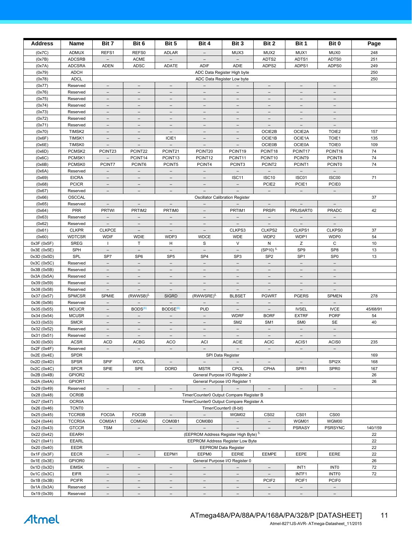| <b>Address</b>             | Name                          | Bit 7                                                | Bit 6                                                | Bit 5                                                | Bit 4                                         | Bit 3                                                | Bit 2                                                | Bit 1                                                | Bit 0                                                | Page     |
|----------------------------|-------------------------------|------------------------------------------------------|------------------------------------------------------|------------------------------------------------------|-----------------------------------------------|------------------------------------------------------|------------------------------------------------------|------------------------------------------------------|------------------------------------------------------|----------|
| (0x7C)                     | <b>ADMUX</b>                  | REFS1                                                | REFS0                                                | <b>ADLAR</b>                                         | $\overline{\phantom{a}}$                      | MUX3                                                 | MUX2                                                 | MUX1                                                 | MUX0                                                 | 248      |
| (0x7B)                     | <b>ADCSRB</b>                 | $\overline{\phantom{0}}$                             | <b>ACME</b>                                          |                                                      | $\overline{\phantom{a}}$                      | $\overline{\phantom{a}}$                             | ADTS2                                                | ADTS1                                                | ADTS0                                                | 251      |
| (0x7A)                     | <b>ADCSRA</b>                 | <b>ADEN</b>                                          | ADSC                                                 | ADATE                                                | <b>ADIF</b>                                   | ADIE                                                 | ADPS2                                                | ADPS1                                                | ADPS0                                                | 249      |
| (0x79)                     | <b>ADCH</b>                   |                                                      |                                                      |                                                      |                                               | ADC Data Register High byte                          |                                                      |                                                      |                                                      | 250      |
| (0x78)                     | <b>ADCL</b>                   |                                                      |                                                      |                                                      |                                               | ADC Data Register Low byte                           |                                                      |                                                      |                                                      | 250      |
| (0x77)                     | Reserved                      | $\equiv$                                             | $\overline{\phantom{a}}$                             | $\overline{\phantom{a}}$                             | $\equiv$                                      | $\equiv$                                             | $\overline{\phantom{0}}$                             | $\overline{\phantom{a}}$                             |                                                      |          |
| (0x76)                     | Reserved                      | $\overline{\phantom{m}}$                             | $\overline{\phantom{m}}$                             | $\overline{\phantom{m}}$                             | $\overline{\phantom{a}}$                      | $\overline{\phantom{a}}$                             | $\overline{\phantom{a}}$                             | $\overline{\phantom{a}}$                             | $\overline{\phantom{m}}$                             |          |
| (0x75)<br>(0x74)           | Reserved<br>Reserved          | $\overline{\phantom{a}}$<br>$\overline{\phantom{a}}$ | $\overline{\phantom{a}}$                             | $\overline{\phantom{a}}$<br>$\overline{\phantom{a}}$ | $\overline{\phantom{a}}$                      | $\overline{\phantom{a}}$                             | $\qquad \qquad -$<br>$\overline{\phantom{a}}$        | $\overline{\phantom{a}}$                             | $\overline{\phantom{m}}$                             |          |
| (0x73)                     | Reserved                      | $\qquad \qquad -$                                    | $\overline{\phantom{m}}$                             | $\overline{\phantom{m}}$                             | $\overline{\phantom{a}}$                      | $\overline{\phantom{m}}$                             | $\overline{\phantom{m}}$                             | $\overline{\phantom{m}}$                             | $\overline{\phantom{a}}$                             |          |
| (0x72)                     | Reserved                      | $\overline{\phantom{a}}$                             | $\overline{\phantom{a}}$                             | $\overline{\phantom{a}}$                             | $\overline{\phantom{a}}$                      | $\overline{\phantom{a}}$                             | $\overline{\phantom{a}}$                             | $\overline{\phantom{m}}$                             | $\overline{\phantom{a}}$                             |          |
| (0x71)                     | Reserved                      | $\overline{\phantom{a}}$                             | $\overline{\phantom{a}}$                             | $\overline{\phantom{a}}$                             | $\qquad \qquad -$                             | $\overline{\phantom{a}}$                             | $\overline{\phantom{a}}$                             | $\overline{\phantom{a}}$                             | $\overline{\phantom{a}}$                             |          |
| (0x70)                     | TIMSK2                        | $\overline{\phantom{a}}$                             | $\overline{\phantom{a}}$                             | $\overline{\phantom{a}}$                             | $\overline{\phantom{a}}$                      | $\overline{\phantom{a}}$                             | OCIE2B                                               | OCIE2A                                               | TOIE <sub>2</sub>                                    | 157      |
| (0x6F)                     | TIMSK1                        | $\overline{\phantom{a}}$                             | $\overline{\phantom{a}}$                             | ICIE1                                                | $\overline{\phantom{a}}$                      | $\overline{\phantom{a}}$                             | OCIE1B                                               | OCIE1A                                               | TOIE1                                                | 135      |
| (0x6E)                     | TIMSK0                        | $\overline{\phantom{a}}$                             | $\overline{\phantom{a}}$                             | $\overline{\phantom{a}}$                             | $\overline{\phantom{a}}$                      | $\overline{\phantom{a}}$                             | <b>OCIE0B</b>                                        | <b>OCIE0A</b>                                        | <b>TOIE0</b>                                         | 109      |
| (0x6D)                     | PCMSK2                        | PCINT23                                              | PCINT22                                              | PCINT21                                              | PCINT20                                       | PCINT19                                              | PCINT18                                              | PCINT17                                              | PCINT16                                              | 74       |
| (0x6C)<br>(0x6B)           | PCMSK1<br>PCMSK0              | $\overline{\phantom{a}}$<br>PCINT7                   | PCINT14<br>PCINT6                                    | PCINT <sub>13</sub><br>PCINT5                        | PCINT12<br>PCINT4                             | PCINT11<br>PCINT3                                    | PCINT10<br>PCINT2                                    | PCINT9<br>PCINT1                                     | PCINT8<br>PCINT0                                     | 74<br>74 |
| (0x6A)                     | Reserved                      | $\overline{\phantom{a}}$                             | $\overline{\phantom{a}}$                             | $\overline{\phantom{a}}$                             | $\overline{\phantom{a}}$                      | $\overline{\phantom{a}}$                             | $\overline{\phantom{a}}$                             | $\overline{\phantom{a}}$                             | $\overline{\phantom{a}}$                             |          |
| (0x69)                     | <b>EICRA</b>                  | $\overline{\phantom{a}}$                             |                                                      |                                                      |                                               | ISC11                                                | ISC <sub>10</sub>                                    | ISC01                                                | ISC00                                                | 71       |
| (0x68)                     | <b>PCICR</b>                  | $-$                                                  | $\overline{\phantom{a}}$                             | $-$                                                  | $\overline{\phantom{a}}$                      | $-$                                                  | PCIE2                                                | PCIE1                                                | PCIE0                                                |          |
| (0x67)                     | Reserved                      | $\overline{\phantom{m}}$                             | $\overline{\phantom{m}}$                             | $\overline{\phantom{a}}$                             | $\overline{\phantom{m}}$                      | $\overline{\phantom{a}}$                             | $\overline{\phantom{a}}$                             | $-$                                                  | $\overline{\phantom{a}}$                             |          |
| (0x66)                     | OSCCAL                        |                                                      |                                                      |                                                      |                                               | Oscillator Calibration Register                      |                                                      |                                                      |                                                      | 37       |
| (0x65)                     | Reserved                      | $-$                                                  | $\overline{\phantom{a}}$                             | $\overline{\phantom{a}}$                             | $\overline{\phantom{a}}$                      | $\overline{\phantom{0}}$                             | $\overline{\phantom{a}}$                             | $\overline{\phantom{a}}$                             | $\overline{\phantom{a}}$                             |          |
| (0x64)                     | <b>PRR</b>                    | <b>PRTWI</b>                                         | PRTIM2                                               | PRTIM0                                               | $\overline{\phantom{m}}$                      | PRTIM1                                               | <b>PRSPI</b>                                         | PRUSART0                                             | <b>PRADC</b>                                         | 42       |
| (0x63)                     | Reserved                      | $\overline{\phantom{a}}$                             | $\overline{\phantom{a}}$                             | $\overline{\phantom{a}}$                             | $\overline{\phantom{a}}$                      | $\overline{\phantom{a}}$                             | $\overline{\phantom{a}}$                             |                                                      | $\overline{\phantom{a}}$                             |          |
| (0x62)<br>(0x61)           | Reserved<br><b>CLKPR</b>      | $\overline{\phantom{a}}$<br><b>CLKPCE</b>            | $\overline{\phantom{a}}$                             | $\overline{\phantom{a}}$                             | $\overline{\phantom{a}}$                      | $-$<br>CLKPS3                                        | $\overline{\phantom{a}}$<br>CLKPS2                   | $\overline{\phantom{m}}$<br>CLKPS1                   | $\overline{\phantom{a}}$<br>CLKPS0                   | 37       |
| (0x60)                     | <b>WDTCSR</b>                 | <b>WDIF</b>                                          | $\overline{\phantom{m}}$<br><b>WDIE</b>              | $\overline{\phantom{a}}$<br>WDP3                     | $\overline{\phantom{a}}$<br><b>WDCE</b>       | <b>WDE</b>                                           | WDP2                                                 | WDP1                                                 | WDP0                                                 | 54       |
| 0x3F (0x5F)                | <b>SREG</b>                   | $\mathbf{L}$                                         | T.                                                   | н                                                    | S                                             | V                                                    | N                                                    | Z                                                    | C                                                    | 10       |
| 0x3E (0x5E)                | SPH                           | $\overline{\phantom{a}}$                             | $\overline{\phantom{m}}$                             | $\overline{\phantom{a}}$                             | $\overline{\phantom{a}}$                      | $\overline{\phantom{a}}$                             | $(SP10)^{5.}$                                        | SP <sub>9</sub>                                      | SP <sub>8</sub>                                      | 13       |
| 0x3D (0x5D)                | SPL                           | SP7                                                  | SP <sub>6</sub>                                      | SP <sub>5</sub>                                      | SP <sub>4</sub>                               | SP <sub>3</sub>                                      | SP <sub>2</sub>                                      | SP <sub>1</sub>                                      | SP <sub>0</sub>                                      | 13       |
| 0x3C (0x5C)                | Reserved                      | $\overline{\phantom{a}}$                             | $\overline{\phantom{a}}$                             | $\overline{\phantom{a}}$                             | $\overline{\phantom{a}}$                      | $\overline{\phantom{a}}$                             | $\overline{\phantom{a}}$                             | $\overline{\phantom{a}}$                             | $\overline{\phantom{a}}$                             |          |
| 0x3B (0x5B)                | Reserved                      | $\overline{\phantom{a}}$                             | $\overline{\phantom{m}}$                             | $\qquad \qquad -$                                    | $\overline{\phantom{a}}$                      | $\qquad \qquad -$                                    | $\overline{\phantom{a}}$                             | $\overline{\phantom{m}}$                             | $\overline{\phantom{a}}$                             |          |
| 0x3A (0x5A)                | Reserved                      | $\overline{\phantom{a}}$                             | $\overline{\phantom{a}}$                             | $\overline{\phantom{a}}$                             | $\overline{\phantom{a}}$                      | $\overline{\phantom{a}}$                             | $\overline{\phantom{a}}$                             | $\overline{\phantom{0}}$                             | $\overline{\phantom{a}}$                             |          |
| 0x39 (0x59)<br>0x38 (0x58) | Reserved<br>Reserved          | $\overline{\phantom{a}}$<br>$\overline{\phantom{a}}$ | $\overline{\phantom{a}}$<br>$\overline{\phantom{a}}$ | $\overline{\phantom{a}}$<br>$\overline{\phantom{a}}$ | $\overline{\phantom{a}}$<br>$\qquad \qquad -$ | $\overline{\phantom{a}}$<br>$\overline{\phantom{a}}$ | $\equiv$<br>$\overline{\phantom{a}}$                 | $\overline{\phantom{a}}$<br>$\overline{\phantom{a}}$ | $\overline{\phantom{a}}$<br>$\overline{\phantom{a}}$ |          |
| 0x37 (0x57)                | <b>SPMCSR</b>                 | SPMIE                                                | (RWWSB) <sup>5.</sup>                                | <b>SIGRD</b>                                         | (RWWSRE) <sup>5.</sup>                        | <b>BLBSET</b>                                        | <b>PGWRT</b>                                         | <b>PGERS</b>                                         | <b>SPMEN</b>                                         | 278      |
| 0x36 (0x56)                | Reserved                      | $\overline{\phantom{a}}$                             | $\overline{\phantom{0}}$                             | $\overline{\phantom{a}}$                             | $\equiv$                                      | $\overline{\phantom{a}}$                             | $\overline{\phantom{a}}$                             | $\overline{\phantom{0}}$                             | $\overline{\phantom{a}}$                             |          |
| 0x35 (0x55)                | <b>MCUCR</b>                  | $-$                                                  | BODS <sup>(6)</sup>                                  | BODSE <sup>(6)</sup>                                 | <b>PUD</b>                                    | $\overline{\phantom{a}}$                             | $\overline{\phantom{a}}$                             | <b>IVSEL</b>                                         | <b>IVCE</b>                                          | 45/68/91 |
| 0x34 (0x54)                | <b>MCUSR</b>                  | $\qquad \qquad -$                                    | $\overline{\phantom{m}}$                             |                                                      | $\overline{\phantom{m}}$                      | <b>WDRF</b>                                          | <b>BORF</b>                                          | <b>EXTRF</b>                                         | <b>PORF</b>                                          | 54       |
| 0x33 (0x53)                | <b>SMCR</b>                   | $\equiv$                                             | $\equiv$                                             | $\equiv$                                             | $\overline{\phantom{a}}$                      | SM <sub>2</sub>                                      | SM <sub>1</sub>                                      | SM <sub>0</sub>                                      | SE                                                   | 40       |
| 0x32 (0x52)                | Reserved                      | $\overline{\phantom{a}}$                             | $\overline{\phantom{m}}$                             | $\overline{\phantom{a}}$                             | $\overline{\phantom{a}}$                      | $\overline{\phantom{a}}$                             | $\overline{\phantom{a}}$                             | $\overline{\phantom{a}}$                             | $\overline{\phantom{a}}$                             |          |
| 0x31 (0x51)                | Reserved                      | $\overline{\phantom{0}}$                             | $\overline{\phantom{a}}$                             |                                                      |                                               |                                                      |                                                      |                                                      |                                                      |          |
| 0x30 (0x50)<br>0x2F (0x4F) | <b>ACSR</b><br>Reserved       | <b>ACD</b><br>$\qquad \qquad -$                      | <b>ACBG</b>                                          | <b>ACO</b><br>$\qquad \qquad -$                      | ACI                                           | <b>ACIE</b><br>$-$                                   | <b>ACIC</b>                                          | ACIS1                                                | ACIS0<br>$\overline{\phantom{m}}$                    | 235      |
| 0x2E (0x4E)                | <b>SPDR</b>                   |                                                      |                                                      |                                                      |                                               | SPI Data Register                                    |                                                      |                                                      |                                                      | 169      |
| 0x2D (0x4D)                | SPSR                          | <b>SPIF</b>                                          | <b>WCOL</b>                                          | $\overline{\phantom{0}}$                             | $\equiv$                                      | $\equiv$                                             |                                                      |                                                      | SPI2X                                                | 168      |
| 0x2C (0x4C)                | <b>SPCR</b>                   | SPIE                                                 | SPE                                                  | <b>DORD</b>                                          | <b>MSTR</b>                                   | CPOL                                                 | CPHA                                                 | SPR1                                                 | SPR <sub>0</sub>                                     | 167      |
| 0x2B (0x4B)                | GPIOR2                        |                                                      |                                                      |                                                      |                                               | General Purpose I/O Register 2                       |                                                      |                                                      |                                                      | 26       |
| 0x2A (0x4A)                | GPIOR1                        |                                                      |                                                      |                                                      |                                               | General Purpose I/O Register 1                       |                                                      |                                                      |                                                      | 26       |
| 0x29 (0x49)                | Reserved                      | $\overline{\phantom{m}}$                             | $\overline{\phantom{0}}$                             | $\overline{\phantom{a}}$                             |                                               |                                                      | $\overline{\phantom{a}}$                             | $\overline{\phantom{a}}$                             | $\overline{\phantom{m}}$                             |          |
| 0x28 (0x48)                | OCR0B                         |                                                      |                                                      |                                                      | Timer/Counter0 Output Compare Register B      |                                                      |                                                      |                                                      |                                                      |          |
| 0x27 (0x47)                | OCR0A                         |                                                      |                                                      |                                                      | Timer/Counter0 Output Compare Register A      | Timer/Counter0 (8-bit)                               |                                                      |                                                      |                                                      |          |
| 0x26 (0x46)<br>0x25 (0x45) | <b>TCNT0</b><br><b>TCCR0B</b> | FOC0A                                                | FOC0B                                                |                                                      |                                               | WGM02                                                | <b>CS02</b>                                          | <b>CS01</b>                                          | CS <sub>00</sub>                                     |          |
| 0x24 (0x44)                | <b>TCCR0A</b>                 | COM0A1                                               | COM0A0                                               | COM0B1                                               | COM0B0                                        | $\overline{\phantom{a}}$                             | $\overline{\phantom{a}}$                             | WGM01                                                | WGM00                                                |          |
| 0x23 (0x43)                | <b>GTCCR</b>                  | <b>TSM</b>                                           |                                                      | $\overline{\phantom{a}}$                             | $\overline{\phantom{a}}$                      | $\overline{\phantom{m}}$                             | $\overline{\phantom{a}}$                             | <b>PSRASY</b>                                        | <b>PSRSYNC</b>                                       | 140/159  |
| 0x22 (0x42)                | EEARH                         | (EEPROM Address Register High Byte) 5.               |                                                      |                                                      |                                               |                                                      |                                                      | 22                                                   |                                                      |          |
| 0x21 (0x41)                | <b>EEARL</b>                  |                                                      |                                                      |                                                      | EEPROM Address Register Low Byte              |                                                      |                                                      |                                                      |                                                      | 22       |
| 0x20 (0x40)                | EEDR                          |                                                      |                                                      |                                                      |                                               | <b>EEPROM Data Register</b>                          |                                                      |                                                      |                                                      | 22       |
| 0x1F (0x3F)                | EECR                          | $\overline{\phantom{a}}$                             |                                                      | EEPM1                                                | EEPM0                                         | EERIE                                                | <b>EEMPE</b>                                         | EEPE                                                 | EERE                                                 | 22       |
| 0x1E (0x3E)                | GPIOR0                        |                                                      |                                                      |                                                      |                                               | General Purpose I/O Register 0                       |                                                      |                                                      |                                                      | 26       |
| 0x1D (0x3D)                | <b>EIMSK</b>                  | $\overline{\phantom{a}}$<br>$\qquad \qquad -$        | $\overline{\phantom{m}}$<br>$\overline{\phantom{a}}$ | $\overline{\phantom{a}}$<br>$\overline{\phantom{a}}$ | $\overline{\phantom{a}}$<br>$\qquad \qquad -$ | $\overline{\phantom{a}}$<br>$\qquad \qquad -$        | $\overline{\phantom{a}}$<br>$\overline{\phantom{a}}$ | INT <sub>1</sub><br>INTF1                            | INT <sub>0</sub><br>INTF0                            | 72<br>72 |
| 0x1C (0x3C)<br>0x1B (0x3B) | <b>EIFR</b><br><b>PCIFR</b>   | $\overline{\phantom{a}}$                             | $\overline{\phantom{a}}$                             | $\equiv$                                             | $\equiv$                                      | $\overline{\phantom{a}}$                             | PCIF <sub>2</sub>                                    | PCIF1                                                | PCIF <sub>0</sub>                                    |          |
| 0x1A (0x3A)                | Reserved                      | $\overline{\phantom{a}}$                             | $\overline{\phantom{a}}$                             | $\overline{\phantom{a}}$                             | $\overline{\phantom{a}}$                      | $\overline{\phantom{a}}$                             | $\overline{\phantom{a}}$                             | $\overline{\phantom{a}}$                             | $\overline{\phantom{a}}$                             |          |
| 0x19 (0x39)                | Reserved                      |                                                      |                                                      |                                                      |                                               |                                                      |                                                      |                                                      |                                                      |          |

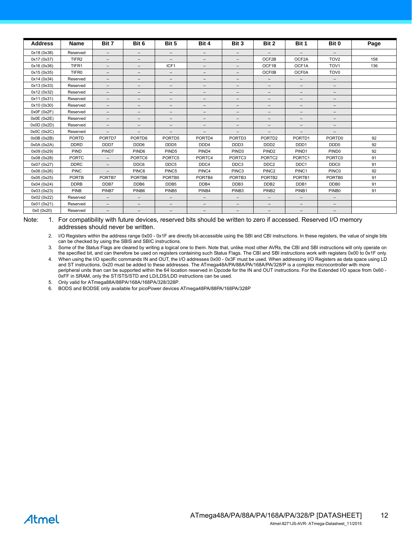| <b>Address</b> | <b>Name</b>       | Bit 7                    | Bit 6                    | Bit 5                    | Bit 4             | Bit 3                    | Bit 2                    | Bit 1             | Bit 0                    | Page |
|----------------|-------------------|--------------------------|--------------------------|--------------------------|-------------------|--------------------------|--------------------------|-------------------|--------------------------|------|
| 0x18 (0x38)    | Reserved          | $-$                      | $\qquad \qquad -$        | $\overline{\phantom{0}}$ | $\qquad \qquad -$ | $-$                      |                          |                   |                          |      |
| 0x17 (0x37)    | TIFR <sub>2</sub> | $\qquad \qquad -$        | $\qquad \qquad -$        | $\overline{\phantom{m}}$ | $\qquad \qquad -$ | $\qquad \qquad -$        | OCF2B                    | OCF2A             | TOV <sub>2</sub>         | 158  |
| 0x16 (0x36)    | TIFR1             | $\overline{\phantom{0}}$ | $\overline{\phantom{m}}$ | ICF1                     | $\qquad \qquad -$ | $\overline{\phantom{0}}$ | OCF1B                    | OCF1A             | TOV <sub>1</sub>         | 136  |
| 0x15 (0x35)    | TIFR <sub>0</sub> | $-$                      | $\qquad \qquad -$        | $\overline{\phantom{0}}$ | $\qquad \qquad -$ | -                        | <b>OCF0B</b>             | <b>OCF0A</b>      | TOV <sub>0</sub>         |      |
| 0x14 (0x34)    | Reserved          | $\qquad \qquad -$        | $\qquad \qquad -$        | $\qquad \qquad -$        | $\qquad \qquad -$ | $\qquad \qquad -$        | $\overline{\phantom{0}}$ | $\qquad \qquad -$ | $\qquad \qquad -$        |      |
| 0x13 (0x33)    | Reserved          | $\overline{\phantom{0}}$ | $\qquad \qquad -$        | -                        | $\qquad \qquad -$ | $\qquad \qquad -$        | $\qquad \qquad -$        | $\qquad \qquad -$ | $\qquad \qquad -$        |      |
| 0x12 (0x32)    | Reserved          | $-$                      | $\qquad \qquad -$        | $\overline{\phantom{0}}$ | $\qquad \qquad -$ | -                        | $\qquad \qquad -$        | $\qquad \qquad -$ | $\qquad \qquad -$        |      |
| 0x11 (0x31)    | Reserved          | $-$                      | $\qquad \qquad -$        | $\overline{\phantom{0}}$ | $\qquad \qquad -$ | $-$                      | $\qquad \qquad -$        | $\qquad \qquad -$ | $\overline{\phantom{0}}$ |      |
| 0x10 (0x30)    | Reserved          | $\qquad \qquad -$        | $\qquad \qquad -$        | $\overline{\phantom{0}}$ | $\qquad \qquad -$ | $\qquad \qquad -$        | $\qquad \qquad -$        | $\qquad \qquad -$ | $\qquad \qquad -$        |      |
| 0x0F (0x2F)    | Reserved          | $-$                      | $\qquad \qquad -$        | $\qquad \qquad -$        | $\qquad \qquad -$ | $\qquad \qquad -$        | $\qquad \qquad -$        | $\qquad \qquad -$ | $\qquad \qquad -$        |      |
| 0x0E(0x2E)     | Reserved          | $\qquad \qquad -$        | $\qquad \qquad -$        | $\overline{\phantom{m}}$ | $\qquad \qquad -$ | $\qquad \qquad -$        | $\qquad \qquad -$        | $\qquad \qquad -$ | $\qquad \qquad -$        |      |
| 0x0D(0x2D)     | Reserved          | $\overline{\phantom{0}}$ | $\qquad \qquad -$        | $\overline{\phantom{0}}$ | $\qquad \qquad -$ | $-$                      | $\qquad \qquad -$        | $\qquad \qquad -$ | $\overline{\phantom{0}}$ |      |
| 0x0C (0x2C)    | Reserved          | $\overline{\phantom{0}}$ | $\qquad \qquad -$        | $\overline{\phantom{m}}$ | $\qquad \qquad -$ | -                        | $\qquad \qquad -$        | $\qquad \qquad -$ | $\overline{\phantom{0}}$ |      |
| 0x0B(0x2B)     | <b>PORTD</b>      | PORTD7                   | PORTD6                   | PORTD5                   | PORTD4            | PORTD <sub>3</sub>       | PORTD <sub>2</sub>       | PORTD1            | PORTD0                   | 92   |
| 0x0A (0x2A)    | <b>DDRD</b>       | DDD7                     | DDD6                     | DDD <sub>5</sub>         | DDD4              | DDD3                     | DDD <sub>2</sub>         | DDD <sub>1</sub>  | DDD <sub>0</sub>         | 92   |
| 0x09 (0x29)    | <b>PIND</b>       | PIND7                    | PIND <sub>6</sub>        | PIND <sub>5</sub>        | PIND <sub>4</sub> | PIND <sub>3</sub>        | PIND <sub>2</sub>        | PIND <sub>1</sub> | PIND <sub>0</sub>        | 92   |
| 0x08 (0x28)    | <b>PORTC</b>      | $\overline{\phantom{0}}$ | PORTC6                   | PORTC5                   | PORTC4            | PORTC3                   | PORTC2                   | PORTC1            | PORTC0                   | 91   |
| 0x07 (0x27)    | <b>DDRC</b>       | $-$                      | DDC6                     | DDC5                     | DDC4              | DDC3                     | DDC <sub>2</sub>         | DDC1              | DDC0                     | 91   |
| 0x06 (0x26)    | <b>PINC</b>       | $-$                      | PINC6                    | PINC5                    | PINC4             | PINC <sub>3</sub>        | PINC <sub>2</sub>        | PINC1             | PINC <sub>0</sub>        | 92   |
| 0x05 (0x25)    | <b>PORTB</b>      | PORTB7                   | PORTB6                   | PORTB5                   | PORTB4            | PORTB <sub>3</sub>       | PORTB <sub>2</sub>       | PORTB1            | PORTB0                   | 91   |
| 0x04 (0x24)    | <b>DDRB</b>       | DDB7                     | DDB6                     | DDB <sub>5</sub>         | DDB4              | DDB <sub>3</sub>         | DDB <sub>2</sub>         | DDB1              | DDB0                     | 91   |
| 0x03 (0x23)    | PINB              | PINB7                    | PINB <sub>6</sub>        | PINB <sub>5</sub>        | PINB4             | PINB <sub>3</sub>        | PINB <sub>2</sub>        | PINB1             | PINB <sub>0</sub>        | 91   |
| 0x02 (0x22)    | Reserved          | $-$                      | $\qquad \qquad -$        | $\overline{\phantom{0}}$ | $\qquad \qquad -$ | $\qquad \qquad -$        | $\qquad \qquad -$        | $-$               | $\overline{\phantom{0}}$ |      |
| 0x01 (0x21)    | Reserved          | $\overline{\phantom{0}}$ | $\qquad \qquad -$        | $\overline{\phantom{0}}$ | $\qquad \qquad -$ | $\qquad \qquad -$        | $\qquad \qquad -$        | $\qquad \qquad -$ | $\qquad \qquad -$        |      |
| 0x0 (0x20)     | Reserved          | $-$                      | $\qquad \qquad -$        | $\overline{\phantom{0}}$ | $\qquad \qquad -$ | -                        | $\overline{\phantom{0}}$ | $\qquad \qquad -$ | $\qquad \qquad -$        |      |

Note: 1. For compatibility with future devices, reserved bits should be written to zero if accessed. Reserved I/O memory addresses should never be written.

2. I/O Registers within the address range 0x00 - 0x1F are directly bit-accessible using the SBI and CBI instructions. In these registers, the value of single bits can be checked by using the SBIS and SBIC instructions.

3. Some of the Status Flags are cleared by writing a logical one to them. Note that, unlike most other AVRs, the CBI and SBI instructions will only operate on the specified bit, and can therefore be used on registers containing such Status Flags. The CBI and SBI instructions work with registers 0x00 to 0x1F only.

4. When using the I/O specific commands IN and OUT, the I/O addresses 0x00 - 0x3F must be used. When addressing I/O Registers as data space using LD and ST instructions, 0x20 must be added to these addresses. The ATmega48A/PA/88A/PA/168A/PA/328/P is a complex microcontroller with more peripheral units than can be supported within the 64 location reserved in Opcode for the IN and OUT instructions. For the Extended I/O space from 0x60 -0xFF in SRAM, only the ST/STS/STD and LD/LDS/LDD instructions can be used.

<span id="page-11-1"></span>5. Only valid for ATmega88A/88PA/168A/168PA/328/328P.

<span id="page-11-0"></span>6. BODS and BODSE only available for picoPower devices ATmega48PA/88PA/168PA/328P

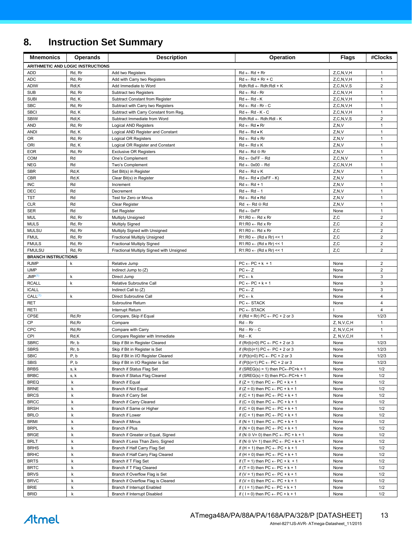# **8. Instruction Set Summary**

| <b>Mnemonics</b>           | <b>Operands</b>                   | <b>Description</b>                                         | Operation                                                                                    | <b>Flags</b>             | #Clocks                          |
|----------------------------|-----------------------------------|------------------------------------------------------------|----------------------------------------------------------------------------------------------|--------------------------|----------------------------------|
|                            | ARITHMETIC AND LOGIC INSTRUCTIONS |                                                            |                                                                                              |                          |                                  |
| <b>ADD</b>                 | Rd, Rr                            | Add two Registers                                          | $Rd \leftarrow Rd + Rr$                                                                      | Z, C, N, V, H            | $\mathbf{1}$                     |
| ADC                        | Rd, Rr                            | Add with Carry two Registers                               | $Rd \leftarrow Rd + Rr + C$                                                                  | Z, C, N, V, H            | $\mathbf{1}$                     |
| <b>ADIW</b>                | Rdl,K                             | Add Immediate to Word                                      | $Rdh:Rdl \leftarrow Rdh:Rdl + K$                                                             | Z, C, N, V, S            | $\overline{2}$                   |
| <b>SUB</b>                 | Rd, Rr                            | Subtract two Registers                                     | $Rd \leftarrow Rd - Rr$                                                                      | Z, C, N, V, H            | $\mathbf{1}$                     |
| <b>SUBI</b>                | Rd, K                             | Subtract Constant from Register                            | $Rd \leftarrow Rd - K$                                                                       | Z, C, N, V, H            | $\mathbf{1}$                     |
| <b>SBC</b>                 | Rd, Rr                            | Subtract with Carry two Registers                          | $Rd \leftarrow Rd - Rr - C$                                                                  | Z, C, N, V, H            | $\mathbf{1}$                     |
| <b>SBCI</b>                | Rd, K                             | Subtract with Carry Constant from Reg.                     | $Rd \leftarrow Rd - K - C$                                                                   | Z, C, N, V, H            | $\mathbf{1}$                     |
| <b>SBIW</b><br>AND         | Rdl,K<br>Rd, Rr                   | Subtract Immediate from Word                               | Rdh:Rdl ← Rdh:Rdl - K<br>$Rd \leftarrow Rd \bullet Rr$                                       | Z, C, N, V, S<br>Z, N, V | $\overline{2}$<br>$\mathbf{1}$   |
| <b>ANDI</b>                | Rd, K                             | Logical AND Registers<br>Logical AND Register and Constant | $Rd \leftarrow Rd \bullet K$                                                                 | Z, N, V                  | $\mathbf{1}$                     |
| 0R                         | Rd, Rr                            | Logical OR Registers                                       | $Rd \leftarrow Rd$ v Rr                                                                      | Z, N, V                  | $\mathbf{1}$                     |
| ORI                        | Rd, K                             | Logical OR Register and Constant                           | $Rd \leftarrow Rd \vee K$                                                                    | Z, N, V                  | $\mathbf{1}$                     |
| <b>EOR</b>                 | Rd, Rr                            | <b>Exclusive OR Registers</b>                              | $Rd \leftarrow Rd \oplus Rr$                                                                 | Z, N, V                  | $\mathbf{1}$                     |
| COM                        | Rd                                | One's Complement                                           | $Rd \leftarrow 0xFF - Rd$                                                                    | Z, C, N, V               | $\mathbf{1}$                     |
| <b>NEG</b>                 | Rd                                | Two's Complement                                           | $Rd \leftarrow 0x00 - Rd$                                                                    | Z, C, N, V, H            | $\mathbf{1}$                     |
| <b>SBR</b>                 | Rd,K                              | Set Bit(s) in Register                                     | $Rd \leftarrow Rd \vee K$                                                                    | Z, N, V                  | $\mathbf{1}$                     |
| <b>CBR</b>                 | Rd,K                              | Clear Bit(s) in Register                                   | $Rd \leftarrow Rd \bullet (0xFF - K)$                                                        | Z, N, V                  | $\mathbf{1}$                     |
| <b>INC</b>                 | Rd                                | Increment                                                  | $Rd \leftarrow Rd + 1$                                                                       | Z, N, V                  | $\mathbf{1}$                     |
| DEC                        | Rd                                | Decrement                                                  | $Rd \leftarrow Rd - 1$                                                                       | Z, N, V                  | $\mathbf{1}$                     |
| TST                        | Rd                                | Test for Zero or Minus                                     | $Rd \leftarrow Rd \bullet Rd$                                                                | Z, N, V                  | 1                                |
| <b>CLR</b>                 | Rd                                | <b>Clear Register</b>                                      | $Rd \leftarrow Rd \oplus Rd$                                                                 | Z.N.V                    | $\mathbf{1}$                     |
| <b>SER</b>                 | Rd                                | Set Register                                               | $Rd \leftarrow 0xFF$                                                                         | None                     | $\mathbf{1}$                     |
| MUL<br><b>MULS</b>         | Rd, Rr                            | Multiply Unsigned                                          | $R1:R0 \leftarrow Rd \times Rr$<br>$R1:R0 \leftarrow Rd \times Rr$                           | Z, C<br>Z, C             | $\overline{2}$<br>$\overline{2}$ |
| <b>MULSU</b>               | Rd, Rr<br>Rd, Rr                  | <b>Multiply Signed</b><br>Multiply Signed with Unsigned    | $R1:R0 \leftarrow Rd \times Rr$                                                              | Z, C                     | $\overline{\mathbf{c}}$          |
| <b>FMUL</b>                | Rd, Rr                            | Fractional Multiply Unsigned                               | $R1:R0 \leftarrow (Rd \times Rr) \leq 1$                                                     | Z, C                     | $\overline{2}$                   |
| <b>FMULS</b>               | Rd, Rr                            | <b>Fractional Multiply Signed</b>                          | $R1:R0 \leftarrow (Rd \times Rr) \le 1$                                                      | Z,C                      | $\overline{2}$                   |
| <b>FMULSU</b>              | Rd, Rr                            | Fractional Multiply Signed with Unsigned                   | $R1:R0 \leftarrow (Rd \times Rr) \le 1$                                                      | Z,C                      | $\overline{2}$                   |
| <b>BRANCH INSTRUCTIONS</b> |                                   |                                                            |                                                                                              |                          |                                  |
| <b>RJMP</b>                | k                                 | Relative Jump                                              | $PC \leftarrow PC + k + 1$                                                                   | None                     | $\overline{2}$                   |
| <b>IJMP</b>                |                                   | Indirect Jump to (Z)                                       | $PC \leftarrow Z$                                                                            | None                     | $\overline{2}$                   |
| JMP <sup>(1)</sup>         | k                                 | Direct Jump                                                | $PC \leftarrow k$                                                                            | None                     | 3                                |
| <b>RCALL</b>               | k                                 | Relative Subroutine Call                                   | $PC \leftarrow PC + k + 1$                                                                   | None                     | 3                                |
| <b>ICALL</b>               |                                   | Indirect Call to (Z)                                       | $PC \leftarrow Z$                                                                            | None                     | 3                                |
| CALL <sup>(1)</sup>        | k                                 | Direct Subroutine Call                                     | $PC \leftarrow k$                                                                            | None                     | $\overline{4}$                   |
| <b>RET</b>                 |                                   | Subroutine Return                                          | $PC \leftarrow$ STACK                                                                        | None                     | $\overline{4}$<br>4              |
| <b>RETI</b><br>CPSE        | Rd, Rr                            | Interrupt Return                                           | $PC \leftarrow$ STACK<br>if (Rd = Rr) PC $\leftarrow$ PC + 2 or 3                            | None                     | 1/2/3                            |
| CP                         | Rd, Rr                            | Compare, Skip if Equal<br>Compare                          | $Rd - Rr$                                                                                    | Z, N, V, C, H            | $\mathbf{1}$                     |
| CPC                        | Rd, Rr                            | Compare with Carry                                         | $Rd - Rr - C$                                                                                | Z, N, V, C, H            | $\mathbf{1}$                     |
| CPI                        | Rd,K                              | Compare Register with Immediate                            | $Rd - K$                                                                                     | Z, N, V, C, H            | $\mathbf{1}$                     |
| <b>SBRC</b>                | Rr, b                             | Skip if Bit in Register Cleared                            | if (Rr(b)=0) PC $\leftarrow$ PC + 2 or 3                                                     | None                     | 1/2/3                            |
| <b>SBRS</b>                | Rr, b                             | Skip if Bit in Register is Set                             | if (Rr(b)=1) PC $\leftarrow$ PC + 2 or 3                                                     | None                     | 1/2/3                            |
| <b>SBIC</b>                | P, b                              | Skip if Bit in I/O Register Cleared                        | if (P(b)=0) PC $\leftarrow$ PC + 2 or 3                                                      | None                     | 1/2/3                            |
| <b>SBIS</b>                | P, b                              | Skip if Bit in I/O Register is Set                         | if $(P(b)=1) PC \leftarrow PC + 2$ or 3                                                      | None                     | 1/2/3                            |
| <b>BRBS</b>                | s, k                              | Branch if Status Flag Set                                  | if (SREG(s) = 1) then $PC \leftarrow PC + k + 1$                                             | None                     | 1/2                              |
| <b>BRBC</b>                | s, k                              | Branch if Status Flag Cleared                              | if (SREG(s) = 0) then $PC \leftarrow PC+k + 1$                                               | None                     | 1/2                              |
| <b>BREQ</b>                | k                                 | <b>Branch if Equal</b>                                     | if $(Z = 1)$ then $PC \leftarrow PC + k + 1$                                                 | None                     | 1/2                              |
| <b>BRNE</b>                | k                                 | Branch if Not Equal                                        | if $(Z = 0)$ then $PC \leftarrow PC + k + 1$                                                 | None                     | 1/2                              |
| <b>BRCS</b>                | k                                 | Branch if Carry Set                                        | if $(C = 1)$ then $PC \leftarrow PC + k + 1$                                                 | None                     | 1/2                              |
| <b>BRCC</b>                | k                                 | Branch if Carry Cleared                                    | if $(C = 0)$ then $PC \leftarrow PC + k + 1$                                                 | None                     | 1/2                              |
| <b>BRSH</b><br><b>BRLO</b> | k<br>k                            | Branch if Same or Higher<br>Branch if Lower                | if $(C = 0)$ then $PC \leftarrow PC + k + 1$<br>if $(C = 1)$ then $PC \leftarrow PC + k + 1$ | None                     | 1/2<br>1/2                       |
| <b>BRMI</b>                | k                                 | <b>Branch if Minus</b>                                     | if (N = 1) then $PC \leftarrow PC + k + 1$                                                   | None<br>None             | 1/2                              |
| <b>BRPL</b>                | k                                 | Branch if Plus                                             | if (N = 0) then $PC \leftarrow PC + k + 1$                                                   | None                     | 1/2                              |
| <b>BRGE</b>                | k                                 | Branch if Greater or Equal, Signed                         | if (N $\oplus$ V= 0) then PC $\leftarrow$ PC + k + 1                                         | None                     | 1/2                              |
| <b>BRLT</b>                | k                                 | Branch if Less Than Zero, Signed                           | if (N $\oplus$ V= 1) then PC $\leftarrow$ PC + k + 1                                         | None                     | 1/2                              |
| <b>BRHS</b>                | k                                 | Branch if Half Carry Flag Set                              | if (H = 1) then $PC \leftarrow PC + k + 1$                                                   | None                     | 1/2                              |
| <b>BRHC</b>                | k                                 | Branch if Half Carry Flag Cleared                          | if (H = 0) then $PC \leftarrow PC + k + 1$                                                   | None                     | 1/2                              |
| <b>BRTS</b>                | k                                 | Branch if T Flag Set                                       | if $(T = 1)$ then PC $\leftarrow$ PC + k + 1                                                 | None                     | 1/2                              |
| <b>BRTC</b>                | k                                 | Branch if T Flag Cleared                                   | if $(T = 0)$ then $PC \leftarrow PC + k + 1$                                                 | None                     | 1/2                              |
| <b>BRVS</b>                | k                                 | Branch if Overflow Flag is Set                             | if (V = 1) then $PC \leftarrow PC + k + 1$                                                   | None                     | 1/2                              |
| <b>BRVC</b>                | k                                 | Branch if Overflow Flag is Cleared                         | if (V = 0) then $PC \leftarrow PC + k + 1$                                                   | None                     | 1/2                              |
| <b>BRIE</b>                | k                                 | Branch if Interrupt Enabled                                | if ( $1 = 1$ ) then $PC \leftarrow PC + k + 1$                                               | None                     | 1/2                              |
| <b>BRID</b>                | k                                 | Branch if Interrupt Disabled                               | if ( $1 = 0$ ) then $PC \leftarrow PC + k + 1$                                               | None                     | 1/2                              |

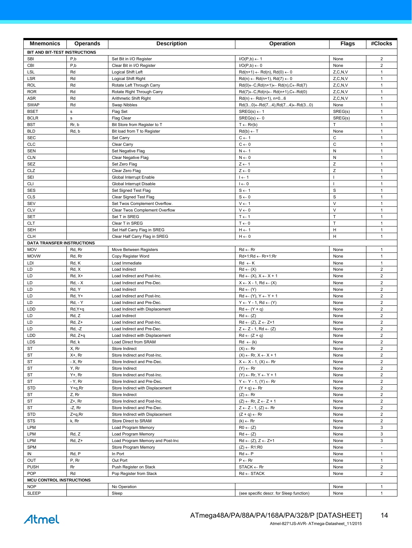| <b>Mnemonics</b>                              | <b>Operands</b>      | <b>Description</b>                                        | <b>Operation</b>                                                                               | <b>Flags</b>      | #Clocks                          |
|-----------------------------------------------|----------------------|-----------------------------------------------------------|------------------------------------------------------------------------------------------------|-------------------|----------------------------------|
| BIT AND BIT-TEST INSTRUCTIONS                 |                      |                                                           |                                                                                                |                   |                                  |
| <b>SBI</b>                                    | P,b                  | Set Bit in I/O Register                                   | $I/O(P,b) \leftarrow 1$                                                                        | None              | $\overline{2}$                   |
| CBI                                           | P,b                  | Clear Bit in I/O Register                                 | $I/O(P,b) \leftarrow 0$                                                                        | None              | $\overline{\mathbf{c}}$          |
| LSL                                           | Rd                   | Logical Shift Left                                        | $Rd(n+1) \leftarrow Rd(n), Rd(0) \leftarrow 0$                                                 | Z, C, N, V        | $\mathbf{1}$                     |
| <b>LSR</b>                                    | Rd                   | Logical Shift Right                                       | $Rd(n) \leftarrow Rd(n+1), Rd(7) \leftarrow 0$                                                 | Z, C, N, V        | $\mathbf{1}$                     |
| <b>ROL</b>                                    | Rd                   | Rotate Left Through Carry                                 | $Rd(0) \leftarrow C, Rd(n+1) \leftarrow Rd(n), C \leftarrow Rd(7)$                             | Z, C, N, V        | $\mathbf{1}$                     |
| <b>ROR</b>                                    | Rd                   | Rotate Right Through Carry                                | $Rd(7) \leftarrow C, Rd(n) \leftarrow Rd(n+1), C \leftarrow Rd(0)$                             | Z, C, N, V        | $\mathbf{1}$                     |
| <b>ASR</b><br><b>SWAP</b>                     | Rd<br>Rd             | Arithmetic Shift Right<br>Swap Nibbles                    | $Rd(n) \leftarrow Rd(n+1), n=06$                                                               | Z, C, N, V        | $\mathbf{1}$<br>$\mathbf{1}$     |
| <b>BSET</b>                                   | s                    | Flag Set                                                  | $Rd(30) \leftarrow Rd(74), Rd(74) \leftarrow Rd(30)$<br>$SREG(s) \leftarrow 1$                 | None<br>SREG(s)   | $\mathbf{1}$                     |
| <b>BCLR</b>                                   | $\mathbf s$          | Flag Clear                                                | $SREG(s) \leftarrow 0$                                                                         | SREG(s)           | $\mathbf{1}$                     |
| <b>BST</b>                                    | Rr, b                | Bit Store from Register to T                              | $T \leftarrow Rr(b)$                                                                           | T                 | $\mathbf{1}$                     |
| <b>BLD</b>                                    | Rd, b                | Bit load from T to Register                               | $Rd(b) \leftarrow T$                                                                           | None              | $\mathbf{1}$                     |
| <b>SEC</b>                                    |                      | Set Carry                                                 | $C \leftarrow 1$                                                                               | $\mathsf{C}$      | $\mathbf{1}$                     |
| <b>CLC</b>                                    |                      | Clear Carry                                               | $C \leftarrow 0$                                                                               | $\mathsf{C}$      | $\mathbf{1}$                     |
| <b>SEN</b>                                    |                      | Set Negative Flag                                         | $N \leftarrow 1$                                                                               | ${\sf N}$         | $\mathbf{1}$                     |
| <b>CLN</b>                                    |                      | Clear Negative Flag                                       | $N \leftarrow 0$                                                                               | ${\sf N}$         | $\mathbf{1}$                     |
| <b>SEZ</b>                                    |                      | Set Zero Flag                                             | $Z \leftarrow 1$                                                                               | $\mathsf Z$       | $\mathbf{1}$                     |
| CLZ                                           |                      | Clear Zero Flag                                           | $Z \leftarrow 0$                                                                               | Z<br>$\mathbf{I}$ | $\mathbf{1}$<br>$\mathbf{1}$     |
| SEI<br><b>CLI</b>                             |                      | Global Interrupt Enable<br>Global Interrupt Disable       | $I \leftarrow 1$<br>$I \leftarrow 0$                                                           | $\mathbf{I}$      | $\mathbf{1}$                     |
| <b>SES</b>                                    |                      | Set Signed Test Flag                                      | $S \leftarrow 1$                                                                               | S                 | $\mathbf{1}$                     |
| <b>CLS</b>                                    |                      | Clear Signed Test Flag                                    | $S \leftarrow 0$                                                                               | $\mathbf S$       | $\mathbf{1}$                     |
| <b>SEV</b>                                    |                      | Set Twos Complement Overflow.                             | $V \leftarrow 1$                                                                               | $\vee$            | $\mathbf{1}$                     |
| <b>CLV</b>                                    |                      | Clear Twos Complement Overflow                            | $V \leftarrow 0$                                                                               | $\vee$            | $\mathbf{1}$                     |
| <b>SET</b>                                    |                      | Set T in SREG                                             | $T \leftarrow 1$                                                                               | $\top$            | $\mathbf{1}$                     |
| <b>CLT</b>                                    |                      | Clear T in SREG                                           | $T \leftarrow 0$                                                                               | $\top$            | $\mathbf{1}$                     |
| <b>SEH</b>                                    |                      | Set Half Carry Flag in SREG                               | $H \leftarrow 1$                                                                               | H                 | $\mathbf{1}$                     |
| <b>CLH</b>                                    |                      | Clear Half Carry Flag in SREG                             | $H \leftarrow 0$                                                                               | H                 | $\mathbf{1}$                     |
| <b>DATA TRANSFER INSTRUCTIONS</b>             |                      |                                                           |                                                                                                |                   |                                  |
| <b>MOV</b><br><b>MOVW</b>                     | Rd, Rr<br>Rd, Rr     | Move Between Registers<br>Copy Register Word              | $Rd \leftarrow Rr$<br>$Rd+1:Rd \leftarrow Rr+1:Rr$                                             | None<br>None      | $\mathbf{1}$<br>$\mathbf{1}$     |
| LDI                                           | Rd, K                | Load Immediate                                            | $Rd \leftarrow K$                                                                              | None              | $\mathbf{1}$                     |
| LD                                            | Rd, X                | Load Indirect                                             | $Rd \leftarrow (X)$                                                                            | None              | $\overline{2}$                   |
| LD                                            | Rd, X+               | Load Indirect and Post-Inc.                               | $Rd \leftarrow (X), X \leftarrow X + 1$                                                        | None              | $\overline{2}$                   |
| LD                                            | <b>Rd, - X</b>       | Load Indirect and Pre-Dec.                                | $X \leftarrow X - 1$ , Rd $\leftarrow (X)$                                                     | None              | $\overline{2}$                   |
| LD                                            | Rd, Y                | Load Indirect                                             | $Rd \leftarrow (Y)$                                                                            | None              | $\overline{2}$                   |
| LD                                            | Rd, Y+               | Load Indirect and Post-Inc.                               | $Rd \leftarrow (Y), Y \leftarrow Y + 1$                                                        | None              | $\overline{2}$                   |
| LD                                            | <b>Rd, - Y</b>       | Load Indirect and Pre-Dec.                                | $Y \leftarrow Y - 1$ , Rd $\leftarrow (Y)$                                                     | None              | $\overline{2}$                   |
| <b>LDD</b>                                    | Rd, Y+q              | Load Indirect with Displacement                           | $Rd \leftarrow (Y + q)$                                                                        | None              | $\overline{\mathbf{c}}$          |
| LD                                            | Rd, Z                | Load Indirect                                             | $Rd \leftarrow (Z)$                                                                            | None              | $\overline{2}$<br>$\overline{2}$ |
| LD<br>LD                                      | $Rd, Z+$<br>$Rd, -Z$ | Load Indirect and Post-Inc.<br>Load Indirect and Pre-Dec. | $Rd \leftarrow (Z), Z \leftarrow Z+1$<br>$Z \leftarrow Z - 1$ , Rd $\leftarrow (Z)$            | None<br>None      | $\mathbf 2$                      |
| LDD                                           | Rd, Z+q              | Load Indirect with Displacement                           | $Rd \leftarrow (Z + q)$                                                                        | None              | $\overline{2}$                   |
| LDS                                           | Rd, k                | Load Direct from SRAM                                     | $Rd \leftarrow (k)$                                                                            | None              | $\overline{2}$                   |
| ST                                            | X, Rr                | Store Indirect                                            | $(X) \leftarrow Rr$                                                                            | None              | $\mathbf{2}$                     |
| <b>ST</b>                                     | X+, Rr               | Store Indirect and Post-Inc.                              | $(X) \leftarrow \mathsf{Rr}, X \leftarrow X + 1$                                               | None              | $\overline{2}$                   |
| <b>ST</b>                                     | $-X, Rr$             | Store Indirect and Pre-Dec.                               | $X \leftarrow X - 1$ , $(X) \leftarrow Rr$                                                     | None              | $\overline{2}$                   |
| ST                                            | Y, Rr                | Store Indirect                                            | $(Y) \leftarrow Rr$                                                                            | None              | $\overline{2}$                   |
| ST                                            | Y+, Rr               | Store Indirect and Post-Inc.                              | $(Y) \leftarrow Rr, Y \leftarrow Y + 1$                                                        | None              | $\overline{2}$                   |
| <b>ST</b>                                     | - Y, Rr              | Store Indirect and Pre-Dec.                               | $Y \leftarrow Y - 1$ , $(Y) \leftarrow Rr$                                                     | None              | $\overline{2}$                   |
| STD                                           | $Y+q, Rr$            | Store Indirect with Displacement                          | $(Y + q) \leftarrow Rr$                                                                        | None              | $\overline{2}$                   |
| ST                                            | Z, Rr                | Store Indirect<br>Store Indirect and Post-Inc.            | $(Z) \leftarrow Rr$                                                                            | None              | $\overline{2}$<br>$\overline{2}$ |
| ST<br>ST                                      | Z+, Rr<br>-Z, Rr     | Store Indirect and Pre-Dec.                               | $(Z) \leftarrow \mathsf{Rr}, Z \leftarrow Z + 1$<br>$Z \leftarrow Z - 1$ , $(Z) \leftarrow Rr$ | None<br>None      | $\overline{2}$                   |
| STD                                           | Z+q,Rr               | Store Indirect with Displacement                          | $(Z + q) \leftarrow Rr$                                                                        | None              | $\overline{2}$                   |
| <b>STS</b>                                    | k, Rr                | Store Direct to SRAM                                      | $(k) \leftarrow Rr$                                                                            | None              | $\overline{2}$                   |
| LPM                                           |                      | Load Program Memory                                       | $R0 \leftarrow (Z)$                                                                            | None              | 3                                |
| LPM                                           | Rd, Z                | Load Program Memory                                       | $Rd \leftarrow (Z)$                                                                            | None              | 3                                |
| LPM                                           | $Rd, Z+$             | Load Program Memory and Post-Inc                          | $Rd \leftarrow (Z), Z \leftarrow Z+1$                                                          | None              | 3                                |
| SPM                                           |                      | Store Program Memory                                      | $(Z) \leftarrow R1:R0$                                                                         | None              |                                  |
| IN                                            | Rd, P                | In Port                                                   | $Rd \leftarrow P$                                                                              | None              | $\mathbf{1}$                     |
| OUT                                           | P, Rr                | Out Port                                                  | $P \leftarrow Rr$                                                                              | None              | $\mathbf{1}$                     |
| <b>PUSH</b>                                   | Rr                   | Push Register on Stack                                    | $STACK \leftarrow Rr$                                                                          | None              | $\overline{2}$                   |
| <b>POP</b><br><b>MCU CONTROL INSTRUCTIONS</b> | Rd                   | Pop Register from Stack                                   | $Rd \leftarrow$ STACK                                                                          | None              | $\overline{2}$                   |
| <b>NOP</b>                                    |                      | No Operation                                              |                                                                                                | None              | $\mathbf{1}$                     |
| <b>SLEEP</b>                                  |                      | Sleep                                                     | (see specific descr. for Sleep function)                                                       | None              | 1                                |
|                                               |                      |                                                           |                                                                                                |                   |                                  |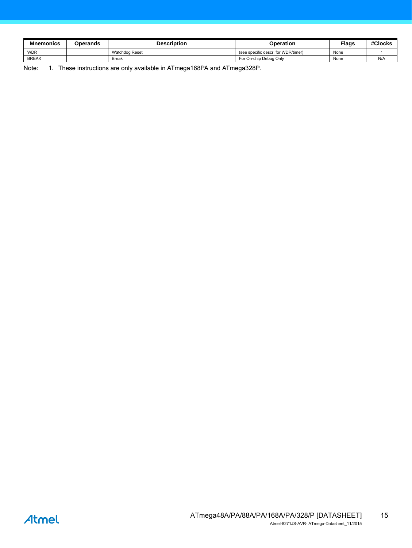| <b>Mnemonics</b> | Operands | Description    | Operation                           | <b>Flags</b> | #Clocks |
|------------------|----------|----------------|-------------------------------------|--------------|---------|
| <b>WDR</b>       |          | Watchdog Reset | (see specific descr. for WDR/timer) | None         |         |
| <b>BREAK</b>     |          | <b>Break</b>   | For On-chip Debug Only              | None         | N/A     |

<span id="page-14-0"></span>Note: 1. These instructions are only available in ATmega168PA and ATmega328P.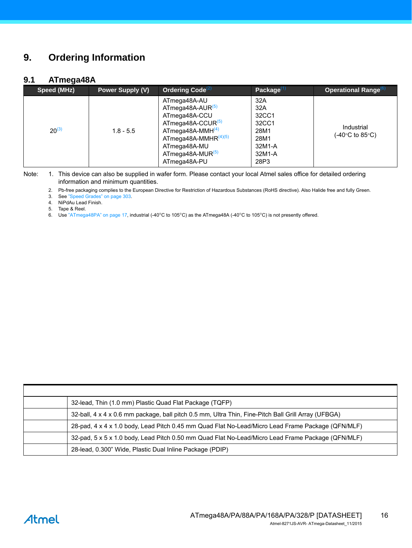# <span id="page-15-2"></span>**9. Ordering Information**

### **9.1 ATmega48A**

| Speed (MHz) | <b>Power Supply (V)</b> | Ordering Code <sup>(2)</sup>                                                                                                                                                                          | Package $^{(1)}$                                                         | <b>Operational Range</b> <sup>(6)</sup> |
|-------------|-------------------------|-------------------------------------------------------------------------------------------------------------------------------------------------------------------------------------------------------|--------------------------------------------------------------------------|-----------------------------------------|
| $20^{(3)}$  | $1.8 - 5.5$             | ATmega48A-AU<br>ATmega48A-AUR <sup>(5)</sup><br>ATmega48A-CCU<br>ATmega48A-CCUR <sup>(5)</sup><br>$ATmega48A-MMH(4)$<br>ATmega48A-MMHR $(4)(5)$<br>ATmega48A-MU<br>$ATmega48A-MUR(5)$<br>ATmega48A-PU | 32A<br>32A<br>32CC1<br>32CC1<br>28M1<br>28M1<br>32M1-A<br>32M1-A<br>28P3 | Industrial<br>(-40°C to 85°C)           |

Note: 1. This device can also be supplied in wafer form. Please contact your local Atmel sales office for detailed ordering information and minimum quantities.

2. Pb-free packaging complies to the European Directive for Restriction of Hazardous Substances (RoHS directive). Also Halide free and fully Green.

3. See "Speed Grades" on page 303.

<span id="page-15-0"></span>4. NiPdAu Lead Finish.

5. Tape & Reel.

<span id="page-15-1"></span>6. Use ["ATmega48PA" on page 17,](#page-16-0) industrial (-40°C to 105°C) as the ATmega48A (-40°C to 105°C) is not presently offered.

| 32-lead, Thin (1.0 mm) Plastic Quad Flat Package (TQFP)                                             |
|-----------------------------------------------------------------------------------------------------|
| 32-ball, 4 x 4 x 0.6 mm package, ball pitch 0.5 mm, Ultra Thin, Fine-Pitch Ball Grill Array (UFBGA) |
| 28-pad, 4 x 4 x 1.0 body, Lead Pitch 0.45 mm Quad Flat No-Lead/Micro Lead Frame Package (QFN/MLF)   |
| 32-pad, 5 x 5 x 1.0 body, Lead Pitch 0.50 mm Quad Flat No-Lead/Micro Lead Frame Package (QFN/MLF)   |
| 28-lead, 0.300" Wide, Plastic Dual Inline Package (PDIP)                                            |

# **Atmel**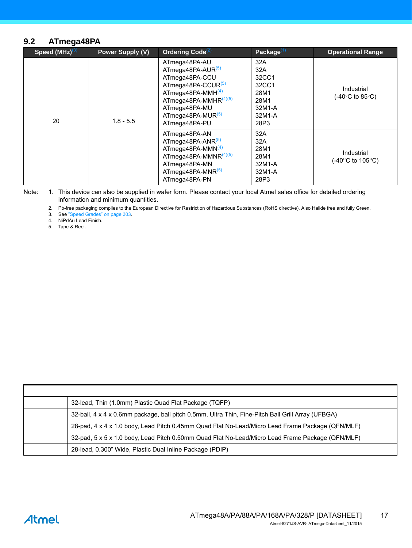#### <span id="page-16-0"></span>**9.2 ATmega48PA**

| Speed $(MHz)^{(3)}$ | Power Supply (V)                                                                                                                                                                                                 | Ordering Code <sup>(2)</sup>                                             | Package $(1)$                                                         | <b>Operational Range</b> |
|---------------------|------------------------------------------------------------------------------------------------------------------------------------------------------------------------------------------------------------------|--------------------------------------------------------------------------|-----------------------------------------------------------------------|--------------------------|
| 20<br>$1.8 - 5.5$   | ATmega48PA-AU<br>ATmega48PA-AUR <sup>(5)</sup><br>ATmega48PA-CCU<br>ATmega48PA-CCUR <sup>(5)</sup><br>ATmega48PA-MMH $(4)$<br>ATmega48PA-MMHR $(4)(5)$<br>ATmega48PA-MU<br>ATmega48PA-MUR $(5)$<br>ATmega48PA-PU | 32A<br>32A<br>32CC1<br>32CC1<br>28M1<br>28M1<br>32M1-A<br>32M1-A<br>28P3 | Industrial<br>(-40°C to 85°C)                                         |                          |
|                     | ATmega48PA-AN<br>ATmega48PA-ANR <sup>(5)</sup><br>ATmega48PA-MMN $(4)$<br>ATmega48PA-MMNR $(4)(5)$<br>ATmega48PA-MN<br>ATmega48PA-MNR <sup>(5)</sup><br>ATmega48PA-PN                                            | 32A<br>32A<br>28M1<br>28M1<br>32M1-A<br>32M1-A<br>28P3                   | Industrial<br>(-40 $\mathrm{^{\circ}C}$ to 105 $\mathrm{^{\circ}C}$ ) |                          |

<span id="page-16-3"></span><span id="page-16-2"></span><span id="page-16-1"></span>Note: 1. This device can also be supplied in wafer form. Please contact your local Atmel sales office for detailed ordering information and minimum quantities.

2. Pb-free packaging complies to the European Directive for Restriction of Hazardous Substances (RoHS directive). Also Halide free and fully Green.

3. See "Speed Grades" on page 303.

4. NiPdAu Lead Finish.

<span id="page-16-4"></span>5. Tape & Reel.

| 32-lead, Thin (1.0mm) Plastic Quad Flat Package (TQFP)                                            |
|---------------------------------------------------------------------------------------------------|
| 32-ball, 4 x 4 x 0.6mm package, ball pitch 0.5mm, Ultra Thin, Fine-Pitch Ball Grill Array (UFBGA) |
| 28-pad, 4 x 4 x 1.0 body, Lead Pitch 0.45mm Quad Flat No-Lead/Micro Lead Frame Package (QFN/MLF)  |
| 32-pad, 5 x 5 x 1.0 body, Lead Pitch 0.50mm Quad Flat No-Lead/Micro Lead Frame Package (QFN/MLF)  |
| 28-lead, 0.300" Wide, Plastic Dual Inline Package (PDIP)                                          |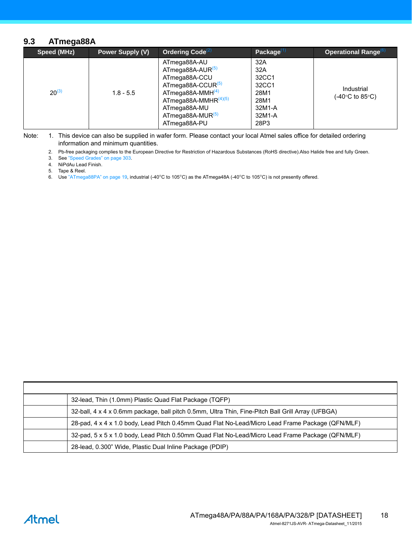#### **9.3 ATmega88A**

| Speed (MHz) | <b>Power Supply (V)</b> | Ordering Code <sup>(2)</sup>                                                                                                                                                                           | Package $^{(1)}$                                                         | Operational Range <sup>(6)</sup> |
|-------------|-------------------------|--------------------------------------------------------------------------------------------------------------------------------------------------------------------------------------------------------|--------------------------------------------------------------------------|----------------------------------|
| $20^{(3)}$  | $1.8 - 5.5$             | ATmega88A-AU<br>ATmega88A-AUR <sup>(5)</sup><br>ATmega88A-CCU<br>ATmega88A-CCUR <sup>(5)</sup><br>ATmega88A-MMH $(4)$<br>ATmega88A-MMHR $(4)(5)$<br>ATmega88A-MU<br>$ATmega88A-MUR(5)$<br>ATmega88A-PU | 32A<br>32A<br>32CC1<br>32CC1<br>28M1<br>28M1<br>32M1-A<br>32M1-A<br>28P3 | Industrial<br>(-40°C to 85°C).   |

Note: 1. This device can also be supplied in wafer form. Please contact your local Atmel sales office for detailed ordering information and minimum quantities.

2. Pb-free packaging complies to the European Directive for Restriction of Hazardous Substances (RoHS directive).Also Halide free and fully Green.

3. See "Speed Grades" on page 303.

4. NiPdAu Lead Finish.

<span id="page-17-0"></span>5. Tape & Reel.

<span id="page-17-1"></span>6. Use ["ATmega88PA" on page 19,](#page-18-4) industrial (-40°C to 105°C) as the ATmega48A (-40°C to 105°C) is not presently offered.

| 32-lead, Thin (1.0mm) Plastic Quad Flat Package (TQFP)                                            |
|---------------------------------------------------------------------------------------------------|
| 32-ball, 4 x 4 x 0.6mm package, ball pitch 0.5mm, Ultra Thin, Fine-Pitch Ball Grill Array (UFBGA) |
| 28-pad, 4 x 4 x 1.0 body, Lead Pitch 0.45mm Quad Flat No-Lead/Micro Lead Frame Package (QFN/MLF)  |
| 32-pad, 5 x 5 x 1.0 body, Lead Pitch 0.50mm Quad Flat No-Lead/Micro Lead Frame Package (QFN/MLF)  |
| 28-lead, 0.300" Wide, Plastic Dual Inline Package (PDIP)                                          |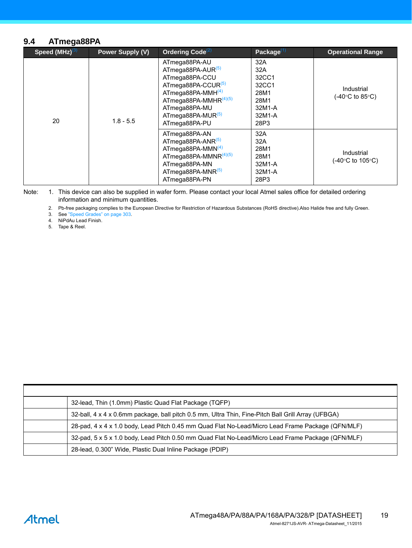#### <span id="page-18-4"></span>**9.4 ATmega88PA**

| Speed $(MHz)^{(3)}$ | Power Supply (V)                                                                                                                                                      | Ordering Code $^{(2)}$                                                                                                                                                                                        | Package $(1)$                                                            | <b>Operational Range</b>                               |
|---------------------|-----------------------------------------------------------------------------------------------------------------------------------------------------------------------|---------------------------------------------------------------------------------------------------------------------------------------------------------------------------------------------------------------|--------------------------------------------------------------------------|--------------------------------------------------------|
| 20<br>$1.8 - 5.5$   |                                                                                                                                                                       | ATmega88PA-AU<br>ATmega88PA-AUR(5)<br>ATmega88PA-CCU<br>ATmega88PA-CCUR <sup>(5)</sup><br>ATmega88PA-MMH $(4)$<br>ATmega88PA-MMHR $(4)(5)$<br>ATmega88PA-MU<br>ATmega88PA-MUR <sup>(5)</sup><br>ATmega88PA-PU | 32A<br>32A<br>32CC1<br>32CC1<br>28M1<br>28M1<br>32M1-A<br>32M1-A<br>28P3 | Industrial<br>$(-40^{\circ}C \text{ to } 85^{\circ}C)$ |
|                     | ATmega88PA-AN<br>ATmega88PA-ANR <sup>(5)</sup><br>ATmega88PA-MMN $(4)$<br>ATmega88PA-MMNR $(4)(5)$<br>ATmega88PA-MN<br>ATmega88PA-MNR <sup>(5)</sup><br>ATmega88PA-PN | 32A<br>32A<br>28M1<br>28M1<br>32M1-A<br>32M1-A<br>28P3                                                                                                                                                        | Industrial<br>(-40°C to 105°C)                                           |                                                        |

<span id="page-18-3"></span><span id="page-18-2"></span><span id="page-18-1"></span>Note: 1. This device can also be supplied in wafer form. Please contact your local Atmel sales office for detailed ordering information and minimum quantities.

2. Pb-free packaging complies to the European Directive for Restriction of Hazardous Substances (RoHS directive).Also Halide free and fully Green.

3. See "Speed Grades" on page 303.

<span id="page-18-0"></span>4. NiPdAu Lead Finish.

<span id="page-18-5"></span>5. Tape & Reel.

| 32-lead, Thin (1.0mm) Plastic Quad Flat Package (TQFP)                                             |
|----------------------------------------------------------------------------------------------------|
| 32-ball, 4 x 4 x 0.6mm package, ball pitch 0.5 mm, Ultra Thin, Fine-Pitch Ball Grill Array (UFBGA) |
| 28-pad, 4 x 4 x 1.0 body, Lead Pitch 0.45 mm Quad Flat No-Lead/Micro Lead Frame Package (QFN/MLF)  |
| 32-pad, 5 x 5 x 1.0 body, Lead Pitch 0.50 mm Quad Flat No-Lead/Micro Lead Frame Package (QFN/MLF)  |
| 28-lead, 0.300" Wide, Plastic Dual Inline Package (PDIP)                                           |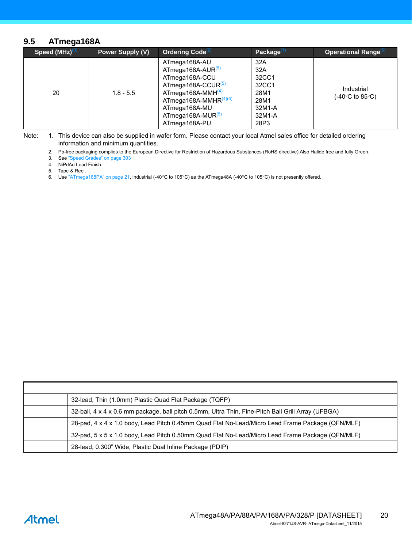#### **9.5 ATmega168A**

| Speed $(MHz)^{(3)}$ | Power Supply (V) | Ordering Code <sup>(2)</sup>                                                                                                                                                                                             | Package $^{(1)}$                                                         | Operational Range <sup>(6)</sup> |
|---------------------|------------------|--------------------------------------------------------------------------------------------------------------------------------------------------------------------------------------------------------------------------|--------------------------------------------------------------------------|----------------------------------|
| 20                  | $1.8 - 5.5$      | ATmega168A-AU<br>ATmega168A-AUR <sup>(5)</sup><br>ATmega168A-CCU<br>ATmega168A-CCUR <sup>(5)</sup><br>$ATmega168A-MMH(4)$<br>ATmega168A-MMHR $(4)(5)$<br>ATmega168A-MU<br>ATmega168A-MUR <sup>(5)</sup><br>ATmega168A-PU | 32A<br>32A<br>32CC1<br>32CC1<br>28M1<br>28M1<br>32M1-A<br>32M1-A<br>28P3 | Industrial<br>(-40°C to 85°C)    |

Note: 1. This device can also be supplied in wafer form. Please contact your local Atmel sales office for detailed ordering information and minimum quantities.

2. Pb-free packaging complies to the European Directive for Restriction of Hazardous Substances (RoHS directive).Also Halide free and fully Green.

3. See "Speed Grades" on page 303

4. NiPdAu Lead Finish.

<span id="page-19-0"></span>5. Tape & Reel.

<span id="page-19-1"></span>6. Use ["ATmega168PA" on page 21,](#page-20-4) industrial (-40°C to 105°C) as the ATmega48A (-40°C to 105°C) is not presently offered.

| 32-lead, Thin (1.0mm) Plastic Quad Flat Package (TQFP)                                             |
|----------------------------------------------------------------------------------------------------|
| 32-ball, 4 x 4 x 0.6 mm package, ball pitch 0.5mm, Ultra Thin, Fine-Pitch Ball Grill Array (UFBGA) |
| 28-pad, 4 x 4 x 1.0 body, Lead Pitch 0.45mm Quad Flat No-Lead/Micro Lead Frame Package (QFN/MLF)   |
| 32-pad, 5 x 5 x 1.0 body, Lead Pitch 0.50mm Quad Flat No-Lead/Micro Lead Frame Package (QFN/MLF)   |
| 28-lead, 0.300" Wide, Plastic Dual Inline Package (PDIP)                                           |

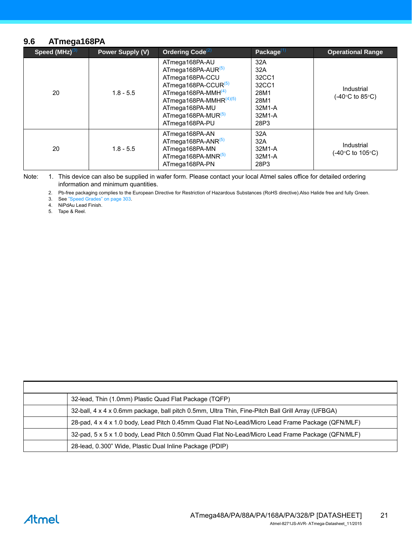#### <span id="page-20-4"></span>**9.6 ATmega168PA**

| Speed $(MHz)^{(3)}$ | Power Supply (V) | Ordering Code <sup>(2)</sup>                                                                                                                                                                                              | Package $(1)$                                                            | <b>Operational Range</b>                           |
|---------------------|------------------|---------------------------------------------------------------------------------------------------------------------------------------------------------------------------------------------------------------------------|--------------------------------------------------------------------------|----------------------------------------------------|
| 20                  | $1.8 - 5.5$      | ATmega168PA-AU<br>ATmega168PA-AUR <sup>(5)</sup><br>ATmega168PA-CCU<br>ATmega168PA-CCUR <sup>(5)</sup><br>ATmega168PA-MMH $(4)$<br>ATmega168PA-MMHR $(4)(5)$<br>ATmega168PA-MU<br>ATmega168PA-MUR $(5)$<br>ATmega168PA-PU | 32A<br>32A<br>32CC1<br>32CC1<br>28M1<br>28M1<br>32M1-A<br>32M1-A<br>28P3 | Industrial<br>$(-40^{\circ}$ C to 85 $^{\circ}$ C) |
| 20                  | $1.8 - 5.5$      | ATmega168PA-AN<br>ATmega168PA-ANR $^{(5)}$<br>ATmega168PA-MN<br>ATmega168PA-MNR(5)<br>ATmega168PA-PN                                                                                                                      | 32A<br>32A<br>32M1-A<br>32M1-A<br>28P3                                   | Industrial<br>(-40°C to 105°C)                     |

<span id="page-20-1"></span><span id="page-20-0"></span>Note: 1. This device can also be supplied in wafer form. Please contact your local Atmel sales office for detailed ordering information and minimum quantities.

2. Pb-free packaging complies to the European Directive for Restriction of Hazardous Substances (RoHS directive).Also Halide free and fully Green.

3. See "Speed Grades" on page 303.

<span id="page-20-3"></span>4. NiPdAu Lead Finish.

<span id="page-20-2"></span>5. Tape & Reel.

| 32-lead, Thin (1.0mm) Plastic Quad Flat Package (TQFP)                                            |
|---------------------------------------------------------------------------------------------------|
| 32-ball, 4 x 4 x 0.6mm package, ball pitch 0.5mm, Ultra Thin, Fine-Pitch Ball Grill Array (UFBGA) |
| 28-pad, 4 x 4 x 1.0 body, Lead Pitch 0.45mm Quad Flat No-Lead/Micro Lead Frame Package (QFN/MLF)  |
| 32-pad, 5 x 5 x 1.0 body, Lead Pitch 0.50mm Quad Flat No-Lead/Micro Lead Frame Package (QFN/MLF)  |
| 28-lead, 0.300" Wide, Plastic Dual Inline Package (PDIP)                                          |

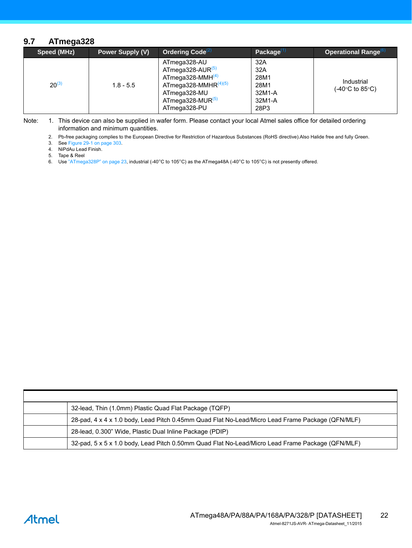#### <span id="page-21-3"></span>**9.7 ATmega328**

| Speed (MHz) | Power Supply (V) | Ordering Code <sup>(2)</sup>                                                                                                                                  | Package $^{(1)}$                                       | Operational Range <sup>(6)</sup> |
|-------------|------------------|---------------------------------------------------------------------------------------------------------------------------------------------------------------|--------------------------------------------------------|----------------------------------|
| $20^{(3)}$  | $1.8 - 5.5$      | ATmega328-AU<br>$AT$ mega328-AUR $^{(5)}$<br>$ATmega328-MMH(4)$<br>ATmega328-MMHR $^{(4)(5)}$<br>ATmega328-MU<br>ATmega328-MUR <sup>(5)</sup><br>ATmega328-PU | 32A<br>32A<br>28M1<br>28M1<br>32M1-A<br>32M1-A<br>28P3 | Industrial<br>(-40°C to 85°C).   |

Note: 1. This device can also be supplied in wafer form. Please contact your local Atmel sales office for detailed ordering information and minimum quantities.

2. Pb-free packaging complies to the European Directive for Restriction of Hazardous Substances (RoHS directive).Also Halide free and fully Green.

<span id="page-21-2"></span>3. See Figure 29-1 on page 303.

4. NiPdAu Lead Finish.

<span id="page-21-0"></span>5. Tape & Reel

<span id="page-21-1"></span>6. Use ["ATmega328P" on page 23,](#page-22-0) industrial (-40°C to 105°C) as the ATmega48A (-40°C to 105°C) is not presently offered.

| 32-lead, Thin (1.0mm) Plastic Quad Flat Package (TQFP)                                           |
|--------------------------------------------------------------------------------------------------|
| 28-pad, 4 x 4 x 1.0 body, Lead Pitch 0.45mm Quad Flat No-Lead/Micro Lead Frame Package (QFN/MLF) |
| 28-lead, 0.300" Wide, Plastic Dual Inline Package (PDIP)                                         |
| 32-pad, 5 x 5 x 1.0 body, Lead Pitch 0.50mm Quad Flat No-Lead/Micro Lead Frame Package (QFN/MLF) |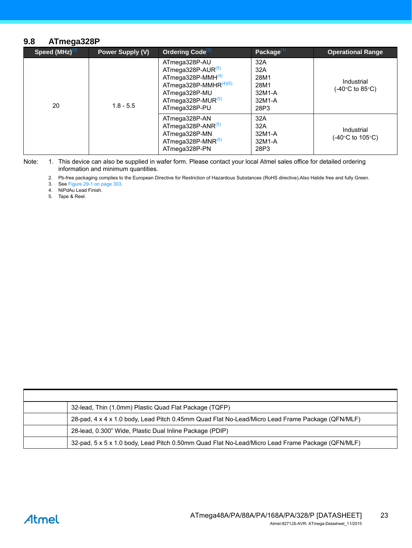#### <span id="page-22-0"></span>**9.8 ATmega328P**

| Speed $(MHz)^{(3)}$ | <b>Power Supply (V)</b> | Ordering Code <sup>(2)</sup>                                                                                                                        | Package $^{(1)}$                                       | <b>Operational Range</b>        |
|---------------------|-------------------------|-----------------------------------------------------------------------------------------------------------------------------------------------------|--------------------------------------------------------|---------------------------------|
| 20                  | $1.8 - 5.5$             | ATmega328P-AU<br>ATmega328P-AUR $(5)$<br>ATmega328P-MMH $(4)$<br>ATmega328P-MMHR $(4)(5)$<br>ATmega328P-MU<br>ATmega328P-MUR $(5)$<br>ATmega328P-PU | 32A<br>32A<br>28M1<br>28M1<br>32M1-A<br>32M1-A<br>28P3 | Industrial<br>(-40°C to 85°C).  |
|                     |                         | ATmega328P-AN<br>ATmega328P-ANR $(5)$<br>ATmega328P-MN<br>ATmega328P-MNR $^{(5)}$<br>ATmega328P-PN                                                  | 32A<br>32A<br>32M1-A<br>32M1-A<br>28P3                 | Industrial<br>(-40°C to 105°C). |

Note: 1. This device can also be supplied in wafer form. Please contact your local Atmel sales office for detailed ordering information and minimum quantities.

2. Pb-free packaging complies to the European Directive for Restriction of Hazardous Substances (RoHS directive).Also Halide free and fully Green.

<span id="page-22-2"></span>3. See Figure 29-1 on page 303.

4. NiPdAu Lead Finish.

<span id="page-22-1"></span>5. Tape & Reel.

| 32-lead, Thin (1.0mm) Plastic Quad Flat Package (TQFP)                                           |
|--------------------------------------------------------------------------------------------------|
| 28-pad, 4 x 4 x 1.0 body, Lead Pitch 0.45mm Quad Flat No-Lead/Micro Lead Frame Package (QFN/MLF) |
| 28-lead, 0.300" Wide, Plastic Dual Inline Package (PDIP)                                         |
| 32-pad, 5 x 5 x 1.0 body, Lead Pitch 0.50mm Quad Flat No-Lead/Micro Lead Frame Package (QFN/MLF) |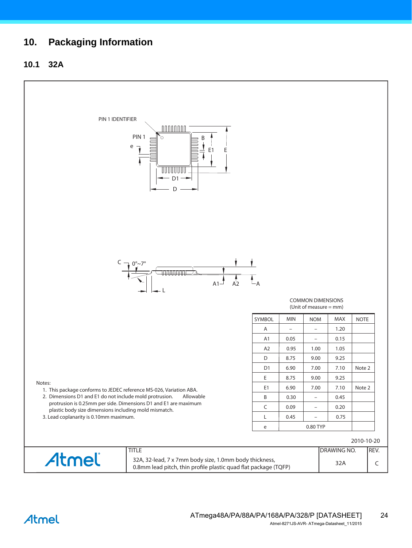# <span id="page-23-0"></span>**10. Packaging Information**

# **10.1 32A**

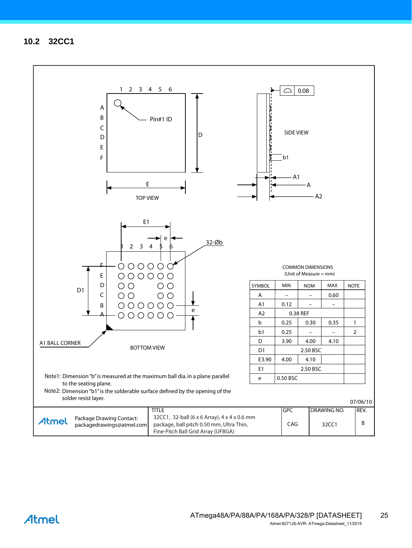<span id="page-24-0"></span>**10.2 32CC1**



Atmel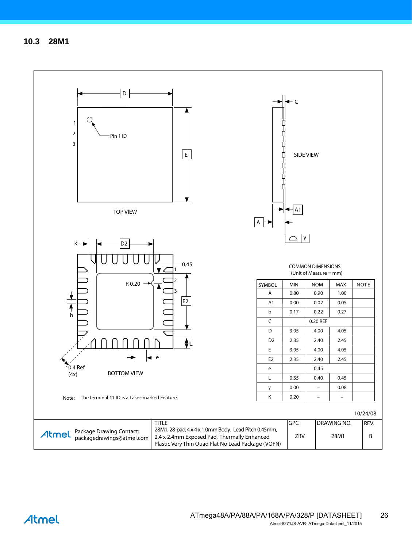

# Atmel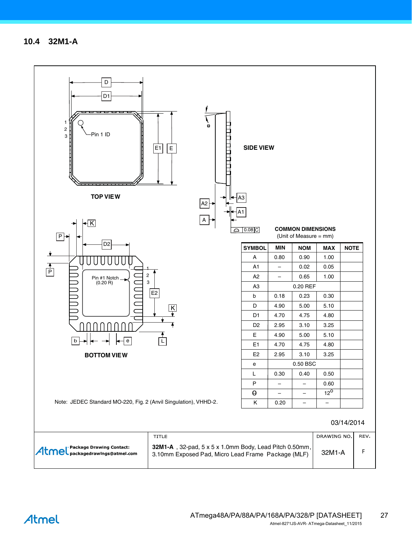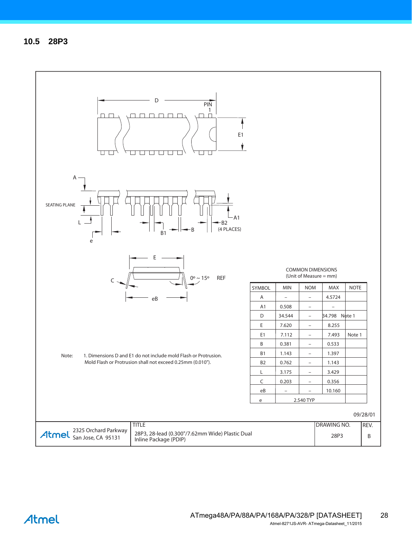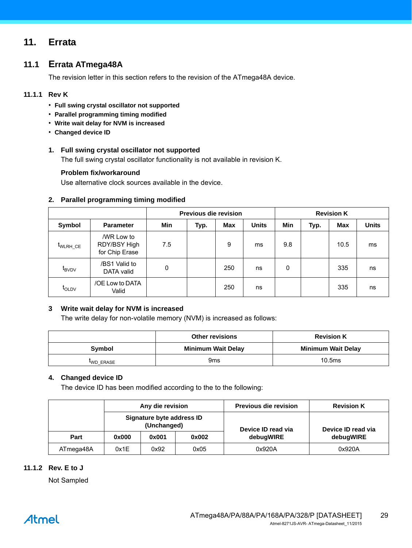# <span id="page-28-0"></span>**11. Errata**

# **11.1 Errata ATmega48A**

The revision letter in this section refers to the revision of the ATmega48A device.

#### **11.1.1 Rev K**

- **Full swing crystal oscillator not supported**
- **Parallel programming timing modified**
- **Write wait delay for NVM is increased**
- **Changed device ID**

#### **1. Full swing crystal oscillator not supported**

The full swing crystal oscillator functionality is not available in revision K.

#### **Problem fix/workaround**

Use alternative clock sources available in the device.

#### **2. Parallel programming timing modified**

|                   |                                              | <b>Previous die revision</b> |      |     |              | <b>Revision K</b> |      |            |              |
|-------------------|----------------------------------------------|------------------------------|------|-----|--------------|-------------------|------|------------|--------------|
| Symbol            | <b>Parameter</b>                             | Min                          | Typ. | Max | <b>Units</b> | Min               | Typ. | <b>Max</b> | <b>Units</b> |
| WLRH CE           | /WR Low to<br>RDY/BSY High<br>for Chip Erase | 7.5                          |      | 9   | ms           | 9.8               |      | 10.5       | ms           |
| $t_{\text{BVDV}}$ | /BS1 Valid to<br>DATA valid                  | 0                            |      | 250 | ns           | 0                 |      | 335        | ns           |
| <b>LOLDV</b>      | /OE Low to DATA<br>Valid                     |                              |      | 250 | ns           |                   |      | 335        | ns           |

#### **3 Write wait delay for NVM is increased**

The write delay for non-volatile memory (NVM) is increased as follows:

|          | Other revisions<br><b>Revision K</b> |                           |  |  |
|----------|--------------------------------------|---------------------------|--|--|
| Symbol   | <b>Minimum Wait Delay</b>            | <b>Minimum Wait Delay</b> |  |  |
| WD ERASE | 9 <sub>ms</sub>                      | 10.5ms                    |  |  |

#### **4. Changed device ID**

The device ID has been modified according to the to the following:

|           | Any die revision |                                          |       | <b>Previous die revision</b> | <b>Revision K</b>  |  |
|-----------|------------------|------------------------------------------|-------|------------------------------|--------------------|--|
|           |                  | Signature byte address ID<br>(Unchanged) |       | Device ID read via           | Device ID read via |  |
| Part      | 0x000            | 0x001                                    | 0x002 | debugWIRE                    | debugWIRE          |  |
| ATmega48A | 0x1E             | 0x92                                     | 0x05  | 0x920A                       | 0x920A             |  |

#### **11.1.2 Rev. E to J**

Not Sampled

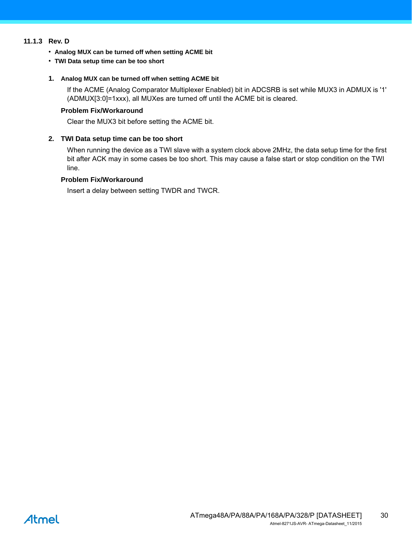#### **11.1.3 Rev. D**

- **Analog MUX can be turned off when setting ACME bit**
- **TWI Data setup time can be too short**

#### **1. Analog MUX can be turned off when setting ACME bit**

If the ACME (Analog Comparator Multiplexer Enabled) bit in ADCSRB is set while MUX3 in ADMUX is '1' (ADMUX[3:0]=1xxx), all MUXes are turned off until the ACME bit is cleared.

#### **Problem Fix/Workaround**

Clear the MUX3 bit before setting the ACME bit.

#### **2. TWI Data setup time can be too short**

When running the device as a TWI slave with a system clock above 2MHz, the data setup time for the first bit after ACK may in some cases be too short. This may cause a false start or stop condition on the TWI line.

#### **Problem Fix/Workaround**

Insert a delay between setting TWDR and TWCR.

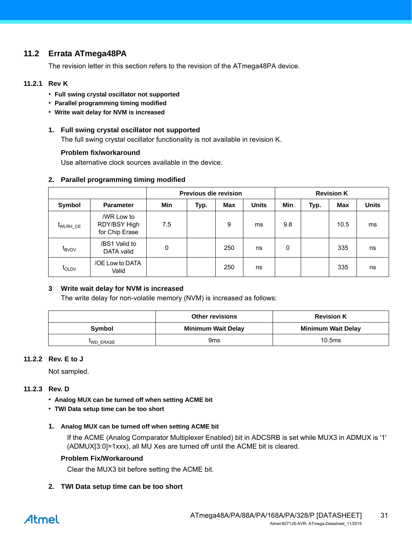# <span id="page-30-0"></span>**11.2 Errata ATmega48PA**

The revision letter in this section refers to the revision of the ATmega48PA device.

#### **11.2.1 Rev K**

- **Full swing crystal oscillator not supported**
- **Parallel programming timing modified**
- **Write wait delay for NVM is increased**

#### **1. Full swing crystal oscillator not supported**

The full swing crystal oscillator functionality is not available in revision K.

#### **Problem fix/workaround**

Use alternative clock sources available in the device.

#### **2. Parallel programming timing modified**

|                   |                                              | <b>Previous die revision</b> |      |     |              | <b>Revision K</b> |      |            |              |
|-------------------|----------------------------------------------|------------------------------|------|-----|--------------|-------------------|------|------------|--------------|
| Symbol            | <b>Parameter</b>                             | Min                          | Typ. | Max | <b>Units</b> | Min               | Typ. | <b>Max</b> | <b>Units</b> |
| WLRH CE           | /WR Low to<br>RDY/BSY High<br>for Chip Erase | 7.5                          |      | 9   | ms           | 9.8               |      | 10.5       | ms           |
| $t_{\text{BVDV}}$ | /BS1 Valid to<br>DATA valid                  | $\mathbf{0}$                 |      | 250 | ns           | 0                 |      | 335        | ns           |
| $t_{\text{OLDV}}$ | /OE Low to DATA<br>Valid                     |                              |      | 250 | ns           |                   |      | 335        | ns           |

#### **3 Write wait delay for NVM is increased**

The write delay for non-volatile memory (NVM) is increased as follows:

|          | <b>Other revisions</b><br><b>Revision K</b> |                           |  |  |
|----------|---------------------------------------------|---------------------------|--|--|
| Symbol   | <b>Minimum Wait Delay</b>                   | <b>Minimum Wait Delay</b> |  |  |
| WD ERASE | 9 <sub>ms</sub>                             | 10.5ms                    |  |  |

#### **11.2.2 Rev. E to J**

Not sampled.

#### **11.2.3 Rev. D**

- **Analog MUX can be turned off when setting ACME bit**
- **TWI Data setup time can be too short**

#### **1. Analog MUX can be turned off when setting ACME bit**

If the ACME (Analog Comparator Multiplexer Enabled) bit in ADCSRB is set while MUX3 in ADMUX is '1' (ADMUX[3:0]=1xxx), all MU Xes are turned off until the ACME bit is cleared.

#### **Problem Fix/Workaround**

Clear the MUX3 bit before setting the ACME bit.

# **2. TWI Data setup time can be too short**

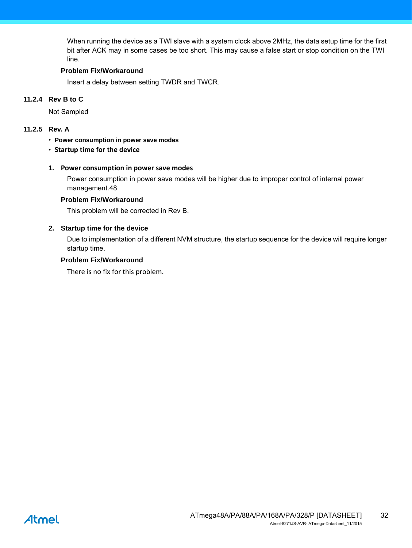When running the device as a TWI slave with a system clock above 2MHz, the data setup time for the first bit after ACK may in some cases be too short. This may cause a false start or stop condition on the TWI line.

#### **Problem Fix/Workaround**

Insert a delay between setting TWDR and TWCR.

#### **11.2.4 Rev B to C**

Not Sampled

#### **11.2.5 Rev. A**

- **Power consumption in power save modes**
- **Startup time for the device**

#### **1. Power consumption in power save modes**

Power consumption in power save modes will be higher due to improper control of internal power management.48

#### **Problem Fix/Workaround**

This problem will be corrected in Rev B.

#### **2. Startup time for the device**

Due to implementation of a different NVM structure, the startup sequence for the device will require longer startup time.

#### **Problem Fix/Workaround**

There is no fix for this problem.

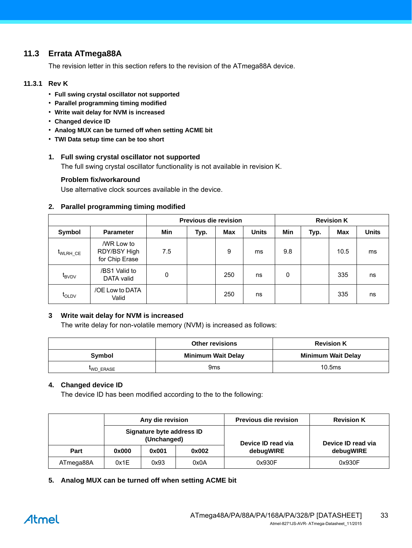# **11.3 Errata ATmega88A**

The revision letter in this section refers to the revision of the ATmega88A device.

#### **11.3.1 Rev K**

- **Full swing crystal oscillator not supported**
- **Parallel programming timing modified**
- **Write wait delay for NVM is increased**
- **Changed device ID**
- **Analog MUX can be turned off when setting ACME bit**
- **TWI Data setup time can be too short**

#### **1. Full swing crystal oscillator not supported**

The full swing crystal oscillator functionality is not available in revision K.

#### **Problem fix/workaround**

Use alternative clock sources available in the device.

#### **2. Parallel programming timing modified**

|                   |                                              | <b>Previous die revision</b> |      |     |              | <b>Revision K</b> |      |            |              |
|-------------------|----------------------------------------------|------------------------------|------|-----|--------------|-------------------|------|------------|--------------|
| Symbol            | <b>Parameter</b>                             | Min                          | Typ. | Max | <b>Units</b> | Min               | Typ. | <b>Max</b> | <b>Units</b> |
| WLRH CE           | /WR Low to<br>RDY/BSY High<br>for Chip Erase | 7.5                          |      | 9   | ms           | 9.8               |      | 10.5       | ms           |
| $t_{\text{BVDV}}$ | /BS1 Valid to<br>DATA valid                  | 0                            |      | 250 | ns           | 0                 |      | 335        | ns           |
| <b>LOLDV</b>      | /OE Low to DATA<br>Valid                     |                              |      | 250 | ns           |                   |      | 335        | ns           |

#### **3 Write wait delay for NVM is increased**

The write delay for non-volatile memory (NVM) is increased as follows:

|          | <b>Other revisions</b>    | <b>Revision K</b>         |
|----------|---------------------------|---------------------------|
| Symbol   | <b>Minimum Wait Delay</b> | <b>Minimum Wait Delay</b> |
| WD ERASE | 9 <sub>ms</sub>           | 10.5ms                    |

#### **4. Changed device ID**

The device ID has been modified according to the to the following:

|           | Any die revision |                                          |       | <b>Previous die revision</b> | <b>Revision K</b>  |  |
|-----------|------------------|------------------------------------------|-------|------------------------------|--------------------|--|
|           |                  | Signature byte address ID<br>(Unchanged) |       | Device ID read via           | Device ID read via |  |
| Part      | 0x000            | 0x001                                    | 0x002 | debugWIRE                    | debugWIRE          |  |
| ATmega88A | 0x1E             | 0x93                                     | 0x0A  | 0x930F                       | 0x930F             |  |

**5. Analog MUX can be turned off when setting ACME bit**

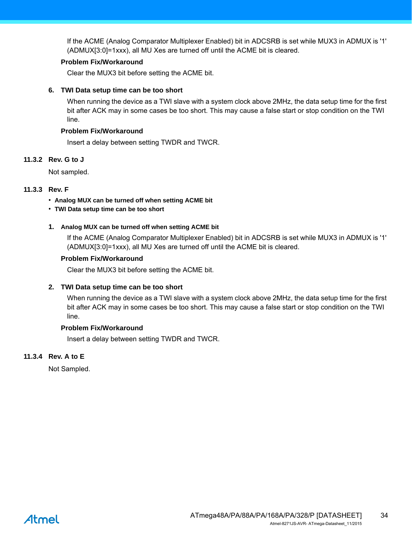If the ACME (Analog Comparator Multiplexer Enabled) bit in ADCSRB is set while MUX3 in ADMUX is '1' (ADMUX[3:0]=1xxx), all MU Xes are turned off until the ACME bit is cleared.

#### **Problem Fix/Workaround**

Clear the MUX3 bit before setting the ACME bit.

#### **6. TWI Data setup time can be too short**

When running the device as a TWI slave with a system clock above 2MHz, the data setup time for the first bit after ACK may in some cases be too short. This may cause a false start or stop condition on the TWI line.

#### **Problem Fix/Workaround**

Insert a delay between setting TWDR and TWCR.

#### **11.3.2 Rev. G to J**

Not sampled.

#### **11.3.3 Rev. F**

- **Analog MUX can be turned off when setting ACME bit**
- **TWI Data setup time can be too short**

#### **1. Analog MUX can be turned off when setting ACME bit**

If the ACME (Analog Comparator Multiplexer Enabled) bit in ADCSRB is set while MUX3 in ADMUX is '1' (ADMUX[3:0]=1xxx), all MU Xes are turned off until the ACME bit is cleared.

#### **Problem Fix/Workaround**

Clear the MUX3 bit before setting the ACME bit.

#### **2. TWI Data setup time can be too short**

When running the device as a TWI slave with a system clock above 2MHz, the data setup time for the first bit after ACK may in some cases be too short. This may cause a false start or stop condition on the TWI line.

#### **Problem Fix/Workaround**

Insert a delay between setting TWDR and TWCR.

#### **11.3.4 Rev. A to E**

Not Sampled.

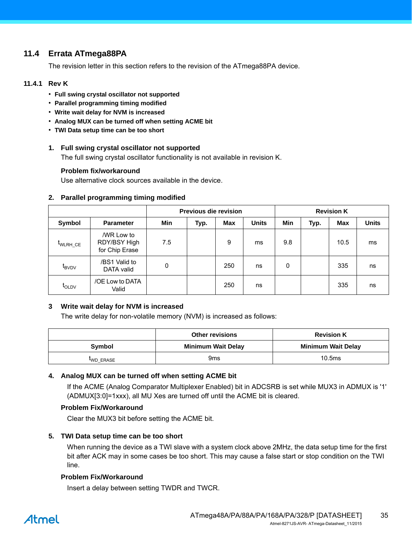# <span id="page-34-0"></span>**11.4 Errata ATmega88PA**

The revision letter in this section refers to the revision of the ATmega88PA device.

#### **11.4.1 Rev K**

- **Full swing crystal oscillator not supported**
- **Parallel programming timing modified**
- **Write wait delay for NVM is increased**
- **Analog MUX can be turned off when setting ACME bit**
- **TWI Data setup time can be too short**

#### **1. Full swing crystal oscillator not supported**

The full swing crystal oscillator functionality is not available in revision K.

#### **Problem fix/workaround**

Use alternative clock sources available in the device.

#### **Previous die revision Revision K** Symbol | Parameter | Min | Typ. | Max | Units | Min | Typ. | Max | Units tWLRH\_CE /WR Low to RDY/BSY High for Chip Erase 7.5 9 ms 9.8 10.5 ms  $t_{\text{BVDV}}$ /BS1 Valid to DATA valid **0** 1 250 ns 0 335 ns t<sub>OLDV</sub> /OE Low to DATA Valid 250 ns 1 335 ns

#### **2. Parallel programming timing modified**

#### **3 Write wait delay for NVM is increased**

The write delay for non-volatile memory (NVM) is increased as follows:

|               | <b>Other revisions</b>    | <b>Revision K</b>         |
|---------------|---------------------------|---------------------------|
| <b>Symbol</b> | <b>Minimum Wait Delay</b> | <b>Minimum Wait Delay</b> |
| WD ERASE      | 9ms                       | 10.5 <sub>ms</sub>        |

#### **4. Analog MUX can be turned off when setting ACME bit**

If the ACME (Analog Comparator Multiplexer Enabled) bit in ADCSRB is set while MUX3 in ADMUX is '1' (ADMUX[3:0]=1xxx), all MU Xes are turned off until the ACME bit is cleared.

#### **Problem Fix/Workaround**

Clear the MUX3 bit before setting the ACME bit.

#### **5. TWI Data setup time can be too short**

When running the device as a TWI slave with a system clock above 2MHz, the data setup time for the first bit after ACK may in some cases be too short. This may cause a false start or stop condition on the TWI line.

#### **Problem Fix/Workaround**

Insert a delay between setting TWDR and TWCR.

# Atmel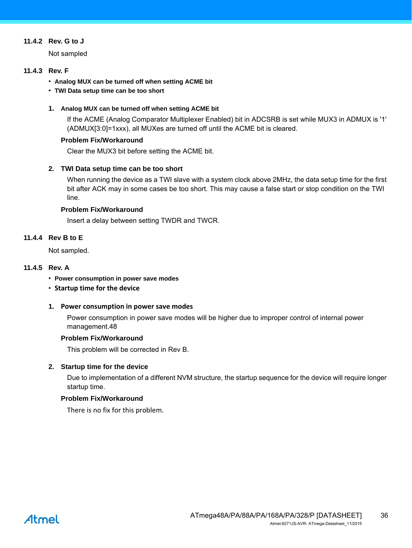#### **11.4.2 Rev. G to J**

Not sampled

#### **11.4.3 Rev. F**

- **Analog MUX can be turned off when setting ACME bit**
- **TWI Data setup time can be too short**

#### **1. Analog MUX can be turned off when setting ACME bit**

If the ACME (Analog Comparator Multiplexer Enabled) bit in ADCSRB is set while MUX3 in ADMUX is '1' (ADMUX[3:0]=1xxx), all MUXes are turned off until the ACME bit is cleared.

#### **Problem Fix/Workaround**

Clear the MUX3 bit before setting the ACME bit.

#### **2. TWI Data setup time can be too short**

When running the device as a TWI slave with a system clock above 2MHz, the data setup time for the first bit after ACK may in some cases be too short. This may cause a false start or stop condition on the TWI line.

#### **Problem Fix/Workaround**

Insert a delay between setting TWDR and TWCR.

#### **11.4.4 Rev B to E**

Not sampled.

#### **11.4.5 Rev. A**

- **Power consumption in power save modes**
- **Startup time for the device**

#### **1. Power consumption in power save modes**

Power consumption in power save modes will be higher due to improper control of internal power management.48

#### **Problem Fix/Workaround**

This problem will be corrected in Rev B.

#### **2. Startup time for the device**

Due to implementation of a different NVM structure, the startup sequence for the device will require longer startup time.

#### **Problem Fix/Workaround**

There is no fix for this problem.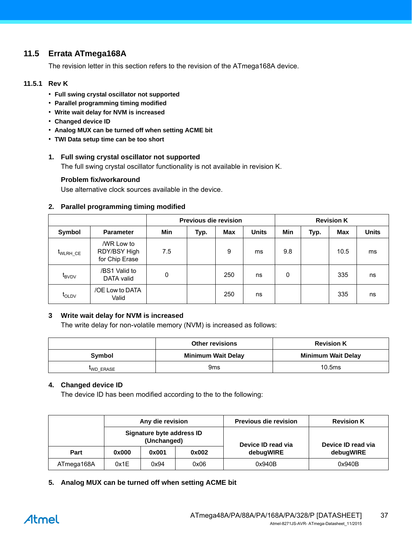# **11.5 Errata ATmega168A**

The revision letter in this section refers to the revision of the ATmega168A device.

#### **11.5.1 Rev K**

- **Full swing crystal oscillator not supported**
- **Parallel programming timing modified**
- **Write wait delay for NVM is increased**
- **Changed device ID**
- **Analog MUX can be turned off when setting ACME bit**
- **TWI Data setup time can be too short**

#### **1. Full swing crystal oscillator not supported**

The full swing crystal oscillator functionality is not available in revision K.

#### **Problem fix/workaround**

Use alternative clock sources available in the device.

#### **2. Parallel programming timing modified**

|                   |                                              | <b>Previous die revision</b> |      |     |              | <b>Revision K</b> |      |            |              |
|-------------------|----------------------------------------------|------------------------------|------|-----|--------------|-------------------|------|------------|--------------|
| Symbol            | <b>Parameter</b>                             | Min                          | Typ. | Max | <b>Units</b> | <b>Min</b>        | Typ. | <b>Max</b> | <b>Units</b> |
| WLRH CE           | /WR Low to<br>RDY/BSY High<br>for Chip Erase | 7.5                          |      | 9   | ms           | 9.8               |      | 10.5       | ms           |
| $t_{\text{BVDV}}$ | /BS1 Valid to<br>DATA valid                  | 0                            |      | 250 | ns           | 0                 |      | 335        | ns           |
| $t_{OLDV}$        | /OE Low to DATA<br>Valid                     |                              |      | 250 | ns           |                   |      | 335        | ns           |

#### **3 Write wait delay for NVM is increased**

The write delay for non-volatile memory (NVM) is increased as follows:

|          | <b>Other revisions</b>    | <b>Revision K</b>         |
|----------|---------------------------|---------------------------|
| Symbol   | <b>Minimum Wait Delay</b> | <b>Minimum Wait Delay</b> |
| WD ERASE | 9 <sub>ms</sub>           | 10.5ms                    |

#### **4. Changed device ID**

The device ID has been modified according to the to the following:

|            |                                          | Any die revision |                    | <b>Previous die revision</b> | <b>Revision K</b> |
|------------|------------------------------------------|------------------|--------------------|------------------------------|-------------------|
|            | Signature byte address ID<br>(Unchanged) |                  | Device ID read via | Device ID read via           |                   |
| Part       | 0x000                                    | 0x001            | 0x002              | debugWIRE                    | debugWIRE         |
| ATmega168A | 0x1E                                     | 0x94             | 0x06               | 0x940B                       | 0x940B            |

**5. Analog MUX can be turned off when setting ACME bit**

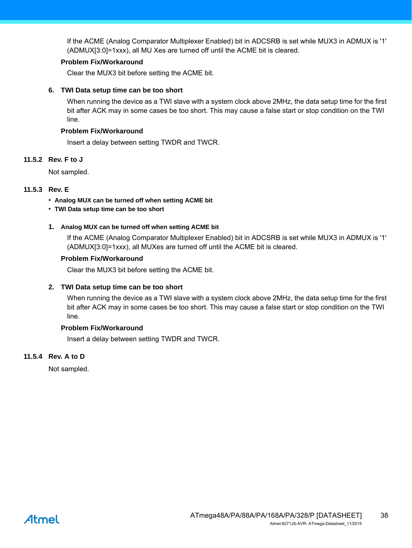If the ACME (Analog Comparator Multiplexer Enabled) bit in ADCSRB is set while MUX3 in ADMUX is '1' (ADMUX[3:0]=1xxx), all MU Xes are turned off until the ACME bit is cleared.

#### **Problem Fix/Workaround**

Clear the MUX3 bit before setting the ACME bit.

#### **6. TWI Data setup time can be too short**

When running the device as a TWI slave with a system clock above 2MHz, the data setup time for the first bit after ACK may in some cases be too short. This may cause a false start or stop condition on the TWI line.

#### **Problem Fix/Workaround**

Insert a delay between setting TWDR and TWCR.

#### **11.5.2 Rev. F to J**

Not sampled.

### **11.5.3 Rev. E**

- **Analog MUX can be turned off when setting ACME bit**
- **TWI Data setup time can be too short**

#### **1. Analog MUX can be turned off when setting ACME bit**

If the ACME (Analog Comparator Multiplexer Enabled) bit in ADCSRB is set while MUX3 in ADMUX is '1' (ADMUX[3:0]=1xxx), all MUXes are turned off until the ACME bit is cleared.

#### **Problem Fix/Workaround**

Clear the MUX3 bit before setting the ACME bit.

#### **2. TWI Data setup time can be too short**

When running the device as a TWI slave with a system clock above 2MHz, the data setup time for the first bit after ACK may in some cases be too short. This may cause a false start or stop condition on the TWI line.

#### **Problem Fix/Workaround**

Insert a delay between setting TWDR and TWCR.

#### **11.5.4 Rev. A to D**

Not sampled.

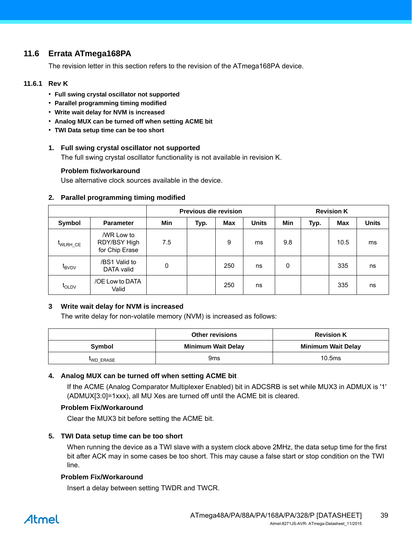# **11.6 Errata ATmega168PA**

The revision letter in this section refers to the revision of the ATmega168PA device.

#### **11.6.1 Rev K**

- **Full swing crystal oscillator not supported**
- **Parallel programming timing modified**
- **Write wait delay for NVM is increased**
- **Analog MUX can be turned off when setting ACME bit**
- **TWI Data setup time can be too short**

#### **1. Full swing crystal oscillator not supported**

The full swing crystal oscillator functionality is not available in revision K.

#### **Problem fix/workaround**

Use alternative clock sources available in the device.

#### **Previous die revision Revision K** Symbol | Parameter | Min | Typ. | Max | Units | Min | Typ. | Max | Units tWLRH\_CE /WR Low to RDY/BSY High for Chip Erase 7.5 9 ms 9.8 10.5 ms  $t_{\text{BVDV}}$ /BS1 Valid to DATA valid **0** 1 250 ns 0 335 ns t<sub>OLDV</sub> /OE Low to DATA Valid 250 ns 1 335 ns

#### **2. Parallel programming timing modified**

#### **3 Write wait delay for NVM is increased**

The write delay for non-volatile memory (NVM) is increased as follows:

|               | <b>Other revisions</b>    | <b>Revision K</b>         |
|---------------|---------------------------|---------------------------|
| <b>Symbol</b> | <b>Minimum Wait Delay</b> | <b>Minimum Wait Delay</b> |
| WD ERASE      | 9ms                       | 10.5 <sub>ms</sub>        |

#### **4. Analog MUX can be turned off when setting ACME bit**

If the ACME (Analog Comparator Multiplexer Enabled) bit in ADCSRB is set while MUX3 in ADMUX is '1' (ADMUX[3:0]=1xxx), all MU Xes are turned off until the ACME bit is cleared.

#### **Problem Fix/Workaround**

Clear the MUX3 bit before setting the ACME bit.

#### **5. TWI Data setup time can be too short**

When running the device as a TWI slave with a system clock above 2MHz, the data setup time for the first bit after ACK may in some cases be too short. This may cause a false start or stop condition on the TWI line.

#### **Problem Fix/Workaround**

Insert a delay between setting TWDR and TWCR.

# Atmel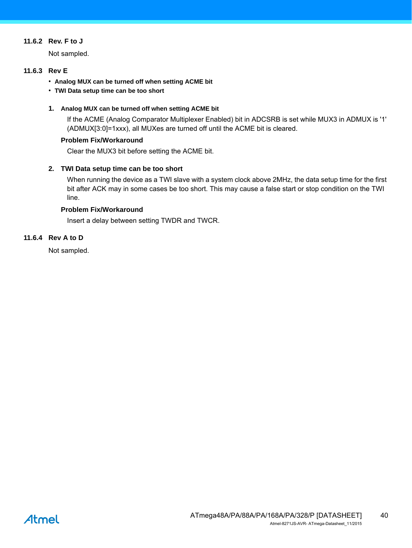#### **11.6.2 Rev. F to J**

Not sampled.

#### **11.6.3 Rev E**

- **Analog MUX can be turned off when setting ACME bit**
- **TWI Data setup time can be too short**

#### **1. Analog MUX can be turned off when setting ACME bit**

If the ACME (Analog Comparator Multiplexer Enabled) bit in ADCSRB is set while MUX3 in ADMUX is '1' (ADMUX[3:0]=1xxx), all MUXes are turned off until the ACME bit is cleared.

#### **Problem Fix/Workaround**

Clear the MUX3 bit before setting the ACME bit.

#### **2. TWI Data setup time can be too short**

When running the device as a TWI slave with a system clock above 2MHz, the data setup time for the first bit after ACK may in some cases be too short. This may cause a false start or stop condition on the TWI line.

#### **Problem Fix/Workaround**

Insert a delay between setting TWDR and TWCR.

#### **11.6.4 Rev A to D**

Not sampled.

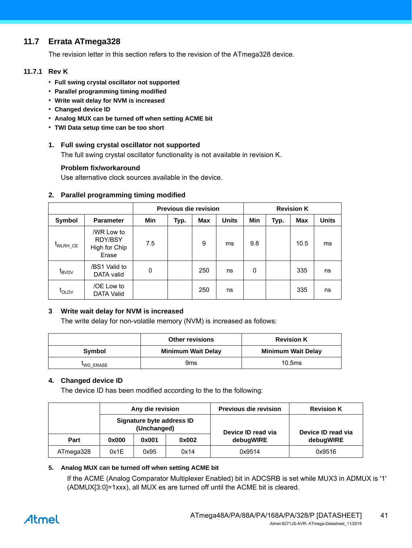# <span id="page-40-0"></span>**11.7 Errata ATmega328**

The revision letter in this section refers to the revision of the ATmega328 device.

#### **11.7.1 Rev K**

- **Full swing crystal oscillator not supported**
- **Parallel programming timing modified**
- **Write wait delay for NVM is increased**
- **Changed device ID**
- **Analog MUX can be turned off when setting ACME bit**
- **TWI Data setup time can be too short**

#### **1. Full swing crystal oscillator not supported**

The full swing crystal oscillator functionality is not available in revision K.

#### **Problem fix/workaround**

Use alternative clock sources available in the device.

#### **2. Parallel programming timing modified**

|                      |                                                 | <b>Previous die revision</b> |      |     |              | <b>Revision K</b> |      |      |              |
|----------------------|-------------------------------------------------|------------------------------|------|-----|--------------|-------------------|------|------|--------------|
| Symbol               | <b>Parameter</b>                                | Min                          | Typ. | Max | <b>Units</b> | Min               | Typ. | Max  | <b>Units</b> |
| t <sub>WLRH_CE</sub> | /WR Low to<br>RDY/BSY<br>High for Chip<br>Erase | 7.5                          |      | 9   | ms           | 9.8               |      | 10.5 | ms           |
| t <sub>BVDV</sub>    | /BS1 Valid to<br>DATA valid                     | 0                            |      | 250 | ns           | 0                 |      | 335  | ns           |
| t <sub>OLDV</sub>    | /OE Low to<br><b>DATA Valid</b>                 |                              |      | 250 | ns           |                   |      | 335  | ns           |

#### **3 Write wait delay for NVM is increased**

The write delay for non-volatile memory (NVM) is increased as follows:

|          | <b>Other revisions</b>    | <b>Revision K</b>         |
|----------|---------------------------|---------------------------|
| Symbol   | <b>Minimum Wait Delay</b> | <b>Minimum Wait Delay</b> |
| WD ERASE | 9ms                       | 10.5 <sub>ms</sub>        |

#### **4. Changed device ID**

The device ID has been modified according to the to the following:

|           | Any die revision                         |       |                    | <b>Previous die revision</b> | <b>Revision K</b> |
|-----------|------------------------------------------|-------|--------------------|------------------------------|-------------------|
|           | Signature byte address ID<br>(Unchanged) |       | Device ID read via | Device ID read via           |                   |
| Part      | 0x000                                    | 0x001 | 0x002              | debugWIRE                    | debugWIRE         |
| ATmega328 | 0x1E                                     | 0x95  | 0x14               | 0x9514                       | 0x9516            |

#### **5. Analog MUX can be turned off when setting ACME bit**

If the ACME (Analog Comparator Multiplexer Enabled) bit in ADCSRB is set while MUX3 in ADMUX is '1' (ADMUX[3:0]=1xxx), all MUX es are turned off until the ACME bit is cleared.

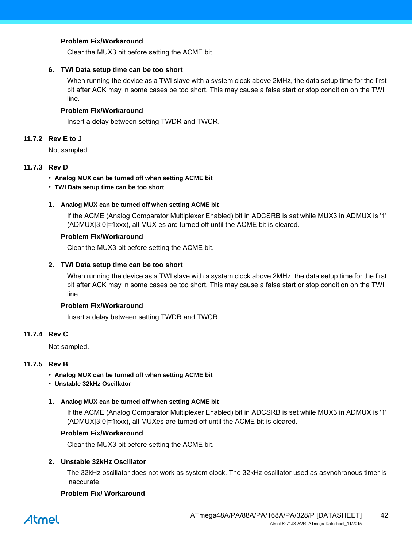#### **Problem Fix/Workaround**

Clear the MUX3 bit before setting the ACME bit.

#### **6. TWI Data setup time can be too short**

When running the device as a TWI slave with a system clock above 2MHz, the data setup time for the first bit after ACK may in some cases be too short. This may cause a false start or stop condition on the TWI line.

#### **Problem Fix/Workaround**

Insert a delay between setting TWDR and TWCR.

#### **11.7.2 Rev E to J**

Not sampled.

#### **11.7.3 Rev D**

- **Analog MUX can be turned off when setting ACME bit**
- **TWI Data setup time can be too short**

#### **1. Analog MUX can be turned off when setting ACME bit**

If the ACME (Analog Comparator Multiplexer Enabled) bit in ADCSRB is set while MUX3 in ADMUX is '1' (ADMUX[3:0]=1xxx), all MUX es are turned off until the ACME bit is cleared.

#### **Problem Fix/Workaround**

Clear the MUX3 bit before setting the ACME bit.

#### **2. TWI Data setup time can be too short**

When running the device as a TWI slave with a system clock above 2MHz, the data setup time for the first bit after ACK may in some cases be too short. This may cause a false start or stop condition on the TWI line.

#### **Problem Fix/Workaround**

Insert a delay between setting TWDR and TWCR.

#### **11.7.4 Rev C**

Not sampled.

#### **11.7.5 Rev B**

- **Analog MUX can be turned off when setting ACME bit**
- **Unstable 32kHz Oscillator**

#### **1. Analog MUX can be turned off when setting ACME bit**

If the ACME (Analog Comparator Multiplexer Enabled) bit in ADCSRB is set while MUX3 in ADMUX is '1' (ADMUX[3:0]=1xxx), all MUXes are turned off until the ACME bit is cleared.

#### **Problem Fix/Workaround**

Clear the MUX3 bit before setting the ACME bit.

#### **2. Unstable 32kHz Oscillator**

The 32kHz oscillator does not work as system clock. The 32kHz oscillator used as asynchronous timer is inaccurate.

#### **Problem Fix/ Workaround**

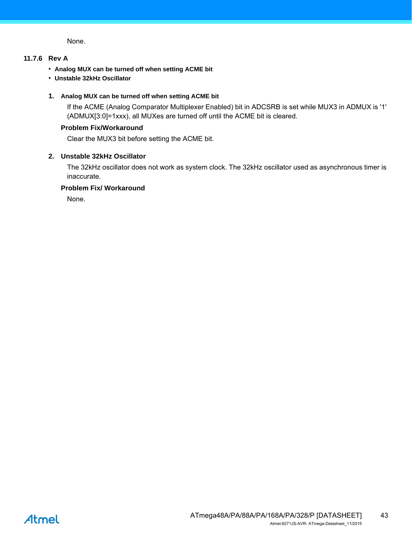None.

#### **11.7.6 Rev A**

- **Analog MUX can be turned off when setting ACME bit**
- **Unstable 32kHz Oscillator**

#### **1. Analog MUX can be turned off when setting ACME bit**

If the ACME (Analog Comparator Multiplexer Enabled) bit in ADCSRB is set while MUX3 in ADMUX is '1' (ADMUX[3:0]=1xxx), all MUXes are turned off until the ACME bit is cleared.

#### **Problem Fix/Workaround**

Clear the MUX3 bit before setting the ACME bit.

#### **2. Unstable 32kHz Oscillator**

The 32kHz oscillator does not work as system clock. The 32kHz oscillator used as asynchronous timer is inaccurate.

#### **Problem Fix/ Workaround**

None.

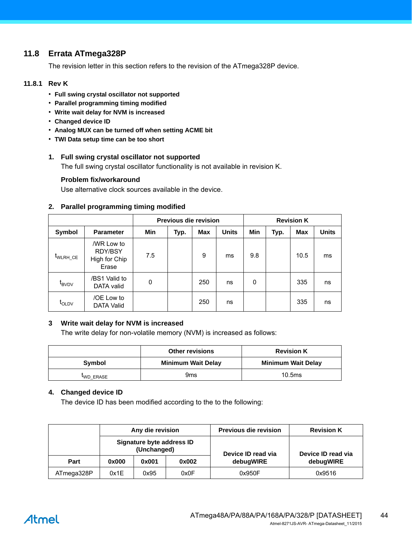# <span id="page-43-0"></span>**11.8 Errata ATmega328P**

The revision letter in this section refers to the revision of the ATmega328P device.

#### **11.8.1 Rev K**

- **Full swing crystal oscillator not supported**
- **Parallel programming timing modified**
- **Write wait delay for NVM is increased**
- **Changed device ID**
- **Analog MUX can be turned off when setting ACME bit**
- **TWI Data setup time can be too short**

#### **1. Full swing crystal oscillator not supported**

The full swing crystal oscillator functionality is not available in revision K.

#### **Problem fix/workaround**

Use alternative clock sources available in the device.

#### **2. Parallel programming timing modified**

|                                    |                                                        | <b>Previous die revision</b> |      |     |              | <b>Revision K</b> |      |      |              |
|------------------------------------|--------------------------------------------------------|------------------------------|------|-----|--------------|-------------------|------|------|--------------|
| Symbol                             | <b>Parameter</b>                                       | Min                          | Typ. | Max | <b>Units</b> | Min               | Typ. | Max  | <b>Units</b> |
| $t_{\scriptsize\textsf{WLRH\_CE}}$ | /WR Low to<br><b>RDY/BSY</b><br>High for Chip<br>Erase | 7.5                          |      | 9   | ms           | 9.8               |      | 10.5 | ms           |
| $t_{\text{BVDV}}$                  | /BS1 Valid to<br>DATA valid                            | 0                            |      | 250 | ns           | 0                 |      | 335  | ns           |
| $t_{\text{OLDV}}$                  | /OE Low to<br><b>DATA Valid</b>                        |                              |      | 250 | ns           |                   |      | 335  | ns           |

#### **3 Write wait delay for NVM is increased**

The write delay for non-volatile memory (NVM) is increased as follows:

|               | <b>Other revisions</b>    | <b>Revision K</b>         |
|---------------|---------------------------|---------------------------|
| <b>Symbol</b> | <b>Minimum Wait Delay</b> | <b>Minimum Wait Delay</b> |
| WD ERASE      | 9ms                       | 10.5ms                    |

#### **4. Changed device ID**

The device ID has been modified according to the to the following:

|            | Any die revision                         |       |                    | <b>Previous die revision</b> | <b>Revision K</b> |
|------------|------------------------------------------|-------|--------------------|------------------------------|-------------------|
|            | Signature byte address ID<br>(Unchanged) |       | Device ID read via | Device ID read via           |                   |
| Part       | 0x000                                    | 0x001 | 0x002              | debugWIRE                    | debugWIRE         |
| ATmega328P | 0x1E                                     | 0x95  | 0x0F               | 0x950F                       | 0x9516            |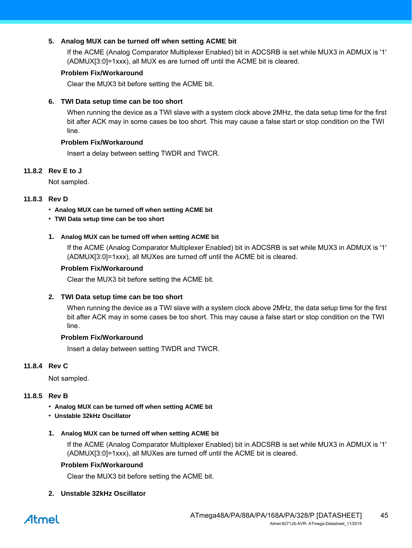#### **5. Analog MUX can be turned off when setting ACME bit**

If the ACME (Analog Comparator Multiplexer Enabled) bit in ADCSRB is set while MUX3 in ADMUX is '1' (ADMUX[3:0]=1xxx), all MUX es are turned off until the ACME bit is cleared.

#### **Problem Fix/Workaround**

Clear the MUX3 bit before setting the ACME bit.

#### **6. TWI Data setup time can be too short**

When running the device as a TWI slave with a system clock above 2MHz, the data setup time for the first bit after ACK may in some cases be too short. This may cause a false start or stop condition on the TWI line.

#### **Problem Fix/Workaround**

Insert a delay between setting TWDR and TWCR.

#### **11.8.2 Rev E to J**

Not sampled.

#### **11.8.3 Rev D**

- **Analog MUX can be turned off when setting ACME bit**
- **TWI Data setup time can be too short**

#### **1. Analog MUX can be turned off when setting ACME bit**

If the ACME (Analog Comparator Multiplexer Enabled) bit in ADCSRB is set while MUX3 in ADMUX is '1' (ADMUX[3:0]=1xxx), all MUXes are turned off until the ACME bit is cleared.

#### **Problem Fix/Workaround**

Clear the MUX3 bit before setting the ACME bit.

#### **2. TWI Data setup time can be too short**

When running the device as a TWI slave with a system clock above 2MHz, the data setup time for the first bit after ACK may in some cases be too short. This may cause a false start or stop condition on the TWI line.

#### **Problem Fix/Workaround**

Insert a delay between setting TWDR and TWCR.

#### **11.8.4 Rev C**

Not sampled.

#### **11.8.5 Rev B**

- **Analog MUX can be turned off when setting ACME bit**
- **Unstable 32kHz Oscillator**
- **1. Analog MUX can be turned off when setting ACME bit**

If the ACME (Analog Comparator Multiplexer Enabled) bit in ADCSRB is set while MUX3 in ADMUX is '1' (ADMUX[3:0]=1xxx), all MUXes are turned off until the ACME bit is cleared.

#### **Problem Fix/Workaround**

Clear the MUX3 bit before setting the ACME bit.

#### **2. Unstable 32kHz Oscillator**

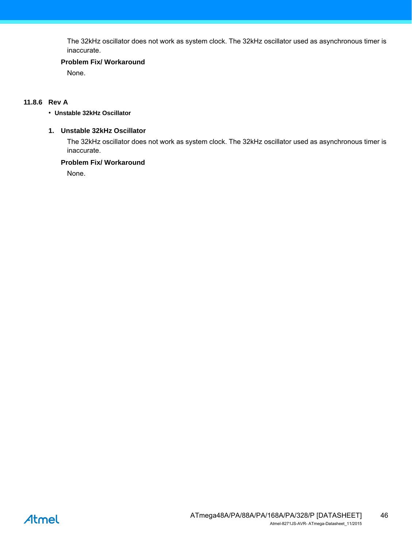The 32kHz oscillator does not work as system clock. The 32kHz oscillator used as asynchronous timer is inaccurate.

#### **Problem Fix/ Workaround**

None.

#### **11.8.6 Rev A**

#### • **Unstable 32kHz Oscillator**

#### **1. Unstable 32kHz Oscillator**

The 32kHz oscillator does not work as system clock. The 32kHz oscillator used as asynchronous timer is inaccurate.

#### **Problem Fix/ Workaround**

None.

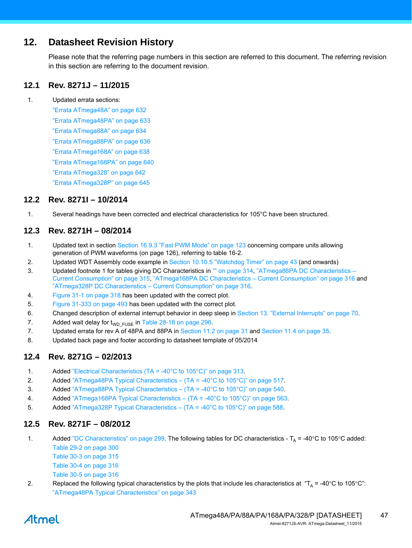# **12. Datasheet Revision History**

Please note that the referring page numbers in this section are referred to this document. The referring revision in this section are referring to the document revision.

# **12.1 Rev. 8271J – 11/2015**

1. Updated errata sections:

"Errata ATmega48A" on page 632 "Errata ATmega48PA" on page 633 "Errata ATmega88A" on page 634 "Errata ATmega88PA" on page 636 "Errata ATmega168A" on page 638 "Errata ATmega168PA" on page 640 "Errata ATmega328" on page 642 "Errata ATmega328P" on page 645

### **12.2 Rev. 8271I – 10/2014**

1. Several headings have been corrected and electrical characteristics for 105°C have been structured.

# **12.3 Rev. 8271H – 08/2014**

- 1. Updated text in section Section 16.9.3 "Fast PWM Mode" on page 123 concerning compare units allowing generation of PWM waveforms (on page 126), referring to table 16-2.
- 2. Updated WDT Assembly code example in Section 10.10.5 "Watchdog Timer" on page 43 (and onwards)
- 3. Updated footnote 1 for tables giving DC Characteristics in "" on page 314, "ATmega88PA DC Characteristics Current Consumption" on page 315, "ATmega168PA DC Characteristics – Current Consumption" on page 316 and "ATmega328P DC Characteristics – Current Consumption" on page 316.
- 4. Figure 31-1 on page 318 has been updated with the correct plot.
- 5. Figure 31-333 on page 493 has been updated with the correct plot.
- 6. Changed description of external interrupt behavior in deep sleep in Section 13. "External Interrupts" on page 70.
- 7. Added wait delay for  $t_{WDFUSE}$  in Table 28-18 on page 296.
- 7. Updated errata for rev A of 48PA and 88PA in [Section 11.2 on page 31](#page-30-0) and [Section 11.4 on page 35.](#page-34-0)
- 8. Updated back page and footer according to datasheet template of 05/2014

#### **12.4 Rev. 8271G – 02/2013**

- 1. Added "Electrical Characteristics (TA = -40°C to 105°C)" on page 313.
- 2. Added "ATmega48PA Typical Characteristics (TA = -40°C to 105°C)" on page 517.
- 3. Added "ATmega88PA Typical Characteristics (TA = -40°C to 105°C)" on page 540.
- 4. Added "ATmega168PA Typical Characteristics (TA = -40°C to 105°C)" on page 563.
- 5. Added "ATmega328P Typical Characteristics (TA = -40°C to 105°C)" on page 588.

#### **12.5 Rev. 8271F – 08/2012**

- 1. Added "DC Characteristics" on page 299. The following tables for DC characteristics  $T_A$  = -40°C to 105°C added: Table 29-2 on page 300
	- Table 30-3 on page 315 Table 30-4 on page 316
	- Table 30-5 on page 316
- 2. Replaced the following typical characteristics by the plots that include les characteristics at " $T_A = -40^{\circ}$ C to 105°C": "ATmega48PA Typical Characteristics" on page 343

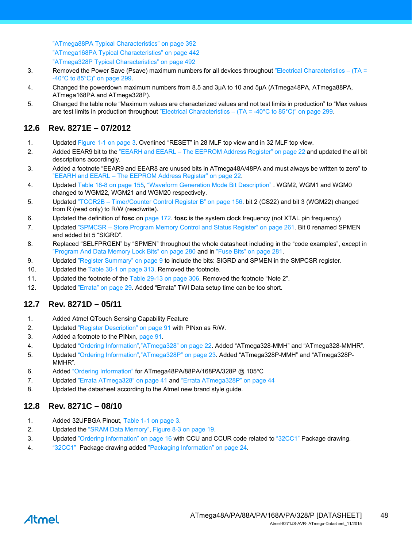"ATmega88PA Typical Characteristics" on page 392 "ATmega168PA Typical Characteristics" on page 442 "ATmega328P Typical Characteristics" on page 492

- 3. Removed the Power Save (Psave) maximum numbers for all devices throughout "Electrical Characteristics  $(TA =$ -40°C to 85°C)" on page 299.
- 4. Changed the powerdown maximum numbers from 8.5 and 3µA to 10 and 5µA (ATmega48PA, ATmega88PA, ATmega168PA and ATmega328P).
- 5. Changed the table note "Maximum values are characterized values and not test limits in production" to "Max values are test limits in production throughout "Electrical Characteristics – (TA = -40°C to 85°C)" on page 299.

# **12.6 Rev. 8271E – 07/2012**

- 1. Updated [Figure 1-1 on page 3.](#page-2-0) Overlined "RESET" in 28 MLF top view and in 32 MLF top view.
- 2. Added EEAR9 bit to the "EEARH and EEARL The EEPROM Address Register" on page 22 and updated the all bit descriptions accordingly.
- 3. Added a footnote "EEAR9 and EEAR8 are unused bits in ATmega48A/48PA and must always be written to zero" to "EEARH and EEARL – The EEPROM Address Register" on page 22.
- 4. Updated Table 18-8 on page 155, "Waveform Generation Mode Bit Description" . WGM2, WGM1 and WGM0 changed to WGM22, WGM21 and WGM20 respectively.
- 5. Updated "TCCR2B Timer/Counter Control Register B" on page 156. bit 2 (CS22) and bit 3 (WGM22) changed from R (read only) to R/W (read/write).
- 6. Updated the definition of **fosc** on page 172. **fosc** is the system clock frequency (not XTAL pin frequency)
- 7. Updated "SPMCSR Store Program Memory Control and Status Register" on page 261. Bit 0 renamed SPMEN and added bit 5 "SIGRD".
- 8. Replaced "SELFPRGEN" by "SPMEN" throughout the whole datasheet including in the "code examples", except in "Program And Data Memory Lock Bits" on page 280 and in "Fuse Bits" on page 281.
- 9. Updated ["Register Summary" on page 9](#page-8-0) to include the bits: SIGRD and SPMEN in the SMPCSR register.
- 10. Updated the Table 30-1 on page 313. Removed the footnote.
- 11. Updated the footnote of the Table 29-13 on page 306. Removed the footnote "Note 2".
- 12. Updated ["Errata" on page 29](#page-28-0). Added "Errata" TWI Data setup time can be too short.

# **12.7 Rev. 8271D – 05/11**

- 1. Added Atmel QTouch Sensing Capability Feature
- 2. Updated "Register Description" on page 91 with PINxn as R/W.
- 3. Added a footnote to the PINxn, page 91.
- 4. Updated ["Ordering Information"](#page-15-2)[,"ATmega328" on page 22.](#page-21-3) Added "ATmega328-MMH" and "ATmega328-MMHR".
- 5. Updated ["Ordering Information"](#page-15-2)[,"ATmega328P" on page 23.](#page-22-0) Added "ATmega328P-MMH" and "ATmega328P-MMHR".
- 6. Added ["Ordering Information"](#page-15-2) for ATmega48PA/88PA/168PA/328P @ 105C
- 7. Updated ["Errata ATmega328" on page 41](#page-40-0) and ["Errata ATmega328P" on page 44](#page-43-0)
- 8. Updated the datasheet according to the Atmel new brand style guide.

# **12.8 Rev. 8271C – 08/10**

- 1. Added 32UFBGA Pinout, [Table 1-1 on page 3.](#page-2-1)
- 2. Updated the "SRAM Data Memory", Figure 8-3 on page 19.
- 3. Updated ["Ordering Information" on page 16](#page-15-2) with CCU and CCUR code related to ["32CC1" P](#page-24-0)ackage drawing.
- 4. ["32CC1"](#page-24-0) Package drawing added ["Packaging Information" on page 24.](#page-23-0)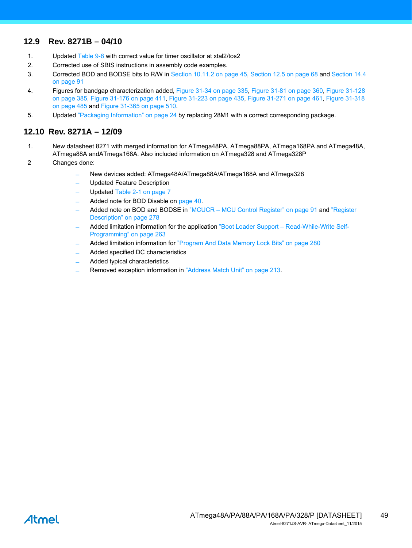# **12.9 Rev. 8271B – 04/10**

- 1. Updated Table 9-8 with correct value for timer oscillator at xtal2/tos2
- 2. Corrected use of SBIS instructions in assembly code examples.
- 3. Corrected BOD and BODSE bits to R/W in Section 10.11.2 on page 45, Section 12.5 on page 68 and Section 14.4 on page 91
- 4. Figures for bandgap characterization added, Figure 31-34 on page 335, Figure 31-81 on page 360, Figure 31-128 on page 385, Figure 31-176 on page 411, Figure 31-223 on page 435, Figure 31-271 on page 461, Figure 31-318 on page 485 and Figure 31-365 on page 510.
- 5. Updated ["Packaging Information" on page 24](#page-23-0) by replacing 28M1 with a correct corresponding package.

### **12.10 Rev. 8271A – 12/09**

- 1. New datasheet 8271 with merged information for ATmega48PA, ATmega88PA, ATmega168PA and ATmega48A, ATmega88A andATmega168A. Also included information on ATmega328 and ATmega328P
- 2 Changes done:
	- ̶ New devices added: ATmega48A/ATmega88A/ATmega168A and ATmega328
	- ̶ Updated Feature Description
	- Updated [Table 2-1 on page 7](#page-6-0)
	- ̶ Added note for BOD Disable on page 40.
	- Added note on BOD and BODSE in "MCUCR MCU Control Register" on page 91 and "Register Description" on page 278
	- ̶ Added limitation information for the application "Boot Loader Support Read-While-Write Self-Programming" on page 263
	- Added limitation information for "Program And Data Memory Lock Bits" on page 280
	- ̶ Added specified DC characteristics
	- ̶ Added typical characteristics
	- Removed exception information in "Address Match Unit" on page 213.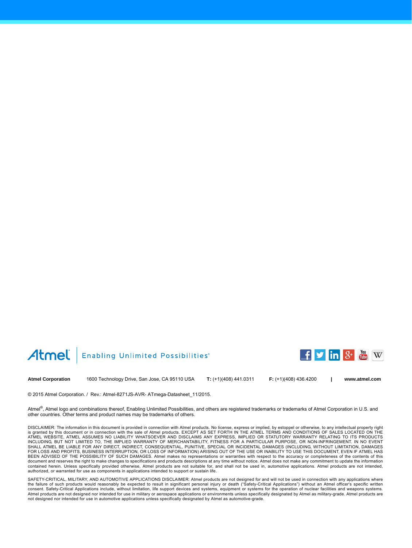#### Atmel Enabling Unlimited Possibilities®



**Atmel Corporation** 1600 Technology Drive, San Jose, CA 95110 USA **T:** (+1)(408) 441.0311 **F:** (+1)(408) 436.4200 **[| www.atmel.com](www.atmel.com)**

© 2015 Atmel Corporation. / Rev.: Atmel-8271JS-AVR- ATmega-Datasheet\_11/2015.

Atmel®, Atmel logo and combinations thereof, Enabling Unlimited Possibilities, and others are registered trademarks or trademarks of Atmel Corporation in U.S. and other countries. Other terms and product names may be trademarks of others.

DISCLAIMER: The information in this document is provided in connection with Atmel products. No license, express or implied, by estoppel or otherwise, to any intellectual property right is granted by this document or in connection with the sale of Atmel products. EXCEPT AS SET FORTH IN THE ATMEL TERMS AND CONDITIONS OF SALES LOCATED ON THE<br>ATMEL WEBSITE, ATMEL ASSUMES NO LIABILITY WHATSOEVER AND DISCLAIMS INCLUDING, BUT NOT LIMITED TO, THE IMPLIED WARRANTY OF MERCHANTABILITY, FITNESS FOR A PARTICULAR PURPOSE, OR NON-INFRINGEMENT. IN NO EVENT<br>SHALL ATMEL BE LIABLE FOR ANY DIRECT, INDIRECT, CONSEQUENTIAL, PUNITIVE, SPECIAL OR BEEN ADVISED OF THE POSSIBILITY OF SUCH DAMAGES. Atmel makes no representations or warranties with respect to the accuracy or completeness of the contents of this document and reserves the right to make changes to specifications and products descriptions at any time without notice. Atmel does not make any commitment to update the information<br>contained herein. Unless specifically pro authorized, or warranted for use as components in applications intended to support or sustain life.

SAFETY-CRITICAL, MILITARY, AND AUTOMOTIVE APPLICATIONS DISCLAIMER: Atmel products are not designed for and will not be used in connection with any applications where<br>the failure of such products would reasonably be expecte consent. Safety-Critical Applications include, without limitation, life support devices and systems, equipment or systems for the operation of nuclear facilities and weapons systems. Atmel products are not designed nor intended for use in military or aerospace applications or environments unless specifically designated by Atmel as military-grade. Atmel products are<br>not designed nor intended for use in